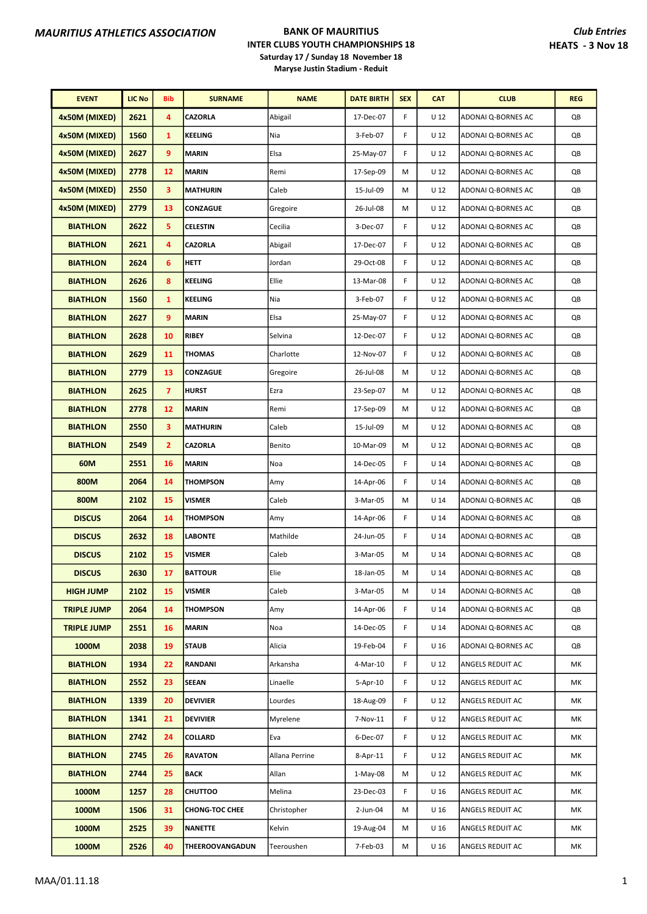| <b>EVENT</b>       | <b>LIC No</b> | <b>Bib</b>     | <b>SURNAME</b>         | <b>NAME</b>    | <b>DATE BIRTH</b> | <b>SEX</b> | <b>CAT</b>      | <b>CLUB</b>        | <b>REG</b> |
|--------------------|---------------|----------------|------------------------|----------------|-------------------|------------|-----------------|--------------------|------------|
| 4x50M (MIXED)      | 2621          | 4              | CAZORLA                | Abigail        | 17-Dec-07         | F.         | U 12            | ADONAI Q-BORNES AC | QB         |
| 4x50M (MIXED)      | 1560          | 1              | KEELING                | Nia            | 3-Feb-07          | F          | U <sub>12</sub> | ADONAI Q-BORNES AC | QB         |
| 4x50M (MIXED)      | 2627          | 9              | <b>MARIN</b>           | Elsa           | 25-May-07         | F          | U <sub>12</sub> | ADONAI Q-BORNES AC | QB         |
| 4x50M (MIXED)      | 2778          | 12             | <b>MARIN</b>           | Remi           | 17-Sep-09         | M          | U <sub>12</sub> | ADONAI Q-BORNES AC | QB         |
| 4x50M (MIXED)      | 2550          | 3              | <b>MATHURIN</b>        | Caleb          | 15-Jul-09         | M          | U <sub>12</sub> | ADONAI Q-BORNES AC | QB         |
| 4x50M (MIXED)      | 2779          | 13             | CONZAGUE               | Gregoire       | 26-Jul-08         | M          | U 12            | ADONAI Q-BORNES AC | QB         |
| <b>BIATHLON</b>    | 2622          | 5              | <b>CELESTIN</b>        | Cecilia        | 3-Dec-07          | F          | U <sub>12</sub> | ADONAI Q-BORNES AC | QB         |
| <b>BIATHLON</b>    | 2621          | 4              | <b>CAZORLA</b>         | Abigail        | 17-Dec-07         | F          | U 12            | ADONAI Q-BORNES AC | QB         |
| <b>BIATHLON</b>    | 2624          | 6              | <b>HETT</b>            | Jordan         | 29-Oct-08         | F          | U <sub>12</sub> | ADONAI Q-BORNES AC | QB         |
| <b>BIATHLON</b>    | 2626          | 8              | <b>KEELING</b>         | Ellie          | 13-Mar-08         | F          | U <sub>12</sub> | ADONAI Q-BORNES AC | QB         |
| <b>BIATHLON</b>    | 1560          | 1              | <b>KEELING</b>         | Nia            | 3-Feb-07          | F          | U 12            | ADONAI Q-BORNES AC | QB         |
| <b>BIATHLON</b>    | 2627          | 9              | <b>MARIN</b>           | Elsa           | 25-May-07         | F          | U 12            | ADONAI Q-BORNES AC | QB         |
| <b>BIATHLON</b>    | 2628          | 10             | <b>RIBEY</b>           | Selvina        | 12-Dec-07         | F          | U <sub>12</sub> | ADONAI Q-BORNES AC | QB         |
| <b>BIATHLON</b>    | 2629          | 11             | <b>THOMAS</b>          | Charlotte      | 12-Nov-07         | F          | U 12            | ADONAI Q-BORNES AC | QB         |
| <b>BIATHLON</b>    | 2779          | 13             | CONZAGUE               | Gregoire       | 26-Jul-08         | M          | U <sub>12</sub> | ADONAI Q-BORNES AC | QB         |
| <b>BIATHLON</b>    | 2625          | $\overline{7}$ | <b>HURST</b>           | Ezra           | 23-Sep-07         | M          | U 12            | ADONAI Q-BORNES AC | QB         |
| <b>BIATHLON</b>    | 2778          | 12             | <b>MARIN</b>           | Remi           | 17-Sep-09         | M          | U <sub>12</sub> | ADONAI Q-BORNES AC | QB         |
| <b>BIATHLON</b>    | 2550          | 3              | <b>MATHURIN</b>        | Caleb          | 15-Jul-09         | М          | U 12            | ADONAI Q-BORNES AC | QB         |
| <b>BIATHLON</b>    | 2549          | $\overline{2}$ | <b>CAZORLA</b>         | Benito         | 10-Mar-09         | M          | U <sub>12</sub> | ADONAI Q-BORNES AC | QB         |
| 60M                | 2551          | 16             | <b>MARIN</b>           | Noa            | 14-Dec-05         | F          | U <sub>14</sub> | ADONAI Q-BORNES AC | QB         |
| 800M               | 2064          | 14             | <b>THOMPSON</b>        | Amy            | 14-Apr-06         | F          | U <sub>14</sub> | ADONAI Q-BORNES AC | QB         |
| 800M               | 2102          | 15             | <b>VISMER</b>          | Caleb          | 3-Mar-05          | M          | U <sub>14</sub> | ADONAI Q-BORNES AC | QB         |
| <b>DISCUS</b>      | 2064          | 14             | <b>THOMPSON</b>        | Amy            | 14-Apr-06         | F.         | U <sub>14</sub> | ADONAI Q-BORNES AC | QB         |
| <b>DISCUS</b>      | 2632          | 18             | <b>LABONTE</b>         | Mathilde       | 24-Jun-05         | F          | U <sub>14</sub> | ADONAI Q-BORNES AC | QB         |
| <b>DISCUS</b>      | 2102          | 15             | VISMER                 | Caleb          | 3-Mar-05          | M          | U <sub>14</sub> | ADONAI Q-BORNES AC | QB         |
| <b>DISCUS</b>      | 2630          | 17             | <b>BATTOUR</b>         | Elie           | 18-Jan-05         | M          | U <sub>14</sub> | ADONAI Q-BORNES AC | QB         |
| <b>HIGH JUMP</b>   | 2102          | 15             | VISMER                 | Caleb          | 3-Mar-05          | М          | U <sub>14</sub> | ADONAI Q-BORNES AC | QB         |
| <b>TRIPLE JUMP</b> | 2064          | 14             | <b>THOMPSON</b>        | Amy            | 14-Apr-06         | F          | U <sub>14</sub> | ADONAI Q-BORNES AC | QB         |
| <b>TRIPLE JUMP</b> | 2551          | 16             | <b>MARIN</b>           | Noa            | 14-Dec-05         | F          | $U$ 14          | ADONAI Q-BORNES AC | QB         |
| 1000M              | 2038          | 19             | <b>STAUB</b>           | Alicia         | 19-Feb-04         | F          | U <sub>16</sub> | ADONAI Q-BORNES AC | QB         |
| <b>BIATHLON</b>    | 1934          | 22             | RANDANI                | Arkansha       | 4-Mar-10          | F          | U <sub>12</sub> | ANGELS REDUIT AC   | МK         |
| <b>BIATHLON</b>    | 2552          | 23             | <b>SEEAN</b>           | Linaelle       | 5-Apr-10          | F.         | U 12            | ANGELS REDUIT AC   | МK         |
| <b>BIATHLON</b>    | 1339          | 20             | <b>DEVIVIER</b>        | Lourdes        | 18-Aug-09         | F          | U <sub>12</sub> | ANGELS REDUIT AC   | МK         |
| <b>BIATHLON</b>    | 1341          | 21             | <b>DEVIVIER</b>        | Myrelene       | 7-Nov-11          | F          | U <sub>12</sub> | ANGELS REDUIT AC   | МK         |
| <b>BIATHLON</b>    | 2742          | 24             | COLLARD                | Eva            | 6-Dec-07          | F          | U <sub>12</sub> | ANGELS REDUIT AC   | МK         |
| <b>BIATHLON</b>    | 2745          | 26             | <b>RAVATON</b>         | Allana Perrine | 8-Apr-11          | F.         | U <sub>12</sub> | ANGELS REDUIT AC   | МK         |
| <b>BIATHLON</b>    | 2744          | 25             | <b>BACK</b>            | Allan          | $1-May-08$        | М          | U 12            | ANGELS REDUIT AC   | МK         |
| 1000M              | 1257          | 28             | <b>CHUTTOO</b>         | Melina         | 23-Dec-03         | F          | U <sub>16</sub> | ANGELS REDUIT AC   | МK         |
| 1000M              | 1506          | 31             | <b>CHONG-TOC CHEE</b>  | Christopher    | 2-Jun-04          | M          | U <sub>16</sub> | ANGELS REDUIT AC   | МK         |
| 1000M              | 2525          | 39             | NANETTE                | Kelvin         | 19-Aug-04         | М          | U <sub>16</sub> | ANGELS REDUIT AC   | МK         |
| 1000M              | 2526          | 40             | <b>THEEROOVANGADUN</b> | Teeroushen     | 7-Feb-03          | M          | U <sub>16</sub> | ANGELS REDUIT AC   | МK         |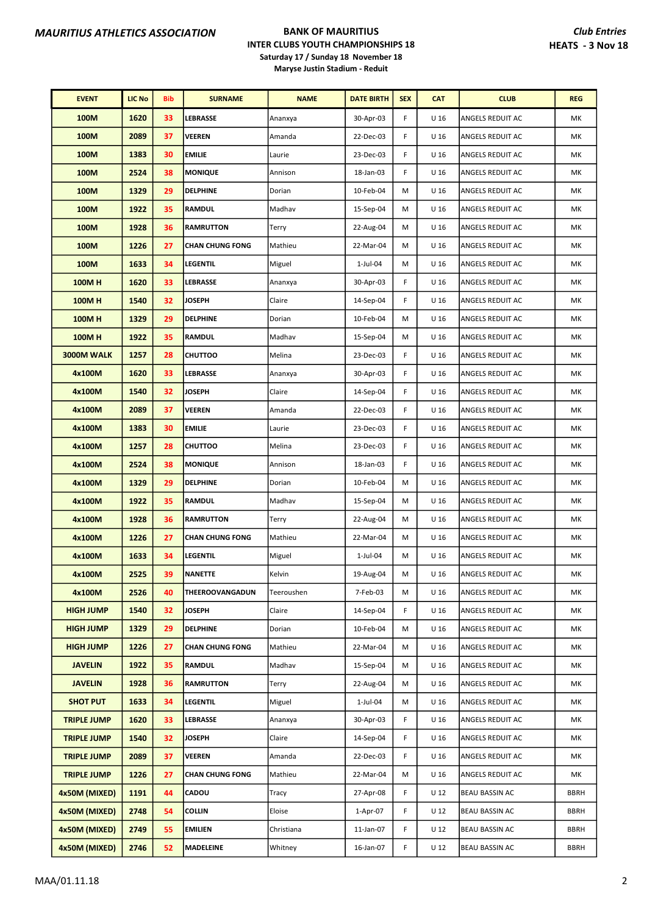| <b>EVENT</b>       | <b>LIC No</b> | <b>Bib</b> | <b>SURNAME</b>         | <b>NAME</b> | <b>DATE BIRTH</b> | <b>SEX</b> | <b>CAT</b>      | <b>CLUB</b>             | <b>REG</b>  |
|--------------------|---------------|------------|------------------------|-------------|-------------------|------------|-----------------|-------------------------|-------------|
| 100M               | 1620          | 33         | <b>LEBRASSE</b>        | Ananxya     | 30-Apr-03         | F          | U <sub>16</sub> | ANGELS REDUIT AC        | МK          |
| 100M               | 2089          | 37         | <b>VEEREN</b>          | Amanda      | 22-Dec-03         | F          | U <sub>16</sub> | ANGELS REDUIT AC        | МΚ          |
| 100M               | 1383          | 30         | <b>EMILIE</b>          | Laurie      | 23-Dec-03         | F          | U <sub>16</sub> | ANGELS REDUIT AC        | МΚ          |
| 100M               | 2524          | 38         | <b>MONIQUE</b>         | Annison     | 18-Jan-03         | F          | U 16            | ANGELS REDUIT AC        | МK          |
| 100M               | 1329          | 29         | <b>DELPHINE</b>        | Dorian      | 10-Feb-04         | М          | U <sub>16</sub> | ANGELS REDUIT AC        | МK          |
| 100M               | 1922          | 35         | <b>RAMDUL</b>          | Madhav      | 15-Sep-04         | М          | U <sub>16</sub> | ANGELS REDUIT AC        | МK          |
| 100M               | 1928          | 36         | <b>RAMRUTTON</b>       | Terry       | 22-Aug-04         | М          | U <sub>16</sub> | ANGELS REDUIT AC        | МK          |
| 100M               | 1226          | 27         | <b>CHAN CHUNG FONG</b> | Mathieu     | 22-Mar-04         | M          | U <sub>16</sub> | ANGELS REDUIT AC        | МΚ          |
| 100M               | 1633          | 34         | <b>LEGENTIL</b>        | Miguel      | $1$ -Jul-04       | М          | U 16            | ANGELS REDUIT AC        | МK          |
| <b>100MH</b>       | 1620          | 33         | <b>LEBRASSE</b>        | Ananxya     | 30-Apr-03         | F          | U <sub>16</sub> | ANGELS REDUIT AC        | МK          |
| <b>100MH</b>       | 1540          | 32         | <b>JOSEPH</b>          | Claire      | 14-Sep-04         | F          | U <sub>16</sub> | ANGELS REDUIT AC        | МK          |
| <b>100MH</b>       | 1329          | 29         | <b>DELPHINE</b>        | Dorian      | 10-Feb-04         | M          | U <sub>16</sub> | ANGELS REDUIT AC        | МΚ          |
| <b>100MH</b>       | 1922          | 35         | <b>RAMDUL</b>          | Madhav      | 15-Sep-04         | М          | U <sub>16</sub> | ANGELS REDUIT AC        | МK          |
| 3000M WALK         | 1257          | 28         | <b>CHUTTOO</b>         | Melina      | 23-Dec-03         | F          | U 16            | ANGELS REDUIT AC        | МK          |
| 4x100M             | 1620          | 33         | <b>LEBRASSE</b>        | Ananxya     | 30-Apr-03         | F          | U <sub>16</sub> | ANGELS REDUIT AC        | МK          |
| 4x100M             | 1540          | 32         | <b>JOSEPH</b>          | Claire      | 14-Sep-04         | F          | U <sub>16</sub> | ANGELS REDUIT AC        | МK          |
| 4x100M             | 2089          | 37         | <b>VEEREN</b>          | Amanda      | 22-Dec-03         | F          | U <sub>16</sub> | ANGELS REDUIT AC        | МΚ          |
| 4x100M             | 1383          | 30         | <b>EMILIE</b>          | Laurie      | 23-Dec-03         | F          | U <sub>16</sub> | ANGELS REDUIT AC        | МΚ          |
| 4x100M             | 1257          | 28         | <b>CHUTTOO</b>         | Melina      | 23-Dec-03         | F          | U <sub>16</sub> | ANGELS REDUIT AC        | МK          |
| 4x100M             | 2524          | 38         | <b>MONIQUE</b>         | Annison     | 18-Jan-03         | F          | U <sub>16</sub> | ANGELS REDUIT AC        | МK          |
| 4x100M             | 1329          | 29         | <b>DELPHINE</b>        | Dorian      | 10-Feb-04         | M          | U <sub>16</sub> | ANGELS REDUIT AC        | МK          |
| 4x100M             | 1922          | 35         | <b>RAMDUL</b>          | Madhav      | 15-Sep-04         | М          | U <sub>16</sub> | ANGELS REDUIT AC        | МK          |
| 4x100M             | 1928          | 36         | <b>RAMRUTTON</b>       | Terry       | 22-Aug-04         | м          | U <sub>16</sub> | ANGELS REDUIT AC        | МΚ          |
| 4x100M             | 1226          | 27         | <b>CHAN CHUNG FONG</b> | Mathieu     | 22-Mar-04         | М          | U <sub>16</sub> | ANGELS REDUIT AC        | МK          |
| 4x100M             | 1633          | 34         | <b>LEGENTIL</b>        | Miguel      | 1-Jul-04          | М          | U <sub>16</sub> | ANGELS REDUIT AC        | МK          |
| 4x100M             | 2525          | 39         | <b>NANETTE</b>         | Kelvin      | 19-Aug-04         | M          | U 16            | <b>ANGELS REDUIT AC</b> | МΚ          |
| 4x100M             | 2526          | 40         | <b>THEEROOVANGADUN</b> | Teeroushen  | 7-Feb-03          | м          | U 16            | ANGELS REDUIT AC        | МΚ          |
| <b>HIGH JUMP</b>   | 1540          | 32         | <b>JOSEPH</b>          | Claire      | 14-Sep-04         | F          | U <sub>16</sub> | ANGELS REDUIT AC        | МΚ          |
| <b>HIGH JUMP</b>   | 1329          | 29         | <b>DELPHINE</b>        | Dorian      | 10-Feb-04         | м          | U 16            | ANGELS REDUIT AC        | МΚ          |
| <b>HIGH JUMP</b>   | 1226          | 27         | <b>CHAN CHUNG FONG</b> | Mathieu     | 22-Mar-04         | М          | U <sub>16</sub> | ANGELS REDUIT AC        | МK          |
| <b>JAVELIN</b>     | 1922          | 35         | <b>RAMDUL</b>          | Madhav      | 15-Sep-04         | M          | U <sub>16</sub> | ANGELS REDUIT AC        | МK          |
| <b>JAVELIN</b>     | 1928          | 36         | <b>RAMRUTTON</b>       | Terry       | 22-Aug-04         | м          | U <sub>16</sub> | ANGELS REDUIT AC        | МK          |
| <b>SHOT PUT</b>    | 1633          | 34         | LEGENTIL               | Miguel      | $1$ -Jul-04       | М          | U <sub>16</sub> | ANGELS REDUIT AC        | МK          |
| <b>TRIPLE JUMP</b> | 1620          | 33         | LEBRASSE               | Ananxya     | 30-Apr-03         | F          | U 16            | ANGELS REDUIT AC        | МK          |
| <b>TRIPLE JUMP</b> | 1540          | 32         | <b>JOSEPH</b>          | Claire      | 14-Sep-04         | F          | U <sub>16</sub> | ANGELS REDUIT AC        | МK          |
| <b>TRIPLE JUMP</b> | 2089          | 37         | <b>VEEREN</b>          | Amanda      | 22-Dec-03         | F          | U <sub>16</sub> | ANGELS REDUIT AC        | МK          |
| <b>TRIPLE JUMP</b> | 1226          | 27         | <b>CHAN CHUNG FONG</b> | Mathieu     | 22-Mar-04         | М          | U <sub>16</sub> | ANGELS REDUIT AC        | МK          |
| 4x50M (MIXED)      | 1191          | 44         | <b>CADOU</b>           | Tracy       | 27-Apr-08         | F          | U <sub>12</sub> | <b>BEAU BASSIN AC</b>   | <b>BBRH</b> |
| 4x50M (MIXED)      | 2748          | 54         | <b>COLLIN</b>          | Eloise      | 1-Apr-07          | F          | U <sub>12</sub> | BEAU BASSIN AC          | <b>BBRH</b> |
| 4x50M (MIXED)      | 2749          | 55         | <b>EMILIEN</b>         | Christiana  | 11-Jan-07         | F          | U <sub>12</sub> | <b>BEAU BASSIN AC</b>   | <b>BBRH</b> |
| 4x50M (MIXED)      | 2746          | 52         | <b>MADELEINE</b>       | Whitney     | 16-Jan-07         | F          | U <sub>12</sub> | <b>BEAU BASSIN AC</b>   | <b>BBRH</b> |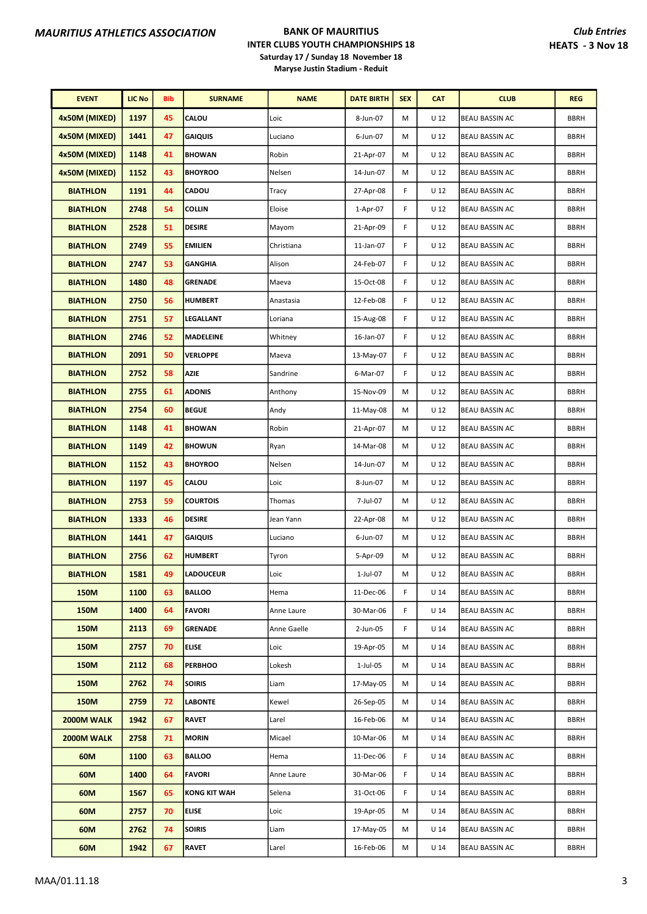| <b>EVENT</b>    | <b>LIC No</b> | <b>Bib</b> | <b>SURNAME</b>      | <b>NAME</b> | <b>DATE BIRTH</b> | <b>SEX</b> | <b>CAT</b>      | <b>CLUB</b>           | <b>REG</b>  |
|-----------------|---------------|------------|---------------------|-------------|-------------------|------------|-----------------|-----------------------|-------------|
| 4x50M (MIXED)   | 1197          | 45         | CALOU               | Loic        | 8-Jun-07          | М          | U <sub>12</sub> | <b>BEAU BASSIN AC</b> | <b>BBRH</b> |
| 4x50M (MIXED)   | 1441          | 47         | <b>GAIQUIS</b>      | Luciano     | 6-Jun-07          | М          | U <sub>12</sub> | BEAU BASSIN AC        | <b>BBRH</b> |
| 4x50M (MIXED)   | 1148          | 41         | <b>BHOWAN</b>       | Robin       | 21-Apr-07         | М          | U 12            | <b>BEAU BASSIN AC</b> | <b>BBRH</b> |
| 4x50M (MIXED)   | 1152          | 43         | <b>BHOYROO</b>      | Nelsen      | 14-Jun-07         | M          | U <sub>12</sub> | <b>BEAU BASSIN AC</b> | <b>BBRH</b> |
| <b>BIATHLON</b> | 1191          | 44         | CADOU               | Tracy       | 27-Apr-08         | F          | U <sub>12</sub> | <b>BEAU BASSIN AC</b> | <b>BBRH</b> |
| <b>BIATHLON</b> | 2748          | 54         | <b>COLLIN</b>       | Eloise      | 1-Apr-07          | F          | U <sub>12</sub> | <b>BEAU BASSIN AC</b> | <b>BBRH</b> |
| <b>BIATHLON</b> | 2528          | 51         | <b>DESIRE</b>       | Mayom       | 21-Apr-09         | F          | U <sub>12</sub> | BEAU BASSIN AC        | <b>BBRH</b> |
| <b>BIATHLON</b> | 2749          | 55         | <b>EMILIEN</b>      | Christiana  | 11-Jan-07         | F          | U 12            | <b>BEAU BASSIN AC</b> | <b>BBRH</b> |
| <b>BIATHLON</b> | 2747          | 53         | <b>GANGHIA</b>      | Alison      | 24-Feb-07         | F          | U <sub>12</sub> | <b>BEAU BASSIN AC</b> | <b>BBRH</b> |
| <b>BIATHLON</b> | 1480          | 48         | <b>GRENADE</b>      | Maeva       | 15-Oct-08         | F          | U <sub>12</sub> | BEAU BASSIN AC        | <b>BBRH</b> |
| <b>BIATHLON</b> | 2750          | 56         | <b>HUMBERT</b>      | Anastasia   | 12-Feb-08         | F          | U <sub>12</sub> | <b>BEAU BASSIN AC</b> | <b>BBRH</b> |
| <b>BIATHLON</b> | 2751          | 57         | <b>LEGALLANT</b>    | Loriana     | 15-Aug-08         | F          | U <sub>12</sub> | BEAU BASSIN AC        | <b>BBRH</b> |
| <b>BIATHLON</b> | 2746          | 52         | <b>MADELEINE</b>    | Whitney     | 16-Jan-07         | F          | U <sub>12</sub> | <b>BEAU BASSIN AC</b> | <b>BBRH</b> |
| <b>BIATHLON</b> | 2091          | 50         | <b>VERLOPPE</b>     | Maeva       | 13-May-07         | F          | U <sub>12</sub> | <b>BEAU BASSIN AC</b> | <b>BBRH</b> |
| <b>BIATHLON</b> | 2752          | 58         | <b>AZIE</b>         | Sandrine    | 6-Mar-07          | F          | U <sub>12</sub> | <b>BEAU BASSIN AC</b> | <b>BBRH</b> |
| <b>BIATHLON</b> | 2755          | 61         | <b>ADONIS</b>       | Anthony     | 15-Nov-09         | M          | U <sub>12</sub> | <b>BEAU BASSIN AC</b> | <b>BBRH</b> |
| <b>BIATHLON</b> | 2754          | 60         | <b>BEGUE</b>        | Andy        | 11-May-08         | М          | U <sub>12</sub> | BEAU BASSIN AC        | <b>BBRH</b> |
| <b>BIATHLON</b> | 1148          | 41         | <b>BHOWAN</b>       | Robin       | 21-Apr-07         | M          | $U$ 12          | <b>BEAU BASSIN AC</b> | <b>BBRH</b> |
| <b>BIATHLON</b> | 1149          | 42         | <b>BHOWUN</b>       | Ryan        | 14-Mar-08         | M          | U <sub>12</sub> | <b>BEAU BASSIN AC</b> | <b>BBRH</b> |
| <b>BIATHLON</b> | 1152          | 43         | <b>BHOYROO</b>      | Nelsen      | 14-Jun-07         | м          | U <sub>12</sub> | <b>BEAU BASSIN AC</b> | <b>BBRH</b> |
| <b>BIATHLON</b> | 1197          | 45         | CALOU               | Loic        | 8-Jun-07          | M          | U <sub>12</sub> | <b>BEAU BASSIN AC</b> | <b>BBRH</b> |
| <b>BIATHLON</b> | 2753          | 59         | <b>COURTOIS</b>     | Thomas      | 7-Jul-07          | M          | U <sub>12</sub> | BEAU BASSIN AC        | <b>BBRH</b> |
| <b>BIATHLON</b> | 1333          | 46         | <b>DESIRE</b>       | Jean Yann   | 22-Apr-08         | М          | U <sub>12</sub> | BEAU BASSIN AC        | <b>BBRH</b> |
| <b>BIATHLON</b> | 1441          | 47         | <b>GAIQUIS</b>      | Luciano     | 6-Jun-07          | М          | U <sub>12</sub> | <b>BEAU BASSIN AC</b> | <b>BBRH</b> |
| <b>BIATHLON</b> | 2756          | 62         | <b>HUMBERT</b>      | Tyron       | 5-Apr-09          | м          | U <sub>12</sub> | <b>BEAU BASSIN AC</b> | <b>BBRH</b> |
| <b>BIATHLON</b> | 1581          | 49         | <b>LADOUCEUR</b>    | Loic        | 1-Jul-07          | М          | U 12            | <b>BEAU BASSIN AC</b> | BBRH        |
| 150M            | 1100          | 63         | <b>BALLOO</b>       | Hema        | 11-Dec-06         | F.         | U <sub>14</sub> | <b>BEAU BASSIN AC</b> | <b>BBRH</b> |
| 150M            | 1400          | 64         | <b>FAVORI</b>       | Anne Laure  | 30-Mar-06         | F          | U 14            | <b>BEAU BASSIN AC</b> | <b>BBRH</b> |
| <b>150M</b>     | 2113          | 69         | <b>GRENADE</b>      | Anne Gaelle | 2-Jun-05          | F          | U <sub>14</sub> | <b>BEAU BASSIN AC</b> | <b>BBRH</b> |
| 150M            | 2757          | 70         | <b>ELISE</b>        | Loic        | 19-Apr-05         | M          | U 14            | <b>BEAU BASSIN AC</b> | <b>BBRH</b> |
| 150M            | 2112          | 68         | <b>PERBHOO</b>      | Lokesh      | 1-Jul-05          | м          | U <sub>14</sub> | <b>BEAU BASSIN AC</b> | <b>BBRH</b> |
| 150M            | 2762          | 74         | <b>SOIRIS</b>       | Liam        | 17-May-05         | М          | U <sub>14</sub> | <b>BEAU BASSIN AC</b> | <b>BBRH</b> |
| 150M            | 2759          | 72         | <b>LABONTE</b>      | Kewel       | 26-Sep-05         | м          | U 14            | <b>BEAU BASSIN AC</b> | <b>BBRH</b> |
| 2000M WALK      | 1942          | 67         | <b>RAVET</b>        | Larel       | 16-Feb-06         | M          | U <sub>14</sub> | <b>BEAU BASSIN AC</b> | <b>BBRH</b> |
| 2000M WALK      | 2758          | 71         | <b>MORIN</b>        | Micael      | 10-Mar-06         | м          | U 14            | <b>BEAU BASSIN AC</b> | <b>BBRH</b> |
| 60M             | 1100          | 63         | <b>BALLOO</b>       | Hema        | 11-Dec-06         | F.         | U <sub>14</sub> | <b>BEAU BASSIN AC</b> | <b>BBRH</b> |
| 60M             | 1400          | 64         | <b>FAVORI</b>       | Anne Laure  | 30-Mar-06         | F.         | U <sub>14</sub> | BEAU BASSIN AC        | <b>BBRH</b> |
| 60M             | 1567          | 65         | <b>KONG KIT WAH</b> | Selena      | 31-Oct-06         | F          | U 14            | <b>BEAU BASSIN AC</b> | <b>BBRH</b> |
| 60M             | 2757          | 70         | ELISE               | Loic        | 19-Apr-05         | M          | U 14            | <b>BEAU BASSIN AC</b> | <b>BBRH</b> |
| 60M             | 2762          | 74         | <b>SOIRIS</b>       | Liam        | 17-May-05         | M          | U 14            | BEAU BASSIN AC        | <b>BBRH</b> |
| 60M             | 1942          | 67         | <b>RAVET</b>        | Larel       | 16-Feb-06         | M          | U <sub>14</sub> | <b>BEAU BASSIN AC</b> | <b>BBRH</b> |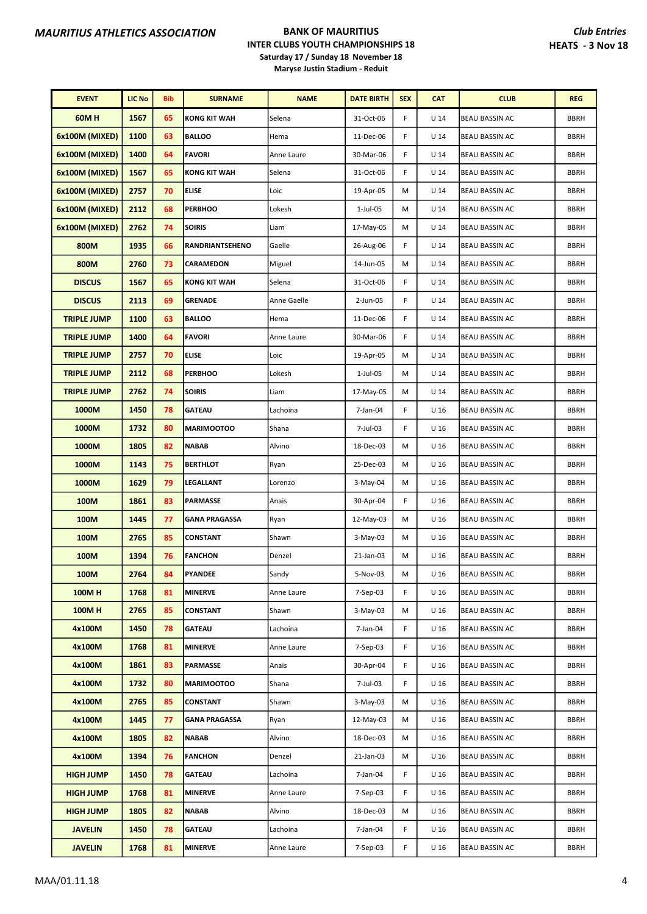| <b>EVENT</b>       | <b>LIC No</b> | <b>Bib</b> | <b>SURNAME</b>       | <b>NAME</b> | <b>DATE BIRTH</b> | <b>SEX</b> | <b>CAT</b>      | <b>CLUB</b>           | <b>REG</b>  |
|--------------------|---------------|------------|----------------------|-------------|-------------------|------------|-----------------|-----------------------|-------------|
| <b>60MH</b>        | 1567          | 65         | <b>KONG KIT WAH</b>  | Selena      | 31-Oct-06         | F          | U <sub>14</sub> | <b>BEAU BASSIN AC</b> | <b>BBRH</b> |
| 6x100M (MIXED)     | 1100          | 63         | <b>BALLOO</b>        | Hema        | 11-Dec-06         | F          | U <sub>14</sub> | <b>BEAU BASSIN AC</b> | <b>BBRH</b> |
| 6x100M (MIXED)     | 1400          | 64         | <b>FAVORI</b>        | Anne Laure  | 30-Mar-06         | F          | U <sub>14</sub> | <b>BEAU BASSIN AC</b> | <b>BBRH</b> |
| 6x100M (MIXED)     | 1567          | 65         | <b>KONG KIT WAH</b>  | Selena      | 31-Oct-06         | F          | U <sub>14</sub> | <b>BEAU BASSIN AC</b> | <b>BBRH</b> |
| 6x100M (MIXED)     | 2757          | 70         | <b>ELISE</b>         | Loic        | 19-Apr-05         | м          | U <sub>14</sub> | <b>BEAU BASSIN AC</b> | <b>BBRH</b> |
| 6x100M (MIXED)     | 2112          | 68         | <b>PERBHOO</b>       | Lokesh      | $1$ -Jul-05       | M          | U <sub>14</sub> | <b>BEAU BASSIN AC</b> | <b>BBRH</b> |
| 6x100M (MIXED)     | 2762          | 74         | <b>SOIRIS</b>        | Liam        | 17-May-05         | м          | U <sub>14</sub> | BEAU BASSIN AC        | <b>BBRH</b> |
| 800M               | 1935          | 66         | RANDRIANTSEHENO      | Gaelle      | 26-Aug-06         | F          | U <sub>14</sub> | BEAU BASSIN AC        | <b>BBRH</b> |
| 800M               | 2760          | 73         | CARAMEDON            | Miguel      | 14-Jun-05         | м          | U <sub>14</sub> | BEAU BASSIN AC        | <b>BBRH</b> |
| <b>DISCUS</b>      | 1567          | 65         | <b>KONG KIT WAH</b>  | Selena      | 31-Oct-06         | F          | U <sub>14</sub> | <b>BEAU BASSIN AC</b> | <b>BBRH</b> |
| <b>DISCUS</b>      | 2113          | 69         | <b>GRENADE</b>       | Anne Gaelle | 2-Jun-05          | F          | $U$ 14          | <b>BEAU BASSIN AC</b> | <b>BBRH</b> |
| <b>TRIPLE JUMP</b> | 1100          | 63         | <b>BALLOO</b>        | Hema        | 11-Dec-06         | F          | U <sub>14</sub> | BEAU BASSIN AC        | <b>BBRH</b> |
| <b>TRIPLE JUMP</b> | 1400          | 64         | <b>FAVORI</b>        | Anne Laure  | 30-Mar-06         | F          | U <sub>14</sub> | <b>BEAU BASSIN AC</b> | <b>BBRH</b> |
| <b>TRIPLE JUMP</b> | 2757          | 70         | <b>ELISE</b>         | Loic        | 19-Apr-05         | М          | U <sub>14</sub> | <b>BEAU BASSIN AC</b> | <b>BBRH</b> |
| <b>TRIPLE JUMP</b> | 2112          | 68         | <b>PERBHOO</b>       | Lokesh      | $1$ -Jul-05       | M          | U <sub>14</sub> | <b>BEAU BASSIN AC</b> | <b>BBRH</b> |
| <b>TRIPLE JUMP</b> | 2762          | 74         | <b>SOIRIS</b>        | Liam        | 17-May-05         | M          | U <sub>14</sub> | <b>BEAU BASSIN AC</b> | <b>BBRH</b> |
| 1000M              | 1450          | 78         | <b>GATEAU</b>        | Lachoina    | 7-Jan-04          | F          | U <sub>16</sub> | BEAU BASSIN AC        | <b>BBRH</b> |
| 1000M              | 1732          | 80         | <b>MARIMOOTOO</b>    | Shana       | 7-Jul-03          | F          | U 16            | <b>BEAU BASSIN AC</b> | <b>BBRH</b> |
| 1000M              | 1805          | 82         | <b>NABAB</b>         | Alvino      | 18-Dec-03         | М          | U <sub>16</sub> | <b>BEAU BASSIN AC</b> | <b>BBRH</b> |
| 1000M              | 1143          | 75         | <b>BERTHLOT</b>      | Ryan        | 25-Dec-03         | м          | U 16            | <b>BEAU BASSIN AC</b> | <b>BBRH</b> |
| 1000M              | 1629          | 79         | LEGALLANT            | Lorenzo     | 3-May-04          | М          | U <sub>16</sub> | <b>BEAU BASSIN AC</b> | <b>BBRH</b> |
| 100M               | 1861          | 83         | PARMASSE             | Anais       | 30-Apr-04         | F          | U <sub>16</sub> | BEAU BASSIN AC        | <b>BBRH</b> |
| 100M               | 1445          | 77         | <b>GANA PRAGASSA</b> | Ryan        | 12-May-03         | М          | U <sub>16</sub> | <b>BEAU BASSIN AC</b> | <b>BBRH</b> |
| 100M               | 2765          | 85         | <b>CONSTANT</b>      | Shawn       | 3-May-03          | М          | U 16            | <b>BEAU BASSIN AC</b> | <b>BBRH</b> |
| 100M               | 1394          | 76         | <b>FANCHON</b>       | Denzel      | 21-Jan-03         | м          | U <sub>16</sub> | <b>BEAU BASSIN AC</b> | <b>BBRH</b> |
| 100M               | 2764          | 84         | PYANDEE              | Sandy       | 5-Nov-03          | М          | U 16            | <b>BEAU BASSIN AC</b> | BBRH        |
| <b>100MH</b>       | 1768          | 81         | <b>MINERVE</b>       | Anne Laure  | 7-Sep-03          | F.         | U 16            | BEAU BASSIN AC        | <b>BBRH</b> |
| 100MH              | 2765          | 85         | <b>CONSTANT</b>      | Shawn       | $3-May-03$        | м          | U <sub>16</sub> | <b>BEAU BASSIN AC</b> | <b>BBRH</b> |
| 4x100M             | 1450          | 78         | <b>GATEAU</b>        | Lachoina    | 7-Jan-04          | F          | U <sub>16</sub> | <b>BEAU BASSIN AC</b> | <b>BBRH</b> |
| 4x100M             | 1768          | 81         | <b>MINERVE</b>       | Anne Laure  | 7-Sep-03          | F          | U 16            | <b>BEAU BASSIN AC</b> | <b>BBRH</b> |
| 4x100M             | 1861          | 83         | <b>PARMASSE</b>      | Anais       | 30-Apr-04         | F          | U <sub>16</sub> | <b>BEAU BASSIN AC</b> | <b>BBRH</b> |
| 4x100M             | 1732          | 80         | <b>MARIMOOTOO</b>    | Shana       | 7-Jul-03          | F.         | U <sub>16</sub> | BEAU BASSIN AC        | <b>BBRH</b> |
| 4x100M             | 2765          | 85         | <b>CONSTANT</b>      | Shawn       | $3-May-03$        | М          | U <sub>16</sub> | <b>BEAU BASSIN AC</b> | <b>BBRH</b> |
| 4x100M             | 1445          | 77         | <b>GANA PRAGASSA</b> | Ryan        | 12-May-03         | M          | U <sub>16</sub> | <b>BEAU BASSIN AC</b> | <b>BBRH</b> |
| 4x100M             | 1805          | 82         | <b>NABAB</b>         | Alvino      | 18-Dec-03         | м          | U 16            | <b>BEAU BASSIN AC</b> | <b>BBRH</b> |
| 4x100M             | 1394          | 76         | <b>FANCHON</b>       | Denzel      | 21-Jan-03         | м          | U <sub>16</sub> | <b>BEAU BASSIN AC</b> | <b>BBRH</b> |
| <b>HIGH JUMP</b>   | 1450          | 78         | <b>GATEAU</b>        | Lachoina    | 7-Jan-04          | F          | U <sub>16</sub> | BEAU BASSIN AC        | <b>BBRH</b> |
| <b>HIGH JUMP</b>   | 1768          | 81         | <b>MINERVE</b>       | Anne Laure  | 7-Sep-03          | F          | U 16            | <b>BEAU BASSIN AC</b> | <b>BBRH</b> |
| <b>HIGH JUMP</b>   | 1805          | 82         | <b>NABAB</b>         | Alvino      | 18-Dec-03         | M          | U 16            | BEAU BASSIN AC        | <b>BBRH</b> |
| <b>JAVELIN</b>     | 1450          | 78         | <b>GATEAU</b>        | Lachoina    | 7-Jan-04          | F          | U 16            | BEAU BASSIN AC        | <b>BBRH</b> |
| <b>JAVELIN</b>     | 1768          | 81         | <b>MINERVE</b>       | Anne Laure  | 7-Sep-03          | F.         | U <sub>16</sub> | <b>BEAU BASSIN AC</b> | <b>BBRH</b> |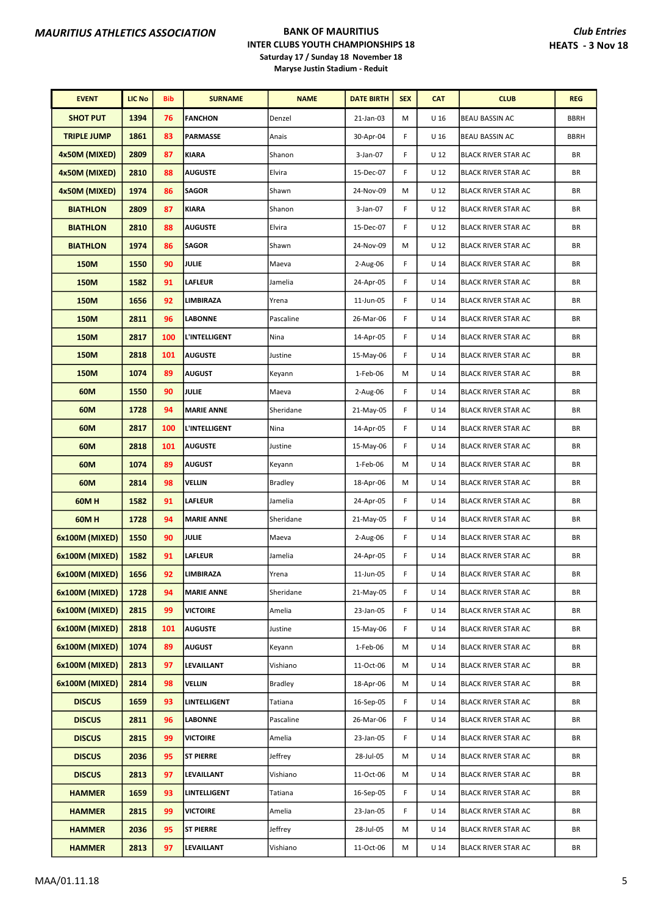| <b>EVENT</b>       | <b>LIC No</b> | Bib | <b>SURNAME</b>    | <b>NAME</b>    | <b>DATE BIRTH</b> | <b>SEX</b> | <b>CAT</b>      | <b>CLUB</b>                | <b>REG</b>  |
|--------------------|---------------|-----|-------------------|----------------|-------------------|------------|-----------------|----------------------------|-------------|
| <b>SHOT PUT</b>    | 1394          | 76  | <b>FANCHON</b>    | Denzel         | 21-Jan-03         | M          | U <sub>16</sub> | BEAU BASSIN AC             | <b>BBRH</b> |
| <b>TRIPLE JUMP</b> | 1861          | 83  | <b>PARMASSE</b>   | Anais          | 30-Apr-04         | F          | U <sub>16</sub> | BEAU BASSIN AC             | <b>BBRH</b> |
| 4x50M (MIXED)      | 2809          | 87  | <b>KIARA</b>      | Shanon         | 3-Jan-07          | F          | U <sub>12</sub> | <b>BLACK RIVER STAR AC</b> | BR          |
| 4x50M (MIXED)      | 2810          | 88  | <b>AUGUSTE</b>    | Elvira         | 15-Dec-07         | F          | U <sub>12</sub> | BLACK RIVER STAR AC        | BR          |
| 4x50M (MIXED)      | 1974          | 86  | <b>SAGOR</b>      | Shawn          | 24-Nov-09         | M          | U <sub>12</sub> | <b>BLACK RIVER STAR AC</b> | BR          |
| <b>BIATHLON</b>    | 2809          | 87  | <b>KIARA</b>      | Shanon         | 3-Jan-07          | F          | U <sub>12</sub> | BLACK RIVER STAR AC        | BR          |
| <b>BIATHLON</b>    | 2810          | 88  | <b>AUGUSTE</b>    | Elvira         | 15-Dec-07         | F          | U <sub>12</sub> | <b>BLACK RIVER STAR AC</b> | ΒR          |
| <b>BIATHLON</b>    | 1974          | 86  | <b>SAGOR</b>      | Shawn          | 24-Nov-09         | M          | U <sub>12</sub> | <b>BLACK RIVER STAR AC</b> | ΒR          |
| 150M               | 1550          | 90  | <b>JULIE</b>      | Maeva          | 2-Aug-06          | F          | U <sub>14</sub> | <b>BLACK RIVER STAR AC</b> | BR          |
| <b>150M</b>        | 1582          | 91  | <b>LAFLEUR</b>    | Jamelia        | 24-Apr-05         | F          | U <sub>14</sub> | <b>BLACK RIVER STAR AC</b> | BR          |
| 150M               | 1656          | 92  | LIMBIRAZA         | Yrena          | 11-Jun-05         | F          | U <sub>14</sub> | <b>BLACK RIVER STAR AC</b> | BR          |
| 150M               | 2811          | 96  | LABONNE           | Pascaline      | 26-Mar-06         | F          | $U$ 14          | <b>BLACK RIVER STAR AC</b> | BR          |
| 150M               | 2817          | 100 | L'INTELLIGENT     | Nina           | 14-Apr-05         | F          | U <sub>14</sub> | <b>BLACK RIVER STAR AC</b> | BR          |
| 150M               | 2818          | 101 | <b>AUGUSTE</b>    | Justine        | 15-May-06         | F.         | U <sub>14</sub> | <b>BLACK RIVER STAR AC</b> | BR          |
| <b>150M</b>        | 1074          | 89  | <b>AUGUST</b>     | Keyann         | 1-Feb-06          | M          | $U$ 14          | <b>BLACK RIVER STAR AC</b> | BR          |
| 60M                | 1550          | 90  | <b>JULIE</b>      | Maeva          | 2-Aug-06          | F          | U <sub>14</sub> | BLACK RIVER STAR AC        | BR          |
| 60M                | 1728          | 94  | <b>MARIE ANNE</b> | Sheridane      | 21-May-05         | F          | U <sub>14</sub> | <b>BLACK RIVER STAR AC</b> | ΒR          |
| 60M                | 2817          | 100 | L'INTELLIGENT     | Nina           | 14-Apr-05         | F          | U <sub>14</sub> | <b>BLACK RIVER STAR AC</b> | BR          |
| 60M                | 2818          | 101 | <b>AUGUSTE</b>    | Justine        | 15-May-06         | F.         | $U$ 14          | <b>BLACK RIVER STAR AC</b> | BR          |
| 60M                | 1074          | 89  | <b>AUGUST</b>     | Keyann         | 1-Feb-06          | M          | $U$ 14          | <b>BLACK RIVER STAR AC</b> | BR          |
| 60M                | 2814          | 98  | VELLIN            | <b>Bradley</b> | 18-Apr-06         | M          | U <sub>14</sub> | BLACK RIVER STAR AC        | BR          |
| 60MH               | 1582          | 91  | LAFLEUR           | Jamelia        | 24-Apr-05         | F          | U <sub>14</sub> | <b>BLACK RIVER STAR AC</b> | BR          |
| 60M H              | 1728          | 94  | <b>MARIE ANNE</b> | Sheridane      | 21-May-05         | F          | U <sub>14</sub> | <b>BLACK RIVER STAR AC</b> | BR          |
| 6x100M (MIXED)     | 1550          | 90  | <b>JULIE</b>      | Maeva          | $2-Aug-06$        | F          | U <sub>14</sub> | <b>BLACK RIVER STAR AC</b> | BR          |
| 6x100M (MIXED)     | 1582          | 91  | <b>LAFLEUR</b>    | Jamelia        | 24-Apr-05         | F          | U <sub>14</sub> | <b>BLACK RIVER STAR AC</b> | BR          |
| 6x100M (MIXED)     | 1656          | 92  | <b>LIMBIRAZA</b>  | Yrena          | 11-Jun-05         | F          | U <sub>14</sub> | <b>BLACK RIVER STAR AC</b> | ΒR          |
| 6x100M (MIXED)     | 1728          | 94  | <b>MARIE ANNE</b> | Sheridane      | 21-May-05         | F          | U <sub>14</sub> | <b>BLACK RIVER STAR AC</b> | BR          |
| 6x100M (MIXED)     | 2815          | 99  | <b>VICTOIRE</b>   | Amelia         | 23-Jan-05         | F          | U <sub>14</sub> | <b>BLACK RIVER STAR AC</b> | BR          |
| 6x100M (MIXED)     | 2818          | 101 | <b>AUGUSTE</b>    | Justine        | 15-May-06         | F.         | U <sub>14</sub> | <b>BLACK RIVER STAR AC</b> | BR          |
| 6x100M (MIXED)     | 1074          | 89  | <b>AUGUST</b>     | Keyann         | 1-Feb-06          | M          | U <sub>14</sub> | <b>BLACK RIVER STAR AC</b> | BR          |
| 6x100M (MIXED)     | 2813          | 97  | LEVAILLANT        | Vishiano       | 11-Oct-06         | M          | U <sub>14</sub> | BLACK RIVER STAR AC        | BR          |
| 6x100M (MIXED)     | 2814          | 98  | VELLIN            | <b>Bradley</b> | 18-Apr-06         | М          | U <sub>14</sub> | <b>BLACK RIVER STAR AC</b> | ΒR          |
| <b>DISCUS</b>      | 1659          | 93  | LINTELLIGENT      | Tatiana        | 16-Sep-05         | F          | $U$ 14          | BLACK RIVER STAR AC        | ΒR          |
| <b>DISCUS</b>      | 2811          | 96  | <b>LABONNE</b>    | Pascaline      | 26-Mar-06         | F          | U <sub>14</sub> | BLACK RIVER STAR AC        | BR          |
| <b>DISCUS</b>      | 2815          | 99  | <b>VICTOIRE</b>   | Amelia         | 23-Jan-05         | F.         | U <sub>14</sub> | BLACK RIVER STAR AC        | BR          |
| <b>DISCUS</b>      | 2036          | 95  | <b>ST PIERRE</b>  | Jeffrey        | 28-Jul-05         | М          | U 14            | BLACK RIVER STAR AC        | BR          |
| <b>DISCUS</b>      | 2813          | 97  | LEVAILLANT        | Vishiano       | 11-Oct-06         | м          | U <sub>14</sub> | <b>BLACK RIVER STAR AC</b> | BR          |
| <b>HAMMER</b>      | 1659          | 93  | LINTELLIGENT      | Tatiana        | 16-Sep-05         | F          | U <sub>14</sub> | <b>BLACK RIVER STAR AC</b> | BR          |
| <b>HAMMER</b>      | 2815          | 99  | <b>VICTOIRE</b>   | Amelia         | 23-Jan-05         | F          | U <sub>14</sub> | <b>BLACK RIVER STAR AC</b> | BR          |
| <b>HAMMER</b>      | 2036          | 95  | <b>ST PIERRE</b>  | Jeffrey        | 28-Jul-05         | M          | U <sub>14</sub> | <b>BLACK RIVER STAR AC</b> | BR          |
| <b>HAMMER</b>      | 2813          | 97  | LEVAILLANT        | Vishiano       | 11-Oct-06         | Μ          | U <sub>14</sub> | <b>BLACK RIVER STAR AC</b> | BR          |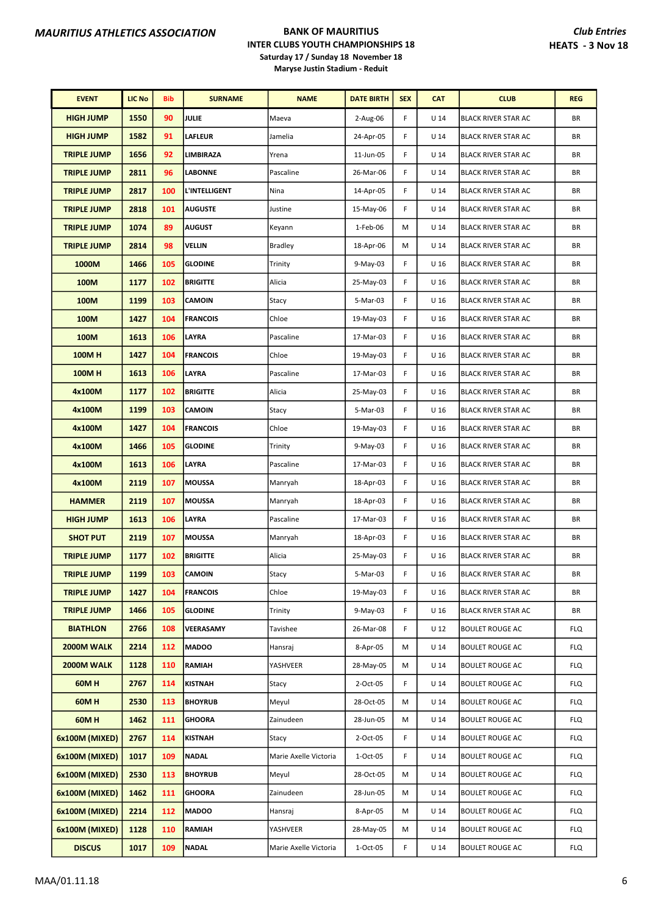| <b>EVENT</b>       | <b>LIC No</b> | <b>Bib</b> | <b>SURNAME</b>       | <b>NAME</b>           | <b>DATE BIRTH</b> | <b>SEX</b> | <b>CAT</b>      | <b>CLUB</b>                | <b>REG</b> |
|--------------------|---------------|------------|----------------------|-----------------------|-------------------|------------|-----------------|----------------------------|------------|
| <b>HIGH JUMP</b>   | 1550          | 90         | <b>JULIE</b>         | Maeva                 | 2-Aug-06          | F          | $U$ 14          | <b>BLACK RIVER STAR AC</b> | BR         |
| <b>HIGH JUMP</b>   | 1582          | 91         | <b>LAFLEUR</b>       | Jamelia               | 24-Apr-05         | F          | U <sub>14</sub> | <b>BLACK RIVER STAR AC</b> | BR         |
| <b>TRIPLE JUMP</b> | 1656          | 92         | LIMBIRAZA            | Yrena                 | 11-Jun-05         | F          | U <sub>14</sub> | <b>BLACK RIVER STAR AC</b> | BR         |
| <b>TRIPLE JUMP</b> | 2811          | 96         | LABONNE              | Pascaline             | 26-Mar-06         | F          | U 14            | <b>BLACK RIVER STAR AC</b> | ΒR         |
| <b>TRIPLE JUMP</b> | 2817          | 100        | <b>L'INTELLIGENT</b> | Nina                  | 14-Apr-05         | F          | U <sub>14</sub> | <b>BLACK RIVER STAR AC</b> | ΒR         |
| <b>TRIPLE JUMP</b> | 2818          | 101        | <b>AUGUSTE</b>       | Justine               | 15-May-06         | F          | U <sub>14</sub> | <b>BLACK RIVER STAR AC</b> | BR         |
| <b>TRIPLE JUMP</b> | 1074          | 89         | <b>AUGUST</b>        | Keyann                | 1-Feb-06          | M          | U <sub>14</sub> | <b>BLACK RIVER STAR AC</b> | BR         |
| <b>TRIPLE JUMP</b> | 2814          | 98         | VELLIN               | <b>Bradley</b>        | 18-Apr-06         | M          | U <sub>14</sub> | <b>BLACK RIVER STAR AC</b> | BR         |
| 1000M              | 1466          | 105        | <b>GLODINE</b>       | Trinity               | 9-May-03          | F          | U <sub>16</sub> | <b>BLACK RIVER STAR AC</b> | ΒR         |
| 100M               | 1177          | 102        | <b>BRIGITTE</b>      | Alicia                | 25-May-03         | F          | U <sub>16</sub> | <b>BLACK RIVER STAR AC</b> | ΒR         |
| 100M               | 1199          | 103        | <b>CAMOIN</b>        | Stacy                 | 5-Mar-03          | F          | U <sub>16</sub> | <b>BLACK RIVER STAR AC</b> | BR         |
| 100M               | 1427          | 104        | <b>FRANCOIS</b>      | Chloe                 | 19-May-03         | F          | U <sub>16</sub> | <b>BLACK RIVER STAR AC</b> | BR         |
| 100M               | 1613          | 106        | LAYRA                | Pascaline             | 17-Mar-03         | F          | U <sub>16</sub> | <b>BLACK RIVER STAR AC</b> | BR         |
| <b>100MH</b>       | 1427          | 104        | <b>FRANCOIS</b>      | Chloe                 | 19-May-03         | F          | U <sub>16</sub> | <b>BLACK RIVER STAR AC</b> | BR         |
| <b>100MH</b>       | 1613          | 106        | LAYRA                | Pascaline             | 17-Mar-03         | F          | U <sub>16</sub> | <b>BLACK RIVER STAR AC</b> | BR         |
| 4x100M             | 1177          | 102        | <b>BRIGITTE</b>      | Alicia                | 25-May-03         | F          | U <sub>16</sub> | <b>BLACK RIVER STAR AC</b> | BR         |
| 4x100M             | 1199          | 103        | <b>CAMOIN</b>        | Stacy                 | 5-Mar-03          | F          | U 16            | <b>BLACK RIVER STAR AC</b> | BR         |
| 4x100M             | 1427          | 104        | <b>FRANCOIS</b>      | Chloe                 | 19-May-03         | F          | U <sub>16</sub> | <b>BLACK RIVER STAR AC</b> | ΒR         |
| 4x100M             | 1466          | 105        | <b>GLODINE</b>       | Trinity               | 9-May-03          | F          | U <sub>16</sub> | <b>BLACK RIVER STAR AC</b> | ΒR         |
| 4x100M             | 1613          | 106        | <b>LAYRA</b>         | Pascaline             | 17-Mar-03         | F          | U <sub>16</sub> | <b>BLACK RIVER STAR AC</b> | BR         |
| 4x100M             | 2119          | 107        | <b>MOUSSA</b>        | Manryah               | 18-Apr-03         | F          | U <sub>16</sub> | <b>BLACK RIVER STAR AC</b> | BR         |
| <b>HAMMER</b>      | 2119          | 107        | <b>MOUSSA</b>        | Manryah               | 18-Apr-03         | F          | U <sub>16</sub> | <b>BLACK RIVER STAR AC</b> | BR         |
| <b>HIGH JUMP</b>   | 1613          | 106        | LAYRA                | Pascaline             | 17-Mar-03         | F          | U <sub>16</sub> | <b>BLACK RIVER STAR AC</b> | BR         |
| <b>SHOT PUT</b>    | 2119          | 107        | <b>MOUSSA</b>        | Manryah               | 18-Apr-03         | F          | U <sub>16</sub> | <b>BLACK RIVER STAR AC</b> | BR         |
| <b>TRIPLE JUMP</b> | 1177          | 102        | <b>BRIGITTE</b>      | Alicia                | 25-May-03         | F          | U 16            | <b>BLACK RIVER STAR AC</b> | ΒR         |
| <b>TRIPLE JUMP</b> | 1199          | 103        | <b>CAMOIN</b>        | Stacy                 | 5-Mar-03          | F          | U 16            | <b>BLACK RIVER STAR AC</b> | ΒR         |
| <b>TRIPLE JUMP</b> | 1427          | 104        | <b>FRANCOIS</b>      | Chloe                 | 19-May-03         | F          | U 16            | <b>BLACK RIVER STAR AC</b> | BR         |
| <b>TRIPLE JUMP</b> | 1466          | 105        | <b>GLODINE</b>       | Trinity               | 9-May-03          | F          | U 16            | <b>BLACK RIVER STAR AC</b> | BR         |
| <b>BIATHLON</b>    | 2766          | 108        | VEERASAMY            | Tavishee              | 26-Mar-08         | F          | U 12            | <b>BOULET ROUGE AC</b>     | <b>FLQ</b> |
| 2000M WALK         | 2214          | 112        | <b>MADOO</b>         | Hansraj               | 8-Apr-05          | м          | U <sub>14</sub> | <b>BOULET ROUGE AC</b>     | <b>FLQ</b> |
| 2000M WALK         | 1128          | <b>110</b> | <b>RAMIAH</b>        | YASHVEER              | 28-May-05         | М          | $U$ 14          | <b>BOULET ROUGE AC</b>     | <b>FLQ</b> |
| 60MH               | 2767          | 114        | <b>KISTNAH</b>       | Stacy                 | 2-Oct-05          | F          | U 14            | <b>BOULET ROUGE AC</b>     | <b>FLQ</b> |
| 60MH               | 2530          | 113        | <b>BHOYRUB</b>       | Meyul                 | 28-Oct-05         | M          | U 14            | <b>BOULET ROUGE AC</b>     | <b>FLQ</b> |
| 60M H              | 1462          | 111        | <b>GHOORA</b>        | Zainudeen             | 28-Jun-05         | M          | U <sub>14</sub> | <b>BOULET ROUGE AC</b>     | <b>FLQ</b> |
| 6x100M (MIXED)     | 2767          | 114        | <b>KISTNAH</b>       | Stacy                 | 2-Oct-05          | F          | U <sub>14</sub> | <b>BOULET ROUGE AC</b>     | <b>FLQ</b> |
| 6x100M (MIXED)     | 1017          | 109        | <b>NADAL</b>         | Marie Axelle Victoria | 1-Oct-05          | F          | $U$ 14          | <b>BOULET ROUGE AC</b>     | <b>FLQ</b> |
| 6x100M (MIXED)     | 2530          | 113        | <b>BHOYRUB</b>       | Meyul                 | 28-Oct-05         | M          | U 14            | <b>BOULET ROUGE AC</b>     | <b>FLQ</b> |
| 6x100M (MIXED)     | 1462          | 111        | <b>GHOORA</b>        | Zainudeen             | 28-Jun-05         | M          | U 14            | <b>BOULET ROUGE AC</b>     | <b>FLQ</b> |
| 6x100M (MIXED)     | 2214          | 112        | <b>MADOO</b>         | Hansraj               | 8-Apr-05          | M          | U 14            | <b>BOULET ROUGE AC</b>     | <b>FLQ</b> |
| 6x100M (MIXED)     | 1128          | 110        | <b>RAMIAH</b>        | YASHVEER              | 28-May-05         | M          | U <sub>14</sub> | <b>BOULET ROUGE AC</b>     | <b>FLQ</b> |
| <b>DISCUS</b>      | 1017          | 109        | <b>NADAL</b>         | Marie Axelle Victoria | 1-Oct-05          | F          | $U$ 14          | <b>BOULET ROUGE AC</b>     | <b>FLQ</b> |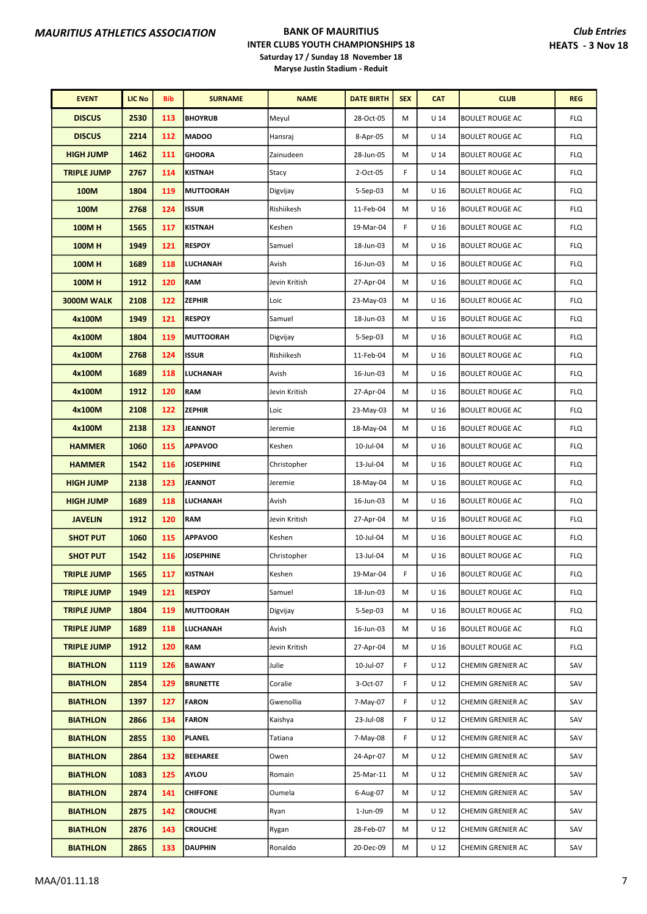| <b>EVENT</b>       | <b>LIC No</b> | <b>Bib</b> | <b>SURNAME</b>   | <b>NAME</b>   | <b>DATE BIRTH</b> | <b>SEX</b> | <b>CAT</b>      | <b>CLUB</b>            | <b>REG</b> |
|--------------------|---------------|------------|------------------|---------------|-------------------|------------|-----------------|------------------------|------------|
| <b>DISCUS</b>      | 2530          | 113        | <b>BHOYRUB</b>   | Meyul         | 28-Oct-05         | М          | U <sub>14</sub> | <b>BOULET ROUGE AC</b> | <b>FLQ</b> |
| <b>DISCUS</b>      | 2214          | 112        | <b>MADOO</b>     | Hansraj       | 8-Apr-05          | M          | $U$ 14          | <b>BOULET ROUGE AC</b> | <b>FLQ</b> |
| <b>HIGH JUMP</b>   | 1462          | 111        | <b>GHOORA</b>    | Zainudeen     | 28-Jun-05         | M          | U <sub>14</sub> | <b>BOULET ROUGE AC</b> | <b>FLQ</b> |
| <b>TRIPLE JUMP</b> | 2767          | 114        | <b>KISTNAH</b>   | Stacy         | 2-Oct-05          | F          | $U$ 14          | <b>BOULET ROUGE AC</b> | <b>FLQ</b> |
| 100M               | 1804          | 119        | <b>MUTTOORAH</b> | Digvijay      | 5-Sep-03          | M          | U <sub>16</sub> | <b>BOULET ROUGE AC</b> | <b>FLQ</b> |
| 100M               | 2768          | 124        | <b>ISSUR</b>     | Rishiikesh    | 11-Feb-04         | M          | U <sub>16</sub> | <b>BOULET ROUGE AC</b> | <b>FLQ</b> |
| <b>100MH</b>       | 1565          | 117        | <b>KISTNAH</b>   | Keshen        | 19-Mar-04         | F          | U <sub>16</sub> | <b>BOULET ROUGE AC</b> | <b>FLQ</b> |
| <b>100MH</b>       | 1949          | 121        | <b>RESPOY</b>    | Samuel        | 18-Jun-03         | M          | U <sub>16</sub> | <b>BOULET ROUGE AC</b> | <b>FLQ</b> |
| <b>100MH</b>       | 1689          | 118        | LUCHANAH         | Avish         | 16-Jun-03         | M          | U <sub>16</sub> | <b>BOULET ROUGE AC</b> | <b>FLQ</b> |
| <b>100MH</b>       | 1912          | 120        | <b>RAM</b>       | Jevin Kritish | 27-Apr-04         | M          | U <sub>16</sub> | <b>BOULET ROUGE AC</b> | <b>FLQ</b> |
| 3000M WALK         | 2108          | 122        | <b>ZEPHIR</b>    | Loic          | 23-May-03         | M          | U <sub>16</sub> | <b>BOULET ROUGE AC</b> | <b>FLQ</b> |
| 4x100M             | 1949          | 121        | <b>RESPOY</b>    | Samuel        | 18-Jun-03         | M          | U <sub>16</sub> | <b>BOULET ROUGE AC</b> | <b>FLQ</b> |
| 4x100M             | 1804          | 119        | <b>MUTTOORAH</b> | Digvijay      | $5-Sep-03$        | M          | U <sub>16</sub> | <b>BOULET ROUGE AC</b> | <b>FLQ</b> |
| 4x100M             | 2768          | 124        | <b>ISSUR</b>     | Rishiikesh    | 11-Feb-04         | M          | U <sub>16</sub> | <b>BOULET ROUGE AC</b> | <b>FLQ</b> |
| 4x100M             | 1689          | 118        | LUCHANAH         | Avish         | 16-Jun-03         | M          | U <sub>16</sub> | <b>BOULET ROUGE AC</b> | <b>FLQ</b> |
| 4x100M             | 1912          | 120        | <b>RAM</b>       | Jevin Kritish | 27-Apr-04         | M          | U <sub>16</sub> | <b>BOULET ROUGE AC</b> | <b>FLQ</b> |
| 4x100M             | 2108          | 122        | <b>ZEPHIR</b>    | Loic          | 23-May-03         | M          | U <sub>16</sub> | <b>BOULET ROUGE AC</b> | <b>FLQ</b> |
| 4x100M             | 2138          | 123        | <b>JEANNOT</b>   | Jeremie       | 18-May-04         | M          | U <sub>16</sub> | <b>BOULET ROUGE AC</b> | <b>FLQ</b> |
| <b>HAMMER</b>      | 1060          | 115        | <b>APPAVOO</b>   | Keshen        | 10-Jul-04         | M          | U <sub>16</sub> | <b>BOULET ROUGE AC</b> | <b>FLQ</b> |
| <b>HAMMER</b>      | 1542          | 116        | <b>JOSEPHINE</b> | Christopher   | 13-Jul-04         | M          | U <sub>16</sub> | <b>BOULET ROUGE AC</b> | <b>FLQ</b> |
| <b>HIGH JUMP</b>   | 2138          | 123        | <b>JEANNOT</b>   | Jeremie       | 18-May-04         | M          | U <sub>16</sub> | <b>BOULET ROUGE AC</b> | <b>FLQ</b> |
| <b>HIGH JUMP</b>   | 1689          | 118        | LUCHANAH         | Avish         | 16-Jun-03         | M          | U <sub>16</sub> | <b>BOULET ROUGE AC</b> | <b>FLQ</b> |
| <b>JAVELIN</b>     | 1912          | 120        | <b>RAM</b>       | Jevin Kritish | 27-Apr-04         | M          | U <sub>16</sub> | <b>BOULET ROUGE AC</b> | <b>FLQ</b> |
| <b>SHOT PUT</b>    | 1060          | 115        | <b>APPAVOO</b>   | Keshen        | 10-Jul-04         | М          | U <sub>16</sub> | <b>BOULET ROUGE AC</b> | <b>FLQ</b> |
| <b>SHOT PUT</b>    | 1542          | 116        | <b>JOSEPHINE</b> | Christopher   | 13-Jul-04         | M          | U <sub>16</sub> | <b>BOULET ROUGE AC</b> | <b>FLQ</b> |
| <b>TRIPLE JUMP</b> | 1565          | 117        | KISTNAH          | Keshen        | 19-Mar-04         | F          | U 16            | <b>BOULET ROUGE AC</b> | <b>FLQ</b> |
| <b>TRIPLE JUMP</b> | 1949          | 121        | <b>RESPOY</b>    | Samuel        | 18-Jun-03         | M          | U 16            | <b>BOULET ROUGE AC</b> | <b>FLQ</b> |
| <b>TRIPLE JUMP</b> | 1804          | 119        | <b>MUTTOORAH</b> | Digvijay      | 5-Sep-03          | М          | U <sub>16</sub> | <b>BOULET ROUGE AC</b> | <b>FLQ</b> |
| <b>TRIPLE JUMP</b> | 1689          | 118        | LUCHANAH         | Avish         | 16-Jun-03         | М          | U 16            | <b>BOULET ROUGE AC</b> | <b>FLQ</b> |
| <b>TRIPLE JUMP</b> | 1912          | 120        | <b>RAM</b>       | Jevin Kritish | 27-Apr-04         | M          | U <sub>16</sub> | <b>BOULET ROUGE AC</b> | <b>FLQ</b> |
| <b>BIATHLON</b>    | 1119          | 126        | <b>BAWANY</b>    | Julie         | 10-Jul-07         | F          | U <sub>12</sub> | CHEMIN GRENIER AC      | SAV        |
| <b>BIATHLON</b>    | 2854          | 129        | <b>BRUNETTE</b>  | Coralie       | 3-Oct-07          | F          | U 12            | CHEMIN GRENIER AC      | SAV        |
| <b>BIATHLON</b>    | 1397          | 127        | <b>FARON</b>     | Gwenollia     | 7-May-07          | F          | $U_12$          | CHEMIN GRENIER AC      | SAV        |
| <b>BIATHLON</b>    | 2866          | 134        | <b>FARON</b>     | Kaishya       | 23-Jul-08         | F          | U 12            | CHEMIN GRENIER AC      | SAV        |
| <b>BIATHLON</b>    | 2855          | 130        | <b>PLANEL</b>    | Tatiana       | 7-May-08          | F          | U <sub>12</sub> | CHEMIN GRENIER AC      | SAV        |
| <b>BIATHLON</b>    | 2864          | 132        | <b>BEEHAREE</b>  | Owen          | 24-Apr-07         | M          | U <sub>12</sub> | CHEMIN GRENIER AC      | SAV        |
| <b>BIATHLON</b>    | 1083          | 125        | AYLOU            | Romain        | 25-Mar-11         | М          | U <sub>12</sub> | CHEMIN GRENIER AC      | SAV        |
| <b>BIATHLON</b>    | 2874          | 141        | <b>CHIFFONE</b>  | Oumela        | 6-Aug-07          | М          | U <sub>12</sub> | CHEMIN GRENIER AC      | SAV        |
| <b>BIATHLON</b>    | 2875          | 142        | <b>CROUCHE</b>   | Ryan          | 1-Jun-09          | М          | U 12            | CHEMIN GRENIER AC      | SAV        |
| <b>BIATHLON</b>    | 2876          | 143        | <b>CROUCHE</b>   | Rygan         | 28-Feb-07         | M          | U <sub>12</sub> | CHEMIN GRENIER AC      | SAV        |
| <b>BIATHLON</b>    | 2865          | 133        | <b>DAUPHIN</b>   | Ronaldo       | 20-Dec-09         | M          | $U_12$          | CHEMIN GRENIER AC      | SAV        |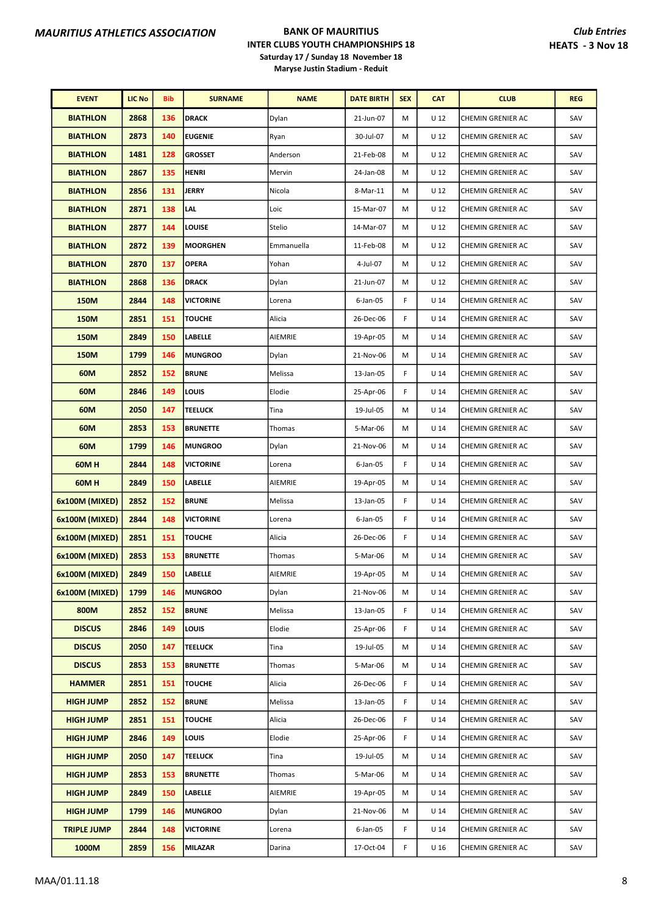| <b>EVENT</b>       | <b>LIC No</b> | Bib | <b>SURNAME</b>   | <b>NAME</b> | <b>DATE BIRTH</b> | <b>SEX</b> | <b>CAT</b>      | <b>CLUB</b>              | <b>REG</b> |
|--------------------|---------------|-----|------------------|-------------|-------------------|------------|-----------------|--------------------------|------------|
| <b>BIATHLON</b>    | 2868          | 136 | <b>DRACK</b>     | Dylan       | 21-Jun-07         | М          | U <sub>12</sub> | CHEMIN GRENIER AC        | SAV        |
| <b>BIATHLON</b>    | 2873          | 140 | <b>EUGENIE</b>   | Ryan        | 30-Jul-07         | M          | U <sub>12</sub> | CHEMIN GRENIER AC        | SAV        |
| <b>BIATHLON</b>    | 1481          | 128 | <b>GROSSET</b>   | Anderson    | 21-Feb-08         | M          | U <sub>12</sub> | CHEMIN GRENIER AC        | SAV        |
| <b>BIATHLON</b>    | 2867          | 135 | <b>HENRI</b>     | Mervin      | 24-Jan-08         | M          | U <sub>12</sub> | CHEMIN GRENIER AC        | SAV        |
| <b>BIATHLON</b>    | 2856          | 131 | <b>JERRY</b>     | Nicola      | 8-Mar-11          | M          | U <sub>12</sub> | CHEMIN GRENIER AC        | SAV        |
| <b>BIATHLON</b>    | 2871          | 138 | LAL              | Loic        | 15-Mar-07         | M          | U <sub>12</sub> | CHEMIN GRENIER AC        | SAV        |
| <b>BIATHLON</b>    | 2877          | 144 | LOUISE           | Stelio      | 14-Mar-07         | M          | U <sub>12</sub> | CHEMIN GRENIER AC        | SAV        |
| <b>BIATHLON</b>    | 2872          | 139 | <b>MOORGHEN</b>  | Emmanuella  | 11-Feb-08         | M          | U <sub>12</sub> | CHEMIN GRENIER AC        | SAV        |
| <b>BIATHLON</b>    | 2870          | 137 | <b>OPERA</b>     | Yohan       | 4-Jul-07          | M          | U <sub>12</sub> | CHEMIN GRENIER AC        | SAV        |
| <b>BIATHLON</b>    | 2868          | 136 | <b>DRACK</b>     | Dylan       | 21-Jun-07         | M          | U <sub>12</sub> | CHEMIN GRENIER AC        | SAV        |
| <b>150M</b>        | 2844          | 148 | <b>VICTORINE</b> | Lorena      | $6$ -Jan-05       | F          | U <sub>14</sub> | CHEMIN GRENIER AC        | SAV        |
| <b>150M</b>        | 2851          | 151 | <b>TOUCHE</b>    | Alicia      | 26-Dec-06         | F          | U <sub>14</sub> | CHEMIN GRENIER AC        | SAV        |
| <b>150M</b>        | 2849          | 150 | <b>LABELLE</b>   | AIEMRIE     | 19-Apr-05         | М          | U <sub>14</sub> | CHEMIN GRENIER AC        | SAV        |
| <b>150M</b>        | 1799          | 146 | <b>MUNGROO</b>   | Dylan       | 21-Nov-06         | M          | U <sub>14</sub> | CHEMIN GRENIER AC        | SAV        |
| 60M                | 2852          | 152 | <b>BRUNE</b>     | Melissa     | 13-Jan-05         | F          | U <sub>14</sub> | CHEMIN GRENIER AC        | SAV        |
| 60M                | 2846          | 149 | LOUIS            | Elodie      | 25-Apr-06         | F          | U <sub>14</sub> | CHEMIN GRENIER AC        | SAV        |
| 60M                | 2050          | 147 | <b>TEELUCK</b>   | Tina        | 19-Jul-05         | M          | U <sub>14</sub> | CHEMIN GRENIER AC        | SAV        |
| 60M                | 2853          | 153 | <b>BRUNETTE</b>  | Thomas      | 5-Mar-06          | M          | U <sub>14</sub> | CHEMIN GRENIER AC        | SAV        |
| 60M                | 1799          | 146 | <b>MUNGROO</b>   | Dylan       | 21-Nov-06         | M          | U <sub>14</sub> | CHEMIN GRENIER AC        | SAV        |
| 60M H              | 2844          | 148 | <b>VICTORINE</b> | Lorena      | 6-Jan-05          | F          | U <sub>14</sub> | CHEMIN GRENIER AC        | SAV        |
| 60M H              | 2849          | 150 | <b>LABELLE</b>   | AIEMRIE     | 19-Apr-05         | M          | U <sub>14</sub> | CHEMIN GRENIER AC        | SAV        |
| 6x100M (MIXED)     | 2852          | 152 | <b>BRUNE</b>     | Melissa     | 13-Jan-05         | F          | U <sub>14</sub> | CHEMIN GRENIER AC        | SAV        |
| 6x100M (MIXED)     | 2844          | 148 | <b>VICTORINE</b> | Lorena      | $6$ -Jan-05       | F          | U <sub>14</sub> | CHEMIN GRENIER AC        | SAV        |
| 6x100M (MIXED)     | 2851          | 151 | <b>TOUCHE</b>    | Alicia      | 26-Dec-06         | F.         | U <sub>14</sub> | CHEMIN GRENIER AC        | SAV        |
| 6x100M (MIXED)     | 2853          | 153 | <b>BRUNETTE</b>  | Thomas      | 5-Mar-06          | M          | $U$ 14          | CHEMIN GRENIER AC        | SAV        |
| 6x100M (MIXED)     | 2849          | 150 | <b>LABELLE</b>   | AIEMRIE     | 19-Apr-05         | М          | U 14            | CHEMIN GRENIER AC        | SAV        |
| 6x100M (MIXED)     | 1799          | 146 | <b>MUNGROO</b>   | Dylan       | 21-Nov-06         | М          | U 14            | <b>CHEMIN GRENIER AC</b> | SAV        |
| 800M               | 2852          | 152 | <b>BRUNE</b>     | Melissa     | 13-Jan-05         | F          | U <sub>14</sub> | CHEMIN GRENIER AC        | SAV        |
| <b>DISCUS</b>      | 2846          | 149 | LOUIS            | Elodie      | 25-Apr-06         | F.         | U <sub>14</sub> | CHEMIN GRENIER AC        | SAV        |
| <b>DISCUS</b>      | 2050          | 147 | <b>TEELUCK</b>   | Tina        | 19-Jul-05         | м          | U <sub>14</sub> | CHEMIN GRENIER AC        | SAV        |
| <b>DISCUS</b>      | 2853          | 153 | <b>BRUNETTE</b>  | Thomas      | 5-Mar-06          | M          | U <sub>14</sub> | CHEMIN GRENIER AC        | SAV        |
| <b>HAMMER</b>      | 2851          | 151 | <b>TOUCHE</b>    | Alicia      | 26-Dec-06         | F.         | U <sub>14</sub> | CHEMIN GRENIER AC        | SAV        |
| <b>HIGH JUMP</b>   | 2852          | 152 | <b>BRUNE</b>     | Melissa     | 13-Jan-05         | F          | U <sub>14</sub> | CHEMIN GRENIER AC        | SAV        |
| <b>HIGH JUMP</b>   | 2851          | 151 | <b>TOUCHE</b>    | Alicia      | 26-Dec-06         | F.         | U <sub>14</sub> | CHEMIN GRENIER AC        | SAV        |
| <b>HIGH JUMP</b>   | 2846          | 149 | LOUIS            | Elodie      | 25-Apr-06         | F          | U <sub>14</sub> | CHEMIN GRENIER AC        | SAV        |
| <b>HIGH JUMP</b>   | 2050          | 147 | TEELUCK          | Tina        | 19-Jul-05         | м          | U <sub>14</sub> | CHEMIN GRENIER AC        | SAV        |
| <b>HIGH JUMP</b>   | 2853          | 153 | <b>BRUNETTE</b>  | Thomas      | 5-Mar-06          | М          | U <sub>14</sub> | CHEMIN GRENIER AC        | SAV        |
| <b>HIGH JUMP</b>   | 2849          | 150 | LABELLE          | AIEMRIE     | 19-Apr-05         | М          | U <sub>14</sub> | CHEMIN GRENIER AC        | SAV        |
| <b>HIGH JUMP</b>   | 1799          | 146 | <b>MUNGROO</b>   | Dylan       | 21-Nov-06         | м          | U 14            | CHEMIN GRENIER AC        | SAV        |
| <b>TRIPLE JUMP</b> | 2844          | 148 | <b>VICTORINE</b> | Lorena      | 6-Jan-05          | F          | U <sub>14</sub> | CHEMIN GRENIER AC        | SAV        |
| 1000M              | 2859          | 156 | MILAZAR          | Darina      | 17-Oct-04         | F          | U <sub>16</sub> | CHEMIN GRENIER AC        | SAV        |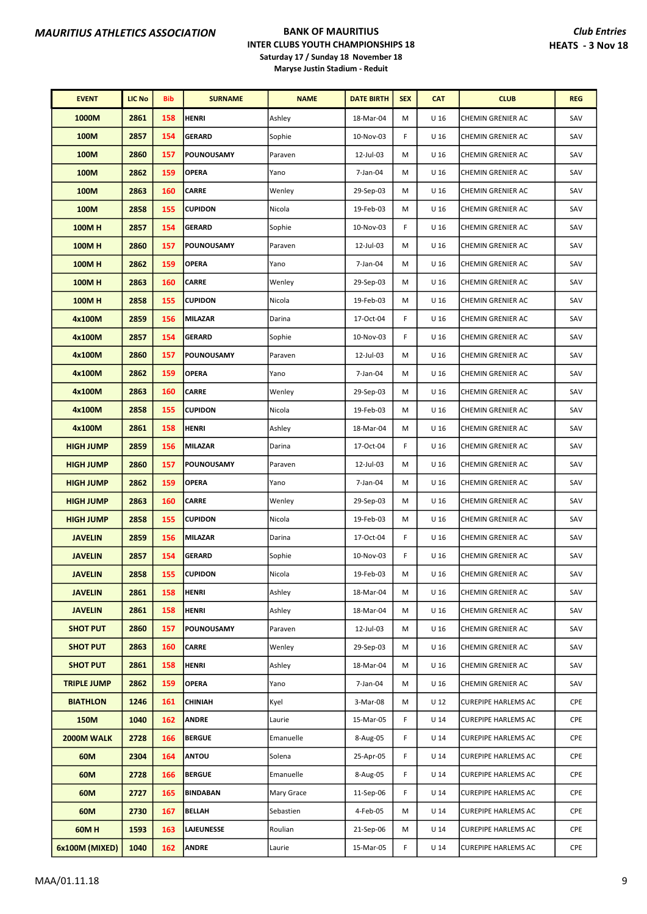| <b>EVENT</b>       | <b>LIC No</b> | Bib | <b>SURNAME</b>    | <b>NAME</b> | <b>DATE BIRTH</b> | <b>SEX</b> | <b>CAT</b>      | <b>CLUB</b>                | <b>REG</b> |
|--------------------|---------------|-----|-------------------|-------------|-------------------|------------|-----------------|----------------------------|------------|
| 1000M              | 2861          | 158 | <b>HENRI</b>      | Ashley      | 18-Mar-04         | M          | U <sub>16</sub> | CHEMIN GRENIER AC          | SAV        |
| 100M               | 2857          | 154 | <b>GERARD</b>     | Sophie      | 10-Nov-03         | F          | U <sub>16</sub> | CHEMIN GRENIER AC          | SAV        |
| 100M               | 2860          | 157 | POUNOUSAMY        | Paraven     | 12-Jul-03         | м          | U <sub>16</sub> | CHEMIN GRENIER AC          | SAV        |
| 100M               | 2862          | 159 | <b>OPERA</b>      | Yano        | 7-Jan-04          | м          | U <sub>16</sub> | CHEMIN GRENIER AC          | SAV        |
| 100M               | 2863          | 160 | <b>CARRE</b>      | Wenley      | 29-Sep-03         | м          | U <sub>16</sub> | CHEMIN GRENIER AC          | SAV        |
| 100M               | 2858          | 155 | <b>CUPIDON</b>    | Nicola      | 19-Feb-03         | M          | U <sub>16</sub> | CHEMIN GRENIER AC          | SAV        |
| <b>100MH</b>       | 2857          | 154 | <b>GERARD</b>     | Sophie      | 10-Nov-03         | F          | U <sub>16</sub> | CHEMIN GRENIER AC          | SAV        |
| <b>100MH</b>       | 2860          | 157 | POUNOUSAMY        | Paraven     | 12-Jul-03         | м          | U <sub>16</sub> | CHEMIN GRENIER AC          | SAV        |
| <b>100MH</b>       | 2862          | 159 | <b>OPERA</b>      | Yano        | 7-Jan-04          | м          | U <sub>16</sub> | CHEMIN GRENIER AC          | SAV        |
| <b>100MH</b>       | 2863          | 160 | <b>CARRE</b>      | Wenley      | 29-Sep-03         | M          | U <sub>16</sub> | CHEMIN GRENIER AC          | SAV        |
| <b>100MH</b>       | 2858          | 155 | <b>CUPIDON</b>    | Nicola      | 19-Feb-03         | M          | U <sub>16</sub> | CHEMIN GRENIER AC          | SAV        |
| 4x100M             | 2859          | 156 | MILAZAR           | Darina      | 17-Oct-04         | F          | U <sub>16</sub> | CHEMIN GRENIER AC          | SAV        |
| 4x100M             | 2857          | 154 | <b>GERARD</b>     | Sophie      | 10-Nov-03         | F          | U <sub>16</sub> | CHEMIN GRENIER AC          | SAV        |
| 4x100M             | 2860          | 157 | <b>POUNOUSAMY</b> | Paraven     | 12-Jul-03         | м          | U <sub>16</sub> | CHEMIN GRENIER AC          | SAV        |
| 4x100M             | 2862          | 159 | <b>OPERA</b>      | Yano        | 7-Jan-04          | M          | U <sub>16</sub> | CHEMIN GRENIER AC          | SAV        |
| 4x100M             | 2863          | 160 | <b>CARRE</b>      | Wenley      | 29-Sep-03         | М          | U <sub>16</sub> | CHEMIN GRENIER AC          | SAV        |
| 4x100M             | 2858          | 155 | <b>CUPIDON</b>    | Nicola      | 19-Feb-03         | м          | U <sub>16</sub> | CHEMIN GRENIER AC          | SAV        |
| 4x100M             | 2861          | 158 | <b>HENRI</b>      | Ashley      | 18-Mar-04         | м          | U 16            | CHEMIN GRENIER AC          | SAV        |
| <b>HIGH JUMP</b>   | 2859          | 156 | <b>MILAZAR</b>    | Darina      | 17-Oct-04         | F          | U <sub>16</sub> | CHEMIN GRENIER AC          | SAV        |
| <b>HIGH JUMP</b>   | 2860          | 157 | POUNOUSAMY        | Paraven     | 12-Jul-03         | м          | U <sub>16</sub> | CHEMIN GRENIER AC          | SAV        |
| <b>HIGH JUMP</b>   | 2862          | 159 | <b>OPERA</b>      | Yano        | 7-Jan-04          | M          | U <sub>16</sub> | CHEMIN GRENIER AC          | SAV        |
| <b>HIGH JUMP</b>   | 2863          | 160 | <b>CARRE</b>      | Wenley      | 29-Sep-03         | М          | U <sub>16</sub> | CHEMIN GRENIER AC          | SAV        |
| <b>HIGH JUMP</b>   | 2858          | 155 | <b>CUPIDON</b>    | Nicola      | 19-Feb-03         | М          | U 16            | CHEMIN GRENIER AC          | SAV        |
| <b>JAVELIN</b>     | 2859          | 156 | <b>MILAZAR</b>    | Darina      | 17-Oct-04         | F          | U <sub>16</sub> | CHEMIN GRENIER AC          | SAV        |
| <b>JAVELIN</b>     | 2857          | 154 | <b>GERARD</b>     | Sophie      | 10-Nov-03         | F          | U <sub>16</sub> | CHEMIN GRENIER AC          | SAV        |
| <b>JAVELIN</b>     | 2858          | 155 | <b>CUPIDON</b>    | Nicola      | 19-Feb-03         | м          | U 16            | CHEMIN GRENIER AC          | SAV        |
| <b>JAVELIN</b>     | 2861          | 158 | <b>HENRI</b>      | Ashley      | 18-Mar-04         | м          | U 16            | CHEMIN GRENIER AC          | SAV        |
| <b>JAVELIN</b>     | 2861          | 158 | <b>HENRI</b>      | Ashley      | 18-Mar-04         | м          | U <sub>16</sub> | CHEMIN GRENIER AC          | SAV        |
| <b>SHOT PUT</b>    | 2860          | 157 | POUNOUSAMY        | Paraven     | 12-Jul-03         | м          | U 16            | CHEMIN GRENIER AC          | SAV        |
| <b>SHOT PUT</b>    | 2863          | 160 | <b>CARRE</b>      | Wenley      | 29-Sep-03         | М          | U <sub>16</sub> | CHEMIN GRENIER AC          | SAV        |
| <b>SHOT PUT</b>    | 2861          | 158 | <b>HENRI</b>      | Ashley      | 18-Mar-04         | M          | U <sub>16</sub> | CHEMIN GRENIER AC          | SAV        |
| <b>TRIPLE JUMP</b> | 2862          | 159 | <b>OPERA</b>      | Yano        | 7-Jan-04          | м          | U <sub>16</sub> | CHEMIN GRENIER AC          | SAV        |
| <b>BIATHLON</b>    | 1246          | 161 | <b>CHINIAH</b>    | Kyel        | 3-Mar-08          | м          | U <sub>12</sub> | CUREPIPE HARLEMS AC        | CPE        |
| 150M               | 1040          | 162 | <b>ANDRE</b>      | Laurie      | 15-Mar-05         | F          | U <sub>14</sub> | <b>CUREPIPE HARLEMS AC</b> | CPE        |
| 2000M WALK         | 2728          | 166 | <b>BERGUE</b>     | Emanuelle   | 8-Aug-05          | F          | U <sub>14</sub> | <b>CUREPIPE HARLEMS AC</b> | CPE        |
| 60M                | 2304          | 164 | <b>ANTOU</b>      | Solena      | 25-Apr-05         | F          | U <sub>14</sub> | <b>CUREPIPE HARLEMS AC</b> | CPE        |
| 60M                | 2728          | 166 | <b>BERGUE</b>     | Emanuelle   | 8-Aug-05          | F          | U 14            | <b>CUREPIPE HARLEMS AC</b> | CPE        |
| 60M                | 2727          | 165 | <b>BINDABAN</b>   | Mary Grace  | 11-Sep-06         | F          | U <sub>14</sub> | <b>CUREPIPE HARLEMS AC</b> | CPE        |
| 60M                | 2730          | 167 | <b>BELLAH</b>     | Sebastien   | 4-Feb-05          | м          | U <sub>14</sub> | <b>CUREPIPE HARLEMS AC</b> | CPE        |
| 60MH               | 1593          | 163 | <b>LAJEUNESSE</b> | Roulian     | 21-Sep-06         | М          | U 14            | <b>CUREPIPE HARLEMS AC</b> | CPE        |
| 6x100M (MIXED)     | 1040          | 162 | <b>ANDRE</b>      | Laurie      | 15-Mar-05         | F          | U <sub>14</sub> | <b>CUREPIPE HARLEMS AC</b> | CPE        |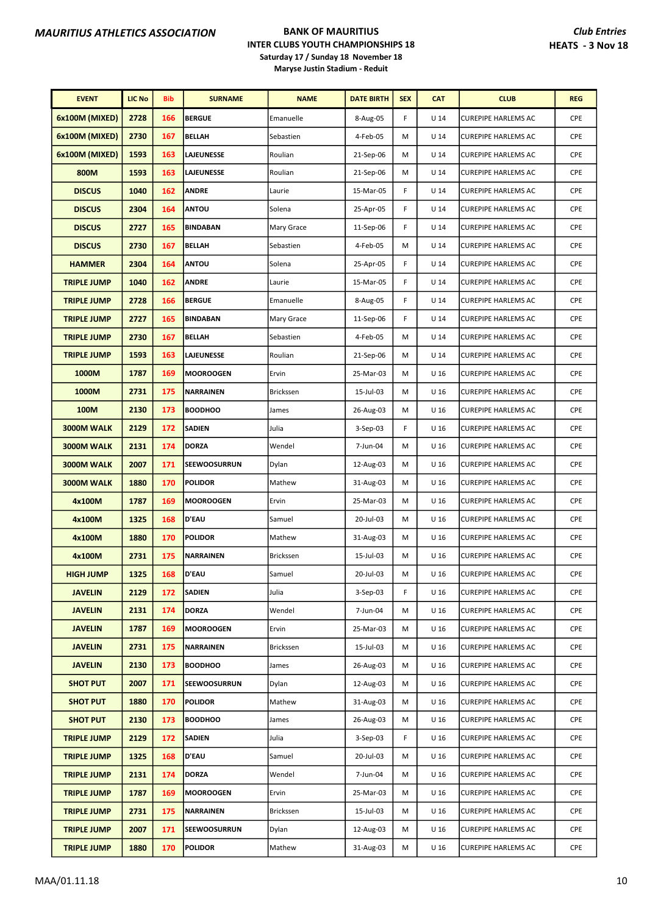| <b>EVENT</b>       | <b>LIC No</b> | <b>Bib</b> | <b>SURNAME</b>      | <b>NAME</b> | <b>DATE BIRTH</b> | <b>SEX</b> | <b>CAT</b>      | <b>CLUB</b>                | <b>REG</b> |
|--------------------|---------------|------------|---------------------|-------------|-------------------|------------|-----------------|----------------------------|------------|
| 6x100M (MIXED)     | 2728          | 166        | <b>BERGUE</b>       | Emanuelle   | 8-Aug-05          | F          | U <sub>14</sub> | <b>CUREPIPE HARLEMS AC</b> | <b>CPE</b> |
| 6x100M (MIXED)     | 2730          | 167        | <b>BELLAH</b>       | Sebastien   | 4-Feb-05          | M          | U <sub>14</sub> | <b>CUREPIPE HARLEMS AC</b> | <b>CPE</b> |
| 6x100M (MIXED)     | 1593          | 163        | LAJEUNESSE          | Roulian     | 21-Sep-06         | M          | U <sub>14</sub> | CUREPIPE HARLEMS AC        | <b>CPE</b> |
| 800M               | 1593          | 163        | <b>LAJEUNESSE</b>   | Roulian     | 21-Sep-06         | М          | U <sub>14</sub> | <b>CUREPIPE HARLEMS AC</b> | CPE        |
| <b>DISCUS</b>      | 1040          | 162        | <b>ANDRE</b>        | Laurie      | 15-Mar-05         | F          | U <sub>14</sub> | <b>CUREPIPE HARLEMS AC</b> | <b>CPE</b> |
| <b>DISCUS</b>      | 2304          | 164        | <b>ANTOU</b>        | Solena      | 25-Apr-05         | F          | U <sub>14</sub> | <b>CUREPIPE HARLEMS AC</b> | CPE        |
| <b>DISCUS</b>      | 2727          | 165        | <b>BINDABAN</b>     | Mary Grace  | 11-Sep-06         | F          | U <sub>14</sub> | <b>CUREPIPE HARLEMS AC</b> | <b>CPE</b> |
| <b>DISCUS</b>      | 2730          | 167        | <b>BELLAH</b>       | Sebastien   | 4-Feb-05          | М          | U <sub>14</sub> | <b>CUREPIPE HARLEMS AC</b> | <b>CPE</b> |
| <b>HAMMER</b>      | 2304          | 164        | <b>ANTOU</b>        | Solena      | 25-Apr-05         | F          | U <sub>14</sub> | <b>CUREPIPE HARLEMS AC</b> | <b>CPE</b> |
| <b>TRIPLE JUMP</b> | 1040          | 162        | <b>ANDRE</b>        | Laurie      | 15-Mar-05         | F          | U <sub>14</sub> | <b>CUREPIPE HARLEMS AC</b> | CPE        |
| <b>TRIPLE JUMP</b> | 2728          | 166        | <b>BERGUE</b>       | Emanuelle   | 8-Aug-05          | F          | U <sub>14</sub> | <b>CUREPIPE HARLEMS AC</b> | <b>CPE</b> |
| <b>TRIPLE JUMP</b> | 2727          | 165        | <b>BINDABAN</b>     | Mary Grace  | 11-Sep-06         | F          | U <sub>14</sub> | <b>CUREPIPE HARLEMS AC</b> | <b>CPE</b> |
| <b>TRIPLE JUMP</b> | 2730          | 167        | <b>BELLAH</b>       | Sebastien   | 4-Feb-05          | M          | U <sub>14</sub> | <b>CUREPIPE HARLEMS AC</b> | <b>CPE</b> |
| <b>TRIPLE JUMP</b> | 1593          | 163        | <b>LAJEUNESSE</b>   | Roulian     | 21-Sep-06         | М          | U <sub>14</sub> | <b>CUREPIPE HARLEMS AC</b> | <b>CPE</b> |
| 1000M              | 1787          | 169        | <b>MOOROOGEN</b>    | Ervin       | 25-Mar-03         | М          | U <sub>16</sub> | <b>CUREPIPE HARLEMS AC</b> | CPE        |
| 1000M              | 2731          | 175        | <b>NARRAINEN</b>    | Brickssen   | 15-Jul-03         | М          | U <sub>16</sub> | <b>CUREPIPE HARLEMS AC</b> | <b>CPE</b> |
| 100M               | 2130          | 173        | <b>BOODHOO</b>      | James       | 26-Aug-03         | M          | U <sub>16</sub> | <b>CUREPIPE HARLEMS AC</b> | <b>CPE</b> |
| 3000M WALK         | 2129          | 172        | <b>SADIEN</b>       | Julia       | $3-Sep-03$        | F          | U <sub>16</sub> | CUREPIPE HARLEMS AC        | <b>CPE</b> |
| 3000M WALK         | 2131          | 174        | <b>DORZA</b>        | Wendel      | 7-Jun-04          | M          | U 16            | CUREPIPE HARLEMS AC        | <b>CPE</b> |
| 3000M WALK         | 2007          | 171        | <b>SEEWOOSURRUN</b> | Dylan       | 12-Aug-03         | М          | U <sub>16</sub> | <b>CUREPIPE HARLEMS AC</b> | <b>CPE</b> |
| 3000M WALK         | 1880          | 170        | <b>POLIDOR</b>      | Mathew      | 31-Aug-03         | М          | U <sub>16</sub> | <b>CUREPIPE HARLEMS AC</b> | CPE        |
| 4x100M             | 1787          | 169        | <b>MOOROOGEN</b>    | Ervin       | 25-Mar-03         | М          | U <sub>16</sub> | <b>CUREPIPE HARLEMS AC</b> | CPE        |
| 4x100M             | 1325          | 168        | <b>D'EAU</b>        | Samuel      | 20-Jul-03         | М          | U <sub>16</sub> | <b>CUREPIPE HARLEMS AC</b> | <b>CPE</b> |
| 4x100M             | 1880          | 170        | <b>POLIDOR</b>      | Mathew      | 31-Aug-03         | М          | U 16            | <b>CUREPIPE HARLEMS AC</b> | CPE        |
| 4x100M             | 2731          | 175        | <b>NARRAINEN</b>    | Brickssen   | 15-Jul-03         | М          | U <sub>16</sub> | <b>CUREPIPE HARLEMS AC</b> | CPE        |
| <b>HIGH JUMP</b>   | 1325          | 168        | D'EAU               | Samuel      | 20-Jul-03         | м          | U 16            | <b>CUREPIPE HARLEMS AC</b> | CPE        |
| <b>JAVELIN</b>     | 2129          | 172        | <b>SADIEN</b>       | Julia       | $3-Sep-03$        | F          | U 16            | <b>CUREPIPE HARLEMS AC</b> | <b>CPE</b> |
| <b>JAVELIN</b>     | 2131          | 174        | <b>DORZA</b>        | Wendel      | 7-Jun-04          | м          | U <sub>16</sub> | <b>CUREPIPE HARLEMS AC</b> | CPE        |
| <b>JAVELIN</b>     | 1787          | 169        | <b>MOOROOGEN</b>    | Ervin       | 25-Mar-03         | м          | U 16            | <b>CUREPIPE HARLEMS AC</b> | CPE        |
| <b>JAVELIN</b>     | 2731          | 175        | <b>NARRAINEN</b>    | Brickssen   | 15-Jul-03         | М          | U <sub>16</sub> | <b>CUREPIPE HARLEMS AC</b> | CPE        |
| <b>JAVELIN</b>     | 2130          | 173        | <b>BOODHOO</b>      | James       | 26-Aug-03         | м          | U <sub>16</sub> | <b>CUREPIPE HARLEMS AC</b> | CPE        |
| <b>SHOT PUT</b>    | 2007          | 171        | <b>SEEWOOSURRUN</b> | Dylan       | 12-Aug-03         | М          | U 16            | <b>CUREPIPE HARLEMS AC</b> | <b>CPE</b> |
| <b>SHOT PUT</b>    | 1880          | 170        | <b>POLIDOR</b>      | Mathew      | 31-Aug-03         | м          | U <sub>16</sub> | CUREPIPE HARLEMS AC        | CPE        |
| <b>SHOT PUT</b>    | 2130          | 173        | <b>BOODHOO</b>      | James       | 26-Aug-03         | м          | U 16            | CUREPIPE HARLEMS AC        | CPE        |
| <b>TRIPLE JUMP</b> | 2129          | 172        | <b>SADIEN</b>       | Julia       | $3-Sep-03$        | F.         | U <sub>16</sub> | <b>CUREPIPE HARLEMS AC</b> | CPE        |
| <b>TRIPLE JUMP</b> | 1325          | 168        | <b>D'EAU</b>        | Samuel      | 20-Jul-03         | м          | U <sub>16</sub> | <b>CUREPIPE HARLEMS AC</b> | <b>CPE</b> |
| <b>TRIPLE JUMP</b> | 2131          | 174        | <b>DORZA</b>        | Wendel      | 7-Jun-04          | М          | U 16            | <b>CUREPIPE HARLEMS AC</b> | <b>CPE</b> |
| <b>TRIPLE JUMP</b> | 1787          | 169        | <b>MOOROOGEN</b>    | Ervin       | 25-Mar-03         | м          | U <sub>16</sub> | CUREPIPE HARLEMS AC        | <b>CPE</b> |
| <b>TRIPLE JUMP</b> | 2731          | 175        | <b>NARRAINEN</b>    | Brickssen   | 15-Jul-03         | м          | U 16            | <b>CUREPIPE HARLEMS AC</b> | CPE        |
| <b>TRIPLE JUMP</b> | 2007          | 171        | <b>SEEWOOSURRUN</b> | Dylan       | 12-Aug-03         | м          | U <sub>16</sub> | <b>CUREPIPE HARLEMS AC</b> | CPE        |
| <b>TRIPLE JUMP</b> | 1880          | 170        | <b>POLIDOR</b>      | Mathew      | 31-Aug-03         | М          | U <sub>16</sub> | <b>CUREPIPE HARLEMS AC</b> | CPE        |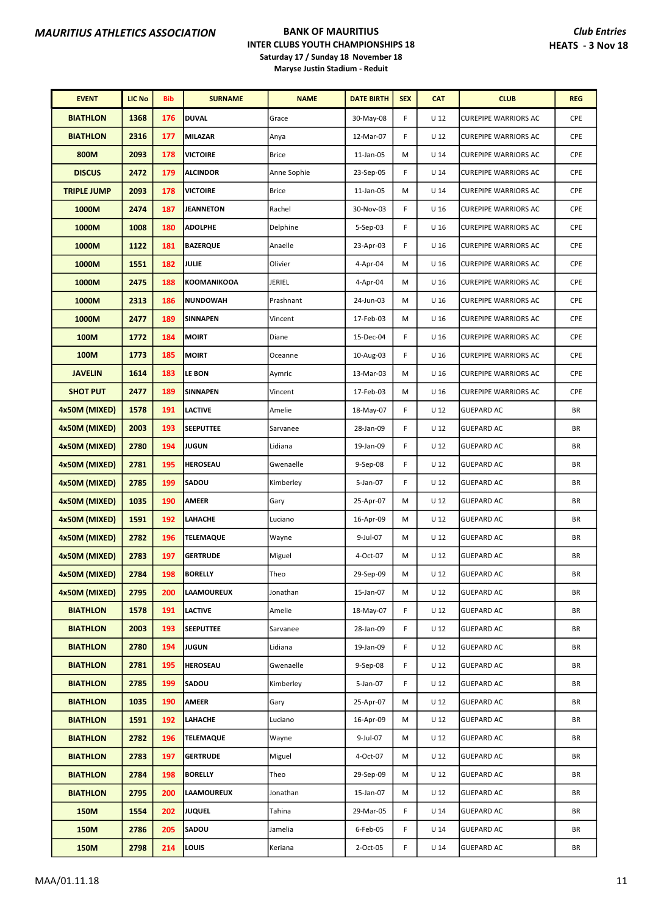| <b>EVENT</b>       | <b>LIC No</b> | <b>Bib</b> | <b>SURNAME</b>     | <b>NAME</b>  | <b>DATE BIRTH</b> | <b>SEX</b> | <b>CAT</b>      | <b>CLUB</b>                 | <b>REG</b> |
|--------------------|---------------|------------|--------------------|--------------|-------------------|------------|-----------------|-----------------------------|------------|
| <b>BIATHLON</b>    | 1368          | 176        | <b>DUVAL</b>       | Grace        | 30-May-08         | F          | U <sub>12</sub> | <b>CUREPIPE WARRIORS AC</b> | <b>CPE</b> |
| <b>BIATHLON</b>    | 2316          | 177        | <b>MILAZAR</b>     | Anya         | 12-Mar-07         | F          | U <sub>12</sub> | <b>CUREPIPE WARRIORS AC</b> | <b>CPE</b> |
| 800M               | 2093          | 178        | <b>VICTOIRE</b>    | <b>Brice</b> | 11-Jan-05         | M          | U <sub>14</sub> | <b>CUREPIPE WARRIORS AC</b> | <b>CPE</b> |
| <b>DISCUS</b>      | 2472          | 179        | <b>ALCINDOR</b>    | Anne Sophie  | 23-Sep-05         | F          | U <sub>14</sub> | <b>CUREPIPE WARRIORS AC</b> | <b>CPE</b> |
| <b>TRIPLE JUMP</b> | 2093          | 178        | <b>VICTOIRE</b>    | <b>Brice</b> | 11-Jan-05         | M          | $U$ 14          | <b>CUREPIPE WARRIORS AC</b> | CPE        |
| 1000M              | 2474          | 187        | <b>JEANNETON</b>   | Rachel       | 30-Nov-03         | F          | U <sub>16</sub> | <b>CUREPIPE WARRIORS AC</b> | <b>CPE</b> |
| 1000M              | 1008          | 180        | <b>ADOLPHE</b>     | Delphine     | $5-$ Sep $-03$    | F          | U <sub>16</sub> | <b>CUREPIPE WARRIORS AC</b> | <b>CPE</b> |
| 1000M              | 1122          | 181        | <b>BAZERQUE</b>    | Anaelle      | 23-Apr-03         | F          | U <sub>16</sub> | <b>CUREPIPE WARRIORS AC</b> | <b>CPE</b> |
| 1000M              | 1551          | 182        | <b>JULIE</b>       | Olivier      | 4-Apr-04          | М          | U <sub>16</sub> | <b>CUREPIPE WARRIORS AC</b> | CPE        |
| 1000M              | 2475          | 188        | <b>KOOMANIKOOA</b> | JERIEL       | 4-Apr-04          | M          | U <sub>16</sub> | <b>CUREPIPE WARRIORS AC</b> | <b>CPE</b> |
| 1000M              | 2313          | 186        | <b>NUNDOWAH</b>    | Prashnant    | 24-Jun-03         | M          | U <sub>16</sub> | <b>CUREPIPE WARRIORS AC</b> | CPE        |
| 1000M              | 2477          | 189        | <b>SINNAPEN</b>    | Vincent      | 17-Feb-03         | М          | U <sub>16</sub> | <b>CUREPIPE WARRIORS AC</b> | CPE        |
| 100M               | 1772          | 184        | <b>MOIRT</b>       | Diane        | 15-Dec-04         | F          | U 16            | CUREPIPE WARRIORS AC        | <b>CPE</b> |
| 100M               | 1773          | 185        | <b>MOIRT</b>       | Oceanne      | 10-Aug-03         | F          | U <sub>16</sub> | <b>CUREPIPE WARRIORS AC</b> | <b>CPE</b> |
| <b>JAVELIN</b>     | 1614          | 183        | <b>LE BON</b>      | Aymric       | 13-Mar-03         | M          | U <sub>16</sub> | <b>CUREPIPE WARRIORS AC</b> | <b>CPE</b> |
| <b>SHOT PUT</b>    | 2477          | 189        | <b>SINNAPEN</b>    | Vincent      | 17-Feb-03         | M          | U <sub>16</sub> | <b>CUREPIPE WARRIORS AC</b> | CPE        |
| 4x50M (MIXED)      | 1578          | 191        | <b>LACTIVE</b>     | Amelie       | 18-May-07         | F          | U <sub>12</sub> | <b>GUEPARD AC</b>           | BR         |
| 4x50M (MIXED)      | 2003          | 193        | <b>SEEPUTTEE</b>   | Sarvanee     | 28-Jan-09         | F          | U 12            | <b>GUEPARD AC</b>           | BR         |
| 4x50M (MIXED)      | 2780          | 194        | <b>JUGUN</b>       | Lidiana      | 19-Jan-09         | F          | U <sub>12</sub> | <b>GUEPARD AC</b>           | BR         |
| 4x50M (MIXED)      | 2781          | 195        | <b>HEROSEAU</b>    | Gwenaelle    | 9-Sep-08          | F          | $U$ 12          | <b>GUEPARD AC</b>           | BR         |
| 4x50M (MIXED)      | 2785          | 199        | SADOU              | Kimberley    | 5-Jan-07          | F          | U <sub>12</sub> | <b>GUEPARD AC</b>           | BR         |
| 4x50M (MIXED)      | 1035          | 190        | <b>AMEER</b>       | Gary         | 25-Apr-07         | M          | U <sub>12</sub> | <b>GUEPARD AC</b>           | BR         |
| 4x50M (MIXED)      | 1591          | 192        | LAHACHE            | Luciano      | 16-Apr-09         | M          | U 12            | <b>GUEPARD AC</b>           | BR         |
| 4x50M (MIXED)      | 2782          | 196        | <b>TELEMAQUE</b>   | Wayne        | 9-Jul-07          | M          | U <sub>12</sub> | <b>GUEPARD AC</b>           | BR         |
| 4x50M (MIXED)      | 2783          | 197        | <b>GERTRUDE</b>    | Miguel       | 4-Oct-07          | M          | U <sub>12</sub> | <b>GUEPARD AC</b>           | BR         |
| 4x50M (MIXED)      | 2784          | 198        | <b>BORELLY</b>     | Theo         | 29-Sep-09         | M          | U <sub>12</sub> | <b>I</b> GUEPARD AC         | BR         |
| 4x50M (MIXED)      | 2795          | 200        | LAAMOUREUX         | Jonathan     | 15-Jan-07         | М          | U 12            | <b>GUEPARD AC</b>           | BR         |
| <b>BIATHLON</b>    | 1578          | 191        | <b>LACTIVE</b>     | Amelie       | 18-May-07         | F          | U <sub>12</sub> | <b>GUEPARD AC</b>           | BR         |
| <b>BIATHLON</b>    | 2003          | 193        | <b>SEEPUTTEE</b>   | Sarvanee     | 28-Jan-09         | F          | U 12            | <b>GUEPARD AC</b>           | BR         |
| <b>BIATHLON</b>    | 2780          | 194        | <b>JUGUN</b>       | Lidiana      | 19-Jan-09         | F          | U <sub>12</sub> | <b>GUEPARD AC</b>           | BR         |
| <b>BIATHLON</b>    | 2781          | 195        | HEROSEAU           | Gwenaelle    | 9-Sep-08          | F          | U <sub>12</sub> | <b>GUEPARD AC</b>           | BR         |
| <b>BIATHLON</b>    | 2785          | 199        | SADOU              | Kimberley    | 5-Jan-07          | F          | U 12            | <b>GUEPARD AC</b>           | BR         |
| <b>BIATHLON</b>    | 1035          | 190        | <b>AMEER</b>       | Gary         | 25-Apr-07         | М          | U 12            | <b>GUEPARD AC</b>           | BR         |
| <b>BIATHLON</b>    | 1591          | 192        | LAHACHE            | Luciano      | 16-Apr-09         | м          | U 12            | <b>GUEPARD AC</b>           | BR         |
| <b>BIATHLON</b>    | 2782          | 196        | <b>TELEMAQUE</b>   | Wayne        | 9-Jul-07          | М          | U <sub>12</sub> | <b>GUEPARD AC</b>           | BR         |
| <b>BIATHLON</b>    | 2783          | 197        | <b>GERTRUDE</b>    | Miguel       | 4-Oct-07          | М          | U <sub>12</sub> | <b>GUEPARD AC</b>           | BR         |
| <b>BIATHLON</b>    | 2784          | 198        | <b>BORELLY</b>     | Theo         | 29-Sep-09         | М          | U 12            | <b>GUEPARD AC</b>           | BR         |
| <b>BIATHLON</b>    | 2795          | 200        | LAAMOUREUX         | Jonathan     | 15-Jan-07         | М          | U <sub>12</sub> | <b>GUEPARD AC</b>           | BR         |
| 150M               | 1554          | 202        | <b>JUQUEL</b>      | Tahina       | 29-Mar-05         | F          | U <sub>14</sub> | <b>GUEPARD AC</b>           | BR         |
| 150M               | 2786          | 205        | SADOU              | Jamelia      | 6-Feb-05          | F          | U <sub>14</sub> | <b>GUEPARD AC</b>           | BR         |
| <b>150M</b>        | 2798          | 214        | LOUIS              | Keriana      | 2-Oct-05          | F          | U <sub>14</sub> | <b>GUEPARD AC</b>           | BR         |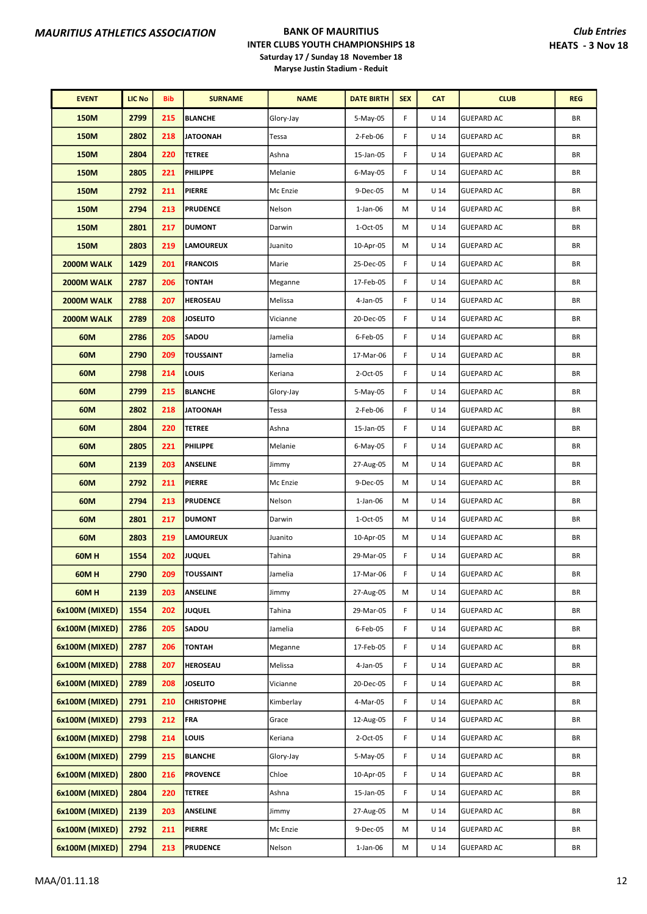| <b>EVENT</b>   | LIC No | <b>Bib</b> | <b>SURNAME</b>    | <b>NAME</b> | <b>DATE BIRTH</b> | <b>SEX</b> | <b>CAT</b>      | <b>CLUB</b>       | <b>REG</b> |
|----------------|--------|------------|-------------------|-------------|-------------------|------------|-----------------|-------------------|------------|
| 150M           | 2799   | 215        | <b>BLANCHE</b>    | Glory-Jay   | 5-May-05          | F          | U <sub>14</sub> | <b>GUEPARD AC</b> | BR         |
| 150M           | 2802   | 218        | <b>JATOONAH</b>   | Tessa       | 2-Feb-06          | F          | U <sub>14</sub> | <b>GUEPARD AC</b> | BR         |
| 150M           | 2804   | 220        | <b>TETREE</b>     | Ashna       | 15-Jan-05         | F          | U <sub>14</sub> | <b>GUEPARD AC</b> | BR         |
| <b>150M</b>    | 2805   | 221        | <b>PHILIPPE</b>   | Melanie     | 6-May-05          | F          | U <sub>14</sub> | <b>GUEPARD AC</b> | BR         |
| 150M           | 2792   | 211        | <b>PIERRE</b>     | Mc Enzie    | 9-Dec-05          | M          | U <sub>14</sub> | <b>GUEPARD AC</b> | BR         |
| 150M           | 2794   | 213        | <b>PRUDENCE</b>   | Nelson      | $1$ -Jan-06       | M          | U <sub>14</sub> | <b>GUEPARD AC</b> | BR         |
| <b>150M</b>    | 2801   | 217        | <b>DUMONT</b>     | Darwin      | 1-Oct-05          | M          | U <sub>14</sub> | <b>GUEPARD AC</b> | BR         |
| 150M           | 2803   | 219        | <b>LAMOUREUX</b>  | Juanito     | 10-Apr-05         | М          | U <sub>14</sub> | <b>GUEPARD AC</b> | BR         |
| 2000M WALK     | 1429   | 201        | <b>FRANCOIS</b>   | Marie       | 25-Dec-05         | F          | U <sub>14</sub> | <b>GUEPARD AC</b> | BR         |
| 2000M WALK     | 2787   | 206        | <b>TONTAH</b>     | Meganne     | 17-Feb-05         | F          | U <sub>14</sub> | <b>GUEPARD AC</b> | BR         |
| 2000M WALK     | 2788   | 207        | <b>HEROSEAU</b>   | Melissa     | 4-Jan-05          | F          | U <sub>14</sub> | <b>GUEPARD AC</b> | BR         |
| 2000M WALK     | 2789   | 208        | <b>JOSELITO</b>   | Vicianne    | 20-Dec-05         | F          | U <sub>14</sub> | <b>GUEPARD AC</b> | BR         |
| 60M            | 2786   | 205        | <b>SADOU</b>      | Jamelia     | 6-Feb-05          | F          | U <sub>14</sub> | <b>GUEPARD AC</b> | BR         |
| 60M            | 2790   | 209        | <b>TOUSSAINT</b>  | Jamelia     | 17-Mar-06         | F          | $U$ 14          | <b>GUEPARD AC</b> | BR         |
| 60M            | 2798   | 214        | LOUIS             | Keriana     | 2-Oct-05          | F          | U <sub>14</sub> | <b>GUEPARD AC</b> | BR         |
| 60M            | 2799   | 215        | <b>BLANCHE</b>    | Glory-Jay   | 5-May-05          | F          | U <sub>14</sub> | <b>GUEPARD AC</b> | BR         |
| 60M            | 2802   | 218        | <b>JATOONAH</b>   | Tessa       | 2-Feb-06          | F          | U <sub>14</sub> | <b>GUEPARD AC</b> | BR         |
| 60M            | 2804   | 220        | <b>TETREE</b>     | Ashna       | 15-Jan-05         | F          | U <sub>14</sub> | <b>GUEPARD AC</b> | BR         |
| 60M            | 2805   | 221        | <b>PHILIPPE</b>   | Melanie     | 6-May-05          | F          | $U$ 14          | <b>GUEPARD AC</b> | BR         |
| 60M            | 2139   | 203        | <b>ANSELINE</b>   | Jimmy       | 27-Aug-05         | М          | U <sub>14</sub> | <b>GUEPARD AC</b> | BR         |
| 60M            | 2792   | 211        | <b>PIERRE</b>     | Mc Enzie    | 9-Dec-05          | M          | U <sub>14</sub> | <b>GUEPARD AC</b> | BR         |
| 60M            | 2794   | 213        | <b>PRUDENCE</b>   | Nelson      | $1$ -Jan-06       | M          | U <sub>14</sub> | <b>GUEPARD AC</b> | BR         |
| 60M            | 2801   | 217        | <b>DUMONT</b>     | Darwin      | 1-Oct-05          | М          | U <sub>14</sub> | <b>GUEPARD AC</b> | BR         |
| 60M            | 2803   | 219        | <b>LAMOUREUX</b>  | Juanito     | 10-Apr-05         | M          | U <sub>14</sub> | <b>GUEPARD AC</b> | BR         |
| <b>60MH</b>    | 1554   | 202        | <b>JUQUEL</b>     | Tahina      | 29-Mar-05         | F          | U <sub>14</sub> | <b>GUEPARD AC</b> | ΒR         |
| 60M H          | 2790   | 209        | <b>TOUSSAINT</b>  | Jamelia     | 17-Mar-06         | F          | U <sub>14</sub> | <b>GUEPARD AC</b> | BR         |
| <b>60MH</b>    | 2139   | 203        | <b>ANSELINE</b>   | Jimmy       | 27-Aug-05         | м          | U <sub>14</sub> | <b>GUEPARD AC</b> | ΒR         |
| 6x100M (MIXED) | 1554   | 202        | <b>JUQUEL</b>     | Tahina      | 29-Mar-05         | F          | U <sub>14</sub> | <b>GUEPARD AC</b> | ΒR         |
| 6x100M (MIXED) | 2786   | 205        | SADOU             | Jamelia     | 6-Feb-05          | F          | $U$ 14          | <b>GUEPARD AC</b> | BR         |
| 6x100M (MIXED) | 2787   | 206        | <b>TONTAH</b>     | Meganne     | 17-Feb-05         | F          | U <sub>14</sub> | <b>GUEPARD AC</b> | BR         |
| 6x100M (MIXED) | 2788   | 207        | <b>HEROSEAU</b>   | Melissa     | 4-Jan-05          | F          | U <sub>14</sub> | <b>GUEPARD AC</b> | BR         |
| 6x100M (MIXED) | 2789   | 208        | <b>JOSELITO</b>   | Vicianne    | 20-Dec-05         | F          | U <sub>14</sub> | <b>GUEPARD AC</b> | BR         |
| 6x100M (MIXED) | 2791   | 210        | <b>CHRISTOPHE</b> | Kimberlay   | 4-Mar-05          | F          | $U$ 14          | <b>GUEPARD AC</b> | BR         |
| 6x100M (MIXED) | 2793   | 212        | <b>FRA</b>        | Grace       | 12-Aug-05         | F          | $U$ 14          | <b>GUEPARD AC</b> | BR         |
| 6x100M (MIXED) | 2798   | 214        | LOUIS             | Keriana     | 2-Oct-05          | F          | U <sub>14</sub> | <b>GUEPARD AC</b> | BR         |
| 6x100M (MIXED) | 2799   | 215        | <b>BLANCHE</b>    | Glory-Jay   | 5-May-05          | F          | U <sub>14</sub> | <b>GUEPARD AC</b> | BR         |
| 6x100M (MIXED) | 2800   | 216        | <b>PROVENCE</b>   | Chloe       | 10-Apr-05         | F          | U <sub>14</sub> | <b>GUEPARD AC</b> | BR         |
| 6x100M (MIXED) | 2804   | 220        | <b>TETREE</b>     | Ashna       | 15-Jan-05         | F          | U <sub>14</sub> | <b>GUEPARD AC</b> | BR         |
| 6x100M (MIXED) | 2139   | 203        | <b>ANSELINE</b>   | Jimmy       | 27-Aug-05         | M          | $U$ 14          | <b>GUEPARD AC</b> | BR         |
| 6x100M (MIXED) | 2792   | 211        | <b>PIERRE</b>     | Mc Enzie    | 9-Dec-05          | М          | U <sub>14</sub> | <b>GUEPARD AC</b> | BR         |
| 6x100M (MIXED) | 2794   | 213        | <b>PRUDENCE</b>   | Nelson      | 1-Jan-06          | М          | U <sub>14</sub> | <b>GUEPARD AC</b> | BR         |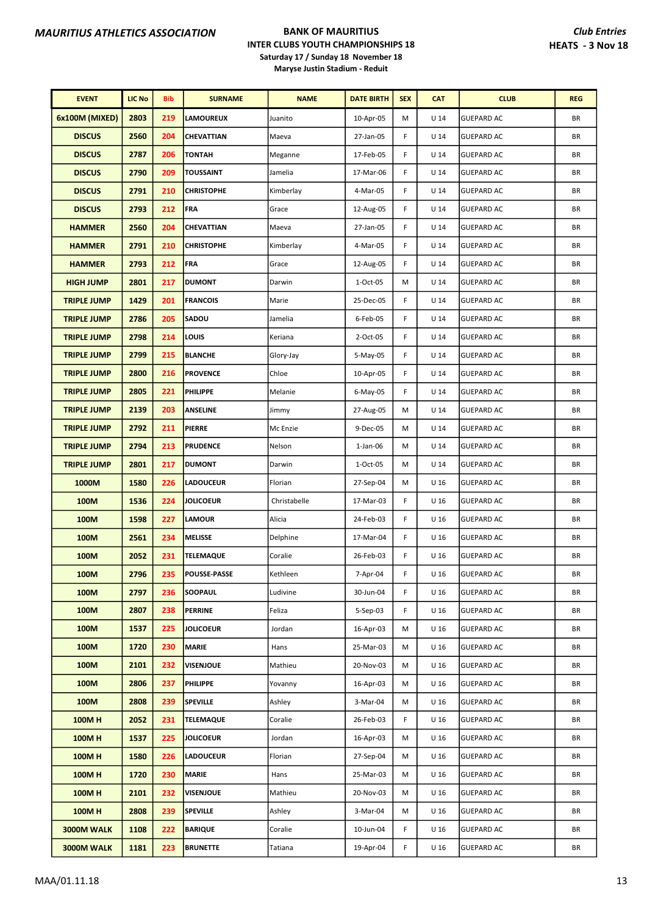| <b>EVENT</b>       | <b>LIC No</b> | <b>Bib</b> | <b>SURNAME</b>      | <b>NAME</b>  | <b>DATE BIRTH</b> | <b>SEX</b> | <b>CAT</b>      | <b>CLUB</b>       | <b>REG</b> |
|--------------------|---------------|------------|---------------------|--------------|-------------------|------------|-----------------|-------------------|------------|
| 6x100M (MIXED)     | 2803          | 219        | LAMOUREUX           | Juanito      | 10-Apr-05         | M          | U <sub>14</sub> | <b>GUEPARD AC</b> | BR         |
| <b>DISCUS</b>      | 2560          | 204        | <b>CHEVATTIAN</b>   | Maeva        | 27-Jan-05         | F          | U <sub>14</sub> | <b>GUEPARD AC</b> | BR         |
| <b>DISCUS</b>      | 2787          | 206        | <b>TONTAH</b>       | Meganne      | 17-Feb-05         | F          | U <sub>14</sub> | <b>GUEPARD AC</b> | BR         |
| <b>DISCUS</b>      | 2790          | 209        | <b>TOUSSAINT</b>    | Jamelia      | 17-Mar-06         | F          | U <sub>14</sub> | <b>GUEPARD AC</b> | BR         |
| <b>DISCUS</b>      | 2791          | 210        | <b>CHRISTOPHE</b>   | Kimberlay    | 4-Mar-05          | F          | U <sub>14</sub> | <b>GUEPARD AC</b> | BR         |
| <b>DISCUS</b>      | 2793          | 212        | <b>FRA</b>          | Grace        | 12-Aug-05         | F          | U <sub>14</sub> | <b>GUEPARD AC</b> | BR         |
| <b>HAMMER</b>      | 2560          | 204        | CHEVATTIAN          | Maeva        | 27-Jan-05         | F          | U <sub>14</sub> | <b>GUEPARD AC</b> | BR         |
| <b>HAMMER</b>      | 2791          | 210        | <b>CHRISTOPHE</b>   | Kimberlay    | 4-Mar-05          | F          | U <sub>14</sub> | <b>GUEPARD AC</b> | BR         |
| <b>HAMMER</b>      | 2793          | 212        | FRA                 | Grace        | 12-Aug-05         | F          | U <sub>14</sub> | <b>GUEPARD AC</b> | BR         |
| <b>HIGH JUMP</b>   | 2801          | 217        | <b>DUMONT</b>       | Darwin       | 1-Oct-05          | M          | U <sub>14</sub> | <b>GUEPARD AC</b> | BR         |
| <b>TRIPLE JUMP</b> | 1429          | 201        | <b>FRANCOIS</b>     | Marie        | 25-Dec-05         | F          | U <sub>14</sub> | <b>GUEPARD AC</b> | BR         |
| <b>TRIPLE JUMP</b> | 2786          | 205        | SADOU               | Jamelia      | 6-Feb-05          | F          | U <sub>14</sub> | <b>GUEPARD AC</b> | BR         |
| <b>TRIPLE JUMP</b> | 2798          | 214        | LOUIS               | Keriana      | 2-Oct-05          | F          | U <sub>14</sub> | <b>GUEPARD AC</b> | BR         |
| <b>TRIPLE JUMP</b> | 2799          | 215        | <b>BLANCHE</b>      | Glory-Jay    | 5-May-05          | F          | U <sub>14</sub> | <b>GUEPARD AC</b> | BR         |
| <b>TRIPLE JUMP</b> | 2800          | 216        | <b>PROVENCE</b>     | Chloe        | 10-Apr-05         | F          | U <sub>14</sub> | <b>GUEPARD AC</b> | BR         |
| <b>TRIPLE JUMP</b> | 2805          | 221        | <b>PHILIPPE</b>     | Melanie      | $6$ -May-05       | F          | U <sub>14</sub> | <b>GUEPARD AC</b> | BR         |
| <b>TRIPLE JUMP</b> | 2139          | 203        | <b>ANSELINE</b>     | Jimmy        | 27-Aug-05         | M          | U <sub>14</sub> | <b>GUEPARD AC</b> | BR         |
| <b>TRIPLE JUMP</b> | 2792          | 211        | <b>PIERRE</b>       | Mc Enzie     | 9-Dec-05          | М          | U <sub>14</sub> | <b>GUEPARD AC</b> | BR         |
| <b>TRIPLE JUMP</b> | 2794          | 213        | <b>PRUDENCE</b>     | Nelson       | $1$ -Jan-06       | M          | U <sub>14</sub> | <b>GUEPARD AC</b> | BR         |
| <b>TRIPLE JUMP</b> | 2801          | 217        | <b>DUMONT</b>       | Darwin       | 1-Oct-05          | М          | U <sub>14</sub> | <b>GUEPARD AC</b> | BR         |
| 1000M              | 1580          | 226        | <b>LADOUCEUR</b>    | Florian      | 27-Sep-04         | M          | U 16            | <b>GUEPARD AC</b> | BR         |
| 100M               | 1536          | 224        | <b>JOLICOEUR</b>    | Christabelle | 17-Mar-03         | F          | U 16            | <b>GUEPARD AC</b> | BR         |
| 100M               | 1598          | 227        | <b>LAMOUR</b>       | Alicia       | 24-Feb-03         | F          | U 16            | <b>GUEPARD AC</b> | BR         |
| 100M               | 2561          | 234        | <b>MELISSE</b>      | Delphine     | 17-Mar-04         | F          | U <sub>16</sub> | <b>GUEPARD AC</b> | BR         |
| 100M               | 2052          | 231        | <b>TELEMAQUE</b>    | Coralie      | 26-Feb-03         | F          | U <sub>16</sub> | <b>GUEPARD AC</b> | ΒR         |
| 100M               | 2796          | 235        | <b>POUSSE-PASSE</b> | Kethleen     | 7-Apr-04          | F          | U <sub>16</sub> | <b>GUEPARD AC</b> | BR         |
| 100M               | 2797          | 236        | <b>SOOPAUL</b>      | Ludivine     | 30-Jun-04         | F          | U <sub>16</sub> | <b>GUEPARD AC</b> | ΒR         |
| 100M               | 2807          | 238        | <b>PERRINE</b>      | Feliza       | $5-Sep-03$        | F          | U 16            | <b>GUEPARD AC</b> | ΒR         |
| 100M               | 1537          | 225        | <b>JOLICOEUR</b>    | Jordan       | 16-Apr-03         | М          | U <sub>16</sub> | <b>GUEPARD AC</b> | BR         |
| 100M               | 1720          | 230        | <b>MARIE</b>        | Hans         | 25-Mar-03         | м          | U 16            | <b>GUEPARD AC</b> | BR         |
| 100M               | 2101          | 232        | VISENJOUE           | Mathieu      | 20-Nov-03         | М          | U <sub>16</sub> | <b>GUEPARD AC</b> | BR         |
| 100M               | 2806          | 237        | <b>PHILIPPE</b>     | Yovanny      | 16-Apr-03         | М          | U <sub>16</sub> | <b>GUEPARD AC</b> | BR         |
| 100M               | 2808          | 239        | <b>SPEVILLE</b>     | Ashley       | 3-Mar-04          | М          | U 16            | <b>GUEPARD AC</b> | ΒR         |
| <b>100MH</b>       | 2052          | 231        | <b>TELEMAQUE</b>    | Coralie      | 26-Feb-03         | F          | U <sub>16</sub> | <b>GUEPARD AC</b> | BR         |
| <b>100MH</b>       | 1537          | 225        | <b>JOLICOEUR</b>    | Jordan       | 16-Apr-03         | м          | U <sub>16</sub> | <b>GUEPARD AC</b> | BR         |
| <b>100MH</b>       | 1580          | 226        | <b>LADOUCEUR</b>    | Florian      | 27-Sep-04         | М          | U <sub>16</sub> | <b>GUEPARD AC</b> | BR         |
| <b>100MH</b>       | 1720          | 230        | <b>MARIE</b>        | Hans         | 25-Mar-03         | М          | U <sub>16</sub> | <b>GUEPARD AC</b> | BR         |
| <b>100MH</b>       | 2101          | 232        | <b>VISENJOUE</b>    | Mathieu      | 20-Nov-03         | М          | U <sub>16</sub> | <b>GUEPARD AC</b> | BR         |
| 100MH              | 2808          | 239        | <b>SPEVILLE</b>     | Ashley       | 3-Mar-04          | М          | U <sub>16</sub> | <b>GUEPARD AC</b> | BR         |
| 3000M WALK         | 1108          | 222        | <b>BARIQUE</b>      | Coralie      | 10-Jun-04         | F          | U <sub>16</sub> | <b>GUEPARD AC</b> | BR         |
| 3000M WALK         | 1181          | 223        | <b>BRUNETTE</b>     | Tatiana      | 19-Apr-04         | F          | U <sub>16</sub> | <b>GUEPARD AC</b> | BR         |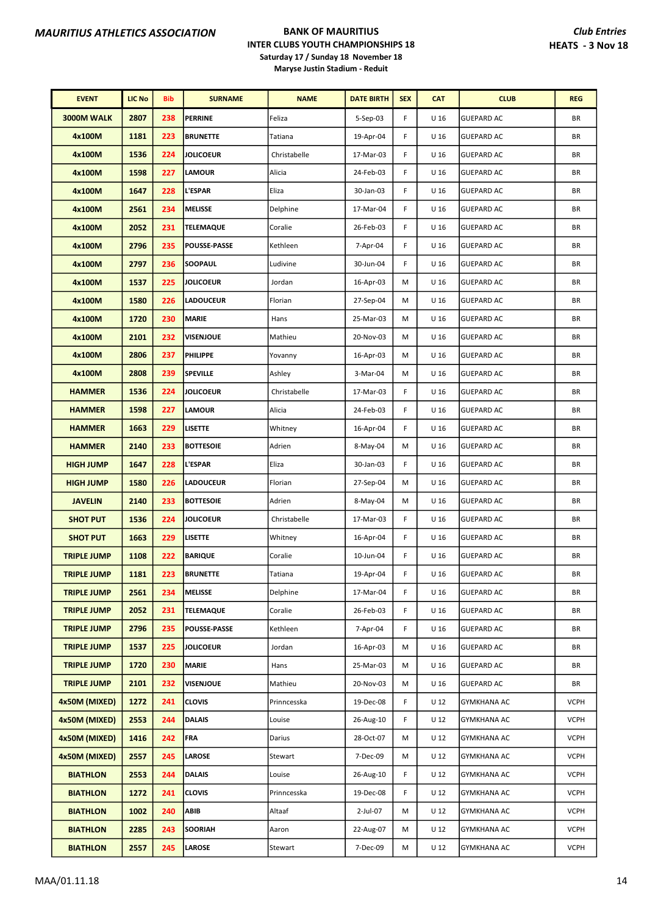| <b>EVENT</b>       | <b>LIC No</b> | Bib | <b>SURNAME</b>      | <b>NAME</b>  | <b>DATE BIRTH</b> | <b>SEX</b> | <b>CAT</b>      | <b>CLUB</b>        | <b>REG</b>  |
|--------------------|---------------|-----|---------------------|--------------|-------------------|------------|-----------------|--------------------|-------------|
| 3000M WALK         | 2807          | 238 | <b>PERRINE</b>      | Feliza       | 5-Sep-03          | F          | U <sub>16</sub> | <b>GUEPARD AC</b>  | BR          |
| 4x100M             | 1181          | 223 | <b>BRUNETTE</b>     | Tatiana      | 19-Apr-04         | F          | U <sub>16</sub> | <b>GUEPARD AC</b>  | BR          |
| 4x100M             | 1536          | 224 | <b>JOLICOEUR</b>    | Christabelle | 17-Mar-03         | F          | U <sub>16</sub> | <b>GUEPARD AC</b>  | BR          |
| 4x100M             | 1598          | 227 | <b>LAMOUR</b>       | Alicia       | 24-Feb-03         | F          | U <sub>16</sub> | <b>GUEPARD AC</b>  | BR          |
| 4x100M             | 1647          | 228 | <b>L'ESPAR</b>      | Eliza        | 30-Jan-03         | F          | U <sub>16</sub> | <b>GUEPARD AC</b>  | BR          |
| 4x100M             | 2561          | 234 | <b>MELISSE</b>      | Delphine     | 17-Mar-04         | F          | U <sub>16</sub> | <b>GUEPARD AC</b>  | BR          |
| 4x100M             | 2052          | 231 | <b>TELEMAQUE</b>    | Coralie      | 26-Feb-03         | F          | U <sub>16</sub> | <b>GUEPARD AC</b>  | BR          |
| 4x100M             | 2796          | 235 | <b>POUSSE-PASSE</b> | Kethleen     | 7-Apr-04          | F          | U <sub>16</sub> | <b>GUEPARD AC</b>  | BR          |
| 4x100M             | 2797          | 236 | <b>SOOPAUL</b>      | Ludivine     | 30-Jun-04         | F          | U <sub>16</sub> | <b>GUEPARD AC</b>  | ΒR          |
| 4x100M             | 1537          | 225 | <b>JOLICOEUR</b>    | Jordan       | 16-Apr-03         | М          | U <sub>16</sub> | <b>GUEPARD AC</b>  | BR          |
| 4x100M             | 1580          | 226 | <b>LADOUCEUR</b>    | Florian      | 27-Sep-04         | М          | U <sub>16</sub> | <b>GUEPARD AC</b>  | BR          |
| 4x100M             | 1720          | 230 | MARIE               | Hans         | 25-Mar-03         | M          | U 16            | <b>GUEPARD AC</b>  | ΒR          |
| 4x100M             | 2101          | 232 | <b>VISENJOUE</b>    | Mathieu      | 20-Nov-03         | M          | U 16            | <b>GUEPARD AC</b>  | ΒR          |
| 4x100M             | 2806          | 237 | <b>PHILIPPE</b>     | Yovanny      | 16-Apr-03         | M          | U <sub>16</sub> | <b>GUEPARD AC</b>  | BR          |
| 4x100M             | 2808          | 239 | <b>SPEVILLE</b>     | Ashley       | 3-Mar-04          | M          | U <sub>16</sub> | <b>GUEPARD AC</b>  | BR          |
| <b>HAMMER</b>      | 1536          | 224 | <b>JOLICOEUR</b>    | Christabelle | 17-Mar-03         | F          | U <sub>16</sub> | <b>GUEPARD AC</b>  | BR          |
| <b>HAMMER</b>      | 1598          | 227 | <b>LAMOUR</b>       | Alicia       | 24-Feb-03         | F          | U 16            | <b>GUEPARD AC</b>  | ΒR          |
| <b>HAMMER</b>      | 1663          | 229 | <b>LISETTE</b>      | Whitney      | 16-Apr-04         | F          | U 16            | <b>GUEPARD AC</b>  | ΒR          |
| <b>HAMMER</b>      | 2140          | 233 | <b>BOTTESOIE</b>    | Adrien       | 8-May-04          | M          | U <sub>16</sub> | <b>GUEPARD AC</b>  | ΒR          |
| <b>HIGH JUMP</b>   | 1647          | 228 | <b>L'ESPAR</b>      | Eliza        | 30-Jan-03         | F          | U <sub>16</sub> | <b>GUEPARD AC</b>  | BR          |
| <b>HIGH JUMP</b>   | 1580          | 226 | <b>LADOUCEUR</b>    | Florian      | 27-Sep-04         | М          | U <sub>16</sub> | <b>GUEPARD AC</b>  | BR          |
| <b>JAVELIN</b>     | 2140          | 233 | <b>BOTTESOIE</b>    | Adrien       | 8-May-04          | M          | U <sub>16</sub> | <b>GUEPARD AC</b>  | BR          |
| <b>SHOT PUT</b>    | 1536          | 224 | <b>JOLICOEUR</b>    | Christabelle | 17-Mar-03         | F          | U 16            | <b>GUEPARD AC</b>  | BR          |
| <b>SHOT PUT</b>    | 1663          | 229 | <b>LISETTE</b>      | Whitney      | 16-Apr-04         | F          | U <sub>16</sub> | <b>GUEPARD AC</b>  | ΒR          |
| <b>TRIPLE JUMP</b> | 1108          | 222 | <b>BARIQUE</b>      | Coralie      | 10-Jun-04         | F          | U <sub>16</sub> | <b>GUEPARD AC</b>  | BR          |
| <b>TRIPLE JUMP</b> | 1181          | 223 | <b>BRUNETTE</b>     | Tatiana      | 19-Apr-04         | F          | U 16            | <b>GUEPARD AC</b>  | BR          |
| <b>TRIPLE JUMP</b> | 2561          | 234 | MELISSE             | Delphine     | 17-Mar-04         | F          | U 16            | <b>GUEPARD AC</b>  | ΒR          |
| <b>TRIPLE JUMP</b> | 2052          | 231 | <b>TELEMAQUE</b>    | Coralie      | 26-Feb-03         | F          | U <sub>16</sub> | <b>GUEPARD AC</b>  | BR          |
| <b>TRIPLE JUMP</b> | 2796          | 235 | <b>POUSSE-PASSE</b> | Kethleen     | 7-Apr-04          | F          | U <sub>16</sub> | <b>GUEPARD AC</b>  | ΒR          |
| <b>TRIPLE JUMP</b> | 1537          | 225 | <b>JOLICOEUR</b>    | Jordan       | 16-Apr-03         | М          | U <sub>16</sub> | <b>GUEPARD AC</b>  | BR          |
| <b>TRIPLE JUMP</b> | 1720          | 230 | <b>MARIE</b>        | Hans         | 25-Mar-03         | М          | U <sub>16</sub> | <b>GUEPARD AC</b>  | ΒR          |
| <b>TRIPLE JUMP</b> | 2101          | 232 | <b>VISENJOUE</b>    | Mathieu      | 20-Nov-03         | M          | U 16            | <b>GUEPARD AC</b>  | BR          |
| 4x50M (MIXED)      | 1272          | 241 | <b>CLOVIS</b>       | Prinncesska  | 19-Dec-08         | F          | U 12            | <b>GYMKHANA AC</b> | <b>VCPH</b> |
| 4x50M (MIXED)      | 2553          | 244 | <b>DALAIS</b>       | Louise       | 26-Aug-10         | F          | U 12            | <b>GYMKHANA AC</b> | <b>VCPH</b> |
| 4x50M (MIXED)      | 1416          | 242 | FRA                 | Darius       | 28-Oct-07         | М          | U <sub>12</sub> | <b>GYMKHANA AC</b> | <b>VCPH</b> |
| 4x50M (MIXED)      | 2557          | 245 | <b>LAROSE</b>       | Stewart      | 7-Dec-09          | M          | U <sub>12</sub> | <b>GYMKHANA AC</b> | <b>VCPH</b> |
| <b>BIATHLON</b>    | 2553          | 244 | <b>DALAIS</b>       | Louise       | 26-Aug-10         | F          | U <sub>12</sub> | <b>GYMKHANA AC</b> | <b>VCPH</b> |
| <b>BIATHLON</b>    | 1272          | 241 | <b>CLOVIS</b>       | Prinncesska  | 19-Dec-08         | F          | U 12            | <b>GYMKHANA AC</b> | <b>VCPH</b> |
| <b>BIATHLON</b>    | 1002          | 240 | ABIB                | Altaaf       | 2-Jul-07          | M          | U 12            | GYMKHANA AC        | <b>VCPH</b> |
| <b>BIATHLON</b>    | 2285          | 243 | <b>SOORIAH</b>      | Aaron        | 22-Aug-07         | м          | U <sub>12</sub> | <b>GYMKHANA AC</b> | <b>VCPH</b> |
| <b>BIATHLON</b>    | 2557          | 245 | LAROSE              | Stewart      | 7-Dec-09          | М          | U <sub>12</sub> | <b>GYMKHANA AC</b> | <b>VCPH</b> |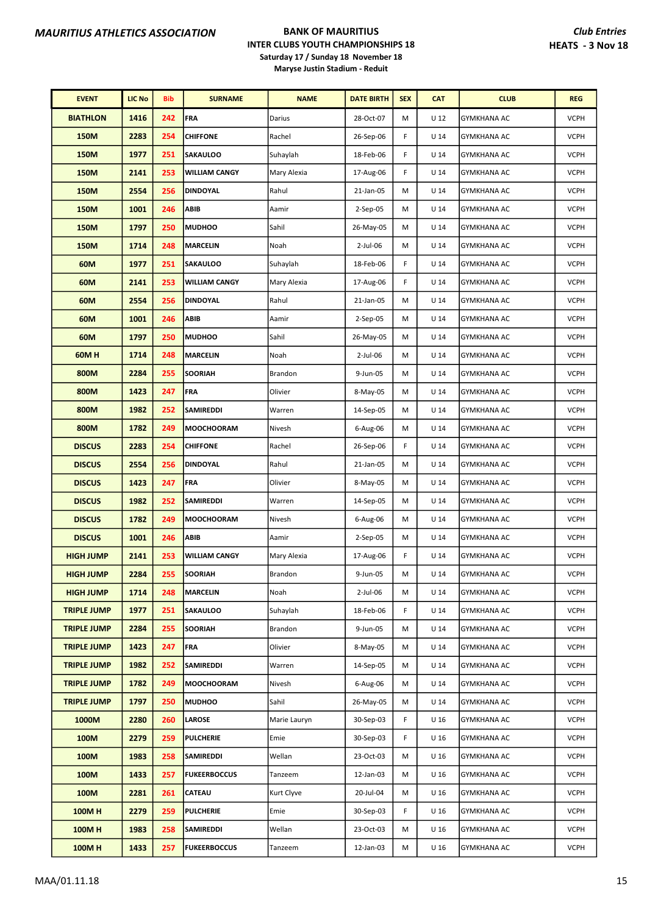| <b>EVENT</b>       | <b>LIC No</b> | <b>Bib</b> | <b>SURNAME</b>       | <b>NAME</b>  | <b>DATE BIRTH</b> | <b>SEX</b> | <b>CAT</b>      | <b>CLUB</b>        | <b>REG</b>  |
|--------------------|---------------|------------|----------------------|--------------|-------------------|------------|-----------------|--------------------|-------------|
| <b>BIATHLON</b>    | 1416          | 242        | <b>FRA</b>           | Darius       | 28-Oct-07         | M          | U 12            | <b>GYMKHANA AC</b> | <b>VCPH</b> |
| <b>150M</b>        | 2283          | 254        | <b>CHIFFONE</b>      | Rachel       | 26-Sep-06         | F          | U <sub>14</sub> | GYMKHANA AC        | <b>VCPH</b> |
| <b>150M</b>        | 1977          | 251        | <b>SAKAULOO</b>      | Suhaylah     | 18-Feb-06         | F          | U <sub>14</sub> | <b>GYMKHANA AC</b> | <b>VCPH</b> |
| <b>150M</b>        | 2141          | 253        | <b>WILLIAM CANGY</b> | Mary Alexia  | 17-Aug-06         | F          | U <sub>14</sub> | <b>GYMKHANA AC</b> | <b>VCPH</b> |
| <b>150M</b>        | 2554          | 256        | <b>DINDOYAL</b>      | Rahul        | 21-Jan-05         | M          | $U$ 14          | <b>GYMKHANA AC</b> | <b>VCPH</b> |
| <b>150M</b>        | 1001          | 246        | ABIB                 | Aamir        | 2-Sep-05          | M          | U <sub>14</sub> | <b>GYMKHANA AC</b> | <b>VCPH</b> |
| <b>150M</b>        | 1797          | 250        | <b>MUDHOO</b>        | Sahil        | 26-May-05         | M          | U <sub>14</sub> | GYMKHANA AC        | <b>VCPH</b> |
| <b>150M</b>        | 1714          | 248        | <b>MARCELIN</b>      | Noah         | 2-Jul-06          | M          | U <sub>14</sub> | <b>GYMKHANA AC</b> | <b>VCPH</b> |
| 60M                | 1977          | 251        | <b>SAKAULOO</b>      | Suhaylah     | 18-Feb-06         | F          | U <sub>14</sub> | <b>GYMKHANA AC</b> | <b>VCPH</b> |
| 60M                | 2141          | 253        | <b>WILLIAM CANGY</b> | Mary Alexia  | 17-Aug-06         | F          | U <sub>14</sub> | <b>GYMKHANA AC</b> | <b>VCPH</b> |
| 60M                | 2554          | 256        | <b>DINDOYAL</b>      | Rahul        | 21-Jan-05         | M          | U <sub>14</sub> | GYMKHANA AC        | <b>VCPH</b> |
| 60M                | 1001          | 246        | ABIB                 | Aamir        | $2-Sep-05$        | M          | U <sub>14</sub> | <b>GYMKHANA AC</b> | <b>VCPH</b> |
| 60M                | 1797          | 250        | <b>MUDHOO</b>        | Sahil        | 26-May-05         | м          | U <sub>14</sub> | <b>GYMKHANA AC</b> | <b>VCPH</b> |
| 60MH               | 1714          | 248        | <b>MARCELIN</b>      | Noah         | 2-Jul-06          | М          | U <sub>14</sub> | <b>GYMKHANA AC</b> | <b>VCPH</b> |
| 800M               | 2284          | 255        | <b>SOORIAH</b>       | Brandon      | 9-Jun-05          | M          | $U$ 14          | <b>GYMKHANA AC</b> | <b>VCPH</b> |
| 800M               | 1423          | 247        | <b>FRA</b>           | Olivier      | 8-May-05          | M          | $U$ 14          | <b>GYMKHANA AC</b> | <b>VCPH</b> |
| 800M               | 1982          | 252        | SAMIREDDI            | Warren       | 14-Sep-05         | M          | U <sub>14</sub> | <b>GYMKHANA AC</b> | <b>VCPH</b> |
| 800M               | 1782          | 249        | <b>MOOCHOORAM</b>    | Nivesh       | 6-Aug-06          | M          | U <sub>14</sub> | <b>GYMKHANA AC</b> | <b>VCPH</b> |
| <b>DISCUS</b>      | 2283          | 254        | <b>CHIFFONE</b>      | Rachel       | 26-Sep-06         | F          | U <sub>14</sub> | <b>GYMKHANA AC</b> | <b>VCPH</b> |
| <b>DISCUS</b>      | 2554          | 256        | <b>DINDOYAL</b>      | Rahul        | 21-Jan-05         | M          | $U$ 14          | <b>GYMKHANA AC</b> | <b>VCPH</b> |
| <b>DISCUS</b>      | 1423          | 247        | FRA                  | Olivier      | 8-May-05          | M          | $U$ 14          | <b>GYMKHANA AC</b> | <b>VCPH</b> |
| <b>DISCUS</b>      | 1982          | 252        | SAMIREDDI            | Warren       | 14-Sep-05         | M          | U <sub>14</sub> | <b>GYMKHANA AC</b> | <b>VCPH</b> |
| <b>DISCUS</b>      | 1782          | 249        | <b>MOOCHOORAM</b>    | Nivesh       | 6-Aug-06          | M          | U <sub>14</sub> | <b>GYMKHANA AC</b> | <b>VCPH</b> |
| <b>DISCUS</b>      | 1001          | 246        | ABIB                 | Aamir        | 2-Sep-05          | м          | U <sub>14</sub> | <b>GYMKHANA AC</b> | <b>VCPH</b> |
| <b>HIGH JUMP</b>   | 2141          | 253        | <b>WILLIAM CANGY</b> | Mary Alexia  | 17-Aug-06         | F          | $U$ 14          | <b>GYMKHANA AC</b> | <b>VCPH</b> |
| <b>HIGH JUMP</b>   | 2284          | 255        | <b>SOORIAH</b>       | Brandon      | 9-Jun-05          | М          | U 14            | <b>GYMKHANA AC</b> | <b>VCPH</b> |
| <b>HIGH JUMP</b>   | 1714          | 248        | <b>MARCELIN</b>      | Noah         | $2$ -Jul-06       | М          | U 14            | <b>GYMKHANA AC</b> | <b>VCPH</b> |
| <b>TRIPLE JUMP</b> | 1977          | 251        | <b>SAKAULOO</b>      | Suhaylah     | 18-Feb-06         | F          | U <sub>14</sub> | <b>GYMKHANA AC</b> | <b>VCPH</b> |
| <b>TRIPLE JUMP</b> | 2284          | 255        | <b>SOORIAH</b>       | Brandon      | 9-Jun-05          | м          | U 14            | GYMKHANA AC        | <b>VCPH</b> |
| <b>TRIPLE JUMP</b> | 1423          | 247        | FRA                  | Olivier      | 8-May-05          | М          | U <sub>14</sub> | <b>GYMKHANA AC</b> | <b>VCPH</b> |
| <b>TRIPLE JUMP</b> | 1982          | 252        | SAMIREDDI            | Warren       | 14-Sep-05         | м          | U <sub>14</sub> | <b>GYMKHANA AC</b> | <b>VCPH</b> |
| <b>TRIPLE JUMP</b> | 1782          | 249        | <b>MOOCHOORAM</b>    | Nivesh       | 6-Aug-06          | М          | U 14            | <b>GYMKHANA AC</b> | <b>VCPH</b> |
| <b>TRIPLE JUMP</b> | 1797          | 250        | <b>MUDHOO</b>        | Sahil        | 26-May-05         | М          | U <sub>14</sub> | GYMKHANA AC        | <b>VCPH</b> |
| 1000M              | 2280          | 260        | LAROSE               | Marie Lauryn | 30-Sep-03         | F          | U 16            | GYMKHANA AC        | <b>VCPH</b> |
| 100M               | 2279          | 259        | <b>PULCHERIE</b>     | Emie         | 30-Sep-03         | F          | U <sub>16</sub> | <b>GYMKHANA AC</b> | <b>VCPH</b> |
| 100M               | 1983          | 258        | SAMIREDDI            | Wellan       | 23-Oct-03         | М          | U <sub>16</sub> | GYMKHANA AC        | <b>VCPH</b> |
| 100M               | 1433          | 257        | <b>FUKEERBOCCUS</b>  | Tanzeem      | 12-Jan-03         | М          | U <sub>16</sub> | <b>GYMKHANA AC</b> | <b>VCPH</b> |
| 100M               | 2281          | 261        | CATEAU               | Kurt Clyve   | 20-Jul-04         | М          | U <sub>16</sub> | GYMKHANA AC        | <b>VCPH</b> |
| <b>100MH</b>       | 2279          | 259        | <b>PULCHERIE</b>     | Emie         | 30-Sep-03         | F          | U 16            | GYMKHANA AC        | <b>VCPH</b> |
| <b>100MH</b>       | 1983          | 258        | SAMIREDDI            | Wellan       | 23-Oct-03         | M          | U <sub>16</sub> | <b>GYMKHANA AC</b> | <b>VCPH</b> |
| 100MH              | 1433          | 257        | <b>FUKEERBOCCUS</b>  | Tanzeem      | 12-Jan-03         | М          | U <sub>16</sub> | <b>GYMKHANA AC</b> | <b>VCPH</b> |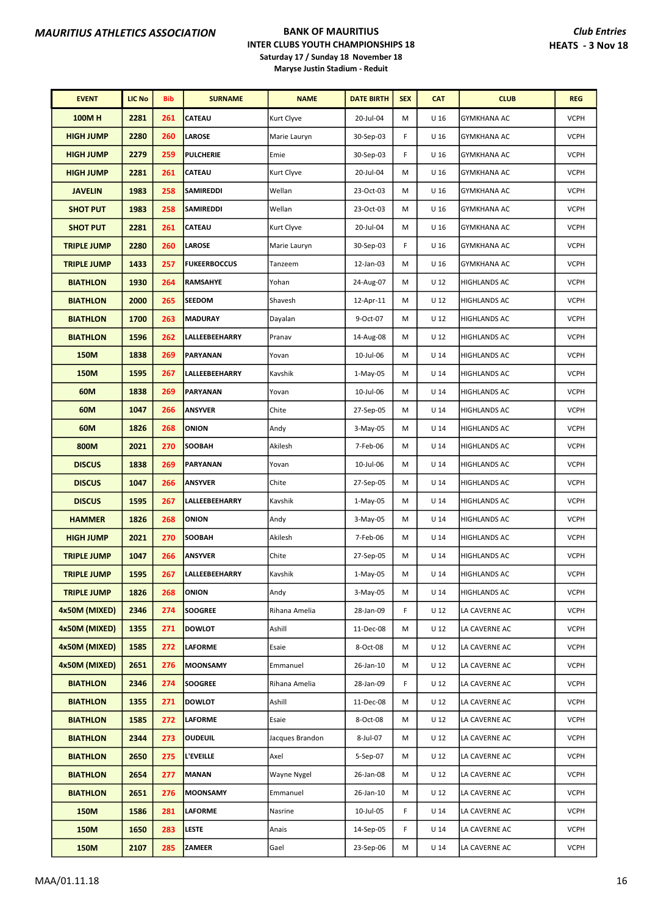| <b>EVENT</b>       | <b>LIC No</b> | <b>Bib</b> | <b>SURNAME</b>        | <b>NAME</b>     | <b>DATE BIRTH</b> | <b>SEX</b> | <b>CAT</b>      | <b>CLUB</b>         | <b>REG</b>  |
|--------------------|---------------|------------|-----------------------|-----------------|-------------------|------------|-----------------|---------------------|-------------|
| <b>100MH</b>       | 2281          | 261        | CATEAU                | Kurt Clyve      | 20-Jul-04         | М          | U 16            | GYMKHANA AC         | <b>VCPH</b> |
| <b>HIGH JUMP</b>   | 2280          | 260        | <b>LAROSE</b>         | Marie Lauryn    | 30-Sep-03         | F          | U <sub>16</sub> | <b>GYMKHANA AC</b>  | <b>VCPH</b> |
| <b>HIGH JUMP</b>   | 2279          | 259        | <b>PULCHERIE</b>      | Emie            | 30-Sep-03         | F          | U 16            | GYMKHANA AC         | <b>VCPH</b> |
| <b>HIGH JUMP</b>   | 2281          | 261        | <b>CATEAU</b>         | Kurt Clyve      | 20-Jul-04         | М          | U <sub>16</sub> | <b>GYMKHANA AC</b>  | <b>VCPH</b> |
| <b>JAVELIN</b>     | 1983          | 258        | SAMIREDDI             | Wellan          | 23-Oct-03         | М          | U <sub>16</sub> | <b>GYMKHANA AC</b>  | <b>VCPH</b> |
| <b>SHOT PUT</b>    | 1983          | 258        | <b>SAMIREDDI</b>      | Wellan          | 23-Oct-03         | М          | U 16            | GYMKHANA AC         | <b>VCPH</b> |
| <b>SHOT PUT</b>    | 2281          | 261        | CATEAU                | Kurt Clyve      | 20-Jul-04         | М          | U <sub>16</sub> | <b>GYMKHANA AC</b>  | <b>VCPH</b> |
| <b>TRIPLE JUMP</b> | 2280          | 260        | <b>LAROSE</b>         | Marie Lauryn    | 30-Sep-03         | F          | U 16            | <b>GYMKHANA AC</b>  | <b>VCPH</b> |
| <b>TRIPLE JUMP</b> | 1433          | 257        | <b>FUKEERBOCCUS</b>   | Tanzeem         | 12-Jan-03         | M          | U <sub>16</sub> | <b>GYMKHANA AC</b>  | <b>VCPH</b> |
| <b>BIATHLON</b>    | 1930          | 264        | <b>RAMSAHYE</b>       | Yohan           | 24-Aug-07         | M          | U <sub>12</sub> | HIGHLANDS AC        | <b>VCPH</b> |
| <b>BIATHLON</b>    | 2000          | 265        | <b>SEEDOM</b>         | Shavesh         | 12-Apr-11         | M          | U 12            | <b>HIGHLANDS AC</b> | <b>VCPH</b> |
| <b>BIATHLON</b>    | 1700          | 263        | <b>MADURAY</b>        | Dayalan         | 9-Oct-07          | M          | U <sub>12</sub> | <b>HIGHLANDS AC</b> | <b>VCPH</b> |
| <b>BIATHLON</b>    | 1596          | 262        | LALLEEBEEHARRY        | Pranav          | 14-Aug-08         | М          | U <sub>12</sub> | HIGHLANDS AC        | <b>VCPH</b> |
| <b>150M</b>        | 1838          | 269        | PARYANAN              | Yovan           | 10-Jul-06         | М          | U <sub>14</sub> | HIGHLANDS AC        | <b>VCPH</b> |
| <b>150M</b>        | 1595          | 267        | <b>LALLEEBEEHARRY</b> | Kavshik         | $1-May-05$        | М          | $U$ 14          | HIGHLANDS AC        | <b>VCPH</b> |
| 60M                | 1838          | 269        | <b>PARYANAN</b>       | Yovan           | 10-Jul-06         | М          | U <sub>14</sub> | HIGHLANDS AC        | <b>VCPH</b> |
| 60M                | 1047          | 266        | <b>ANSYVER</b>        | Chite           | 27-Sep-05         | М          | U <sub>14</sub> | HIGHLANDS AC        | <b>VCPH</b> |
| 60M                | 1826          | 268        | ONION                 | Andy            | 3-May-05          | М          | U <sub>14</sub> | HIGHLANDS AC        | <b>VCPH</b> |
| 800M               | 2021          | 270        | <b>SOOBAH</b>         | Akilesh         | 7-Feb-06          | М          | U <sub>14</sub> | HIGHLANDS AC        | <b>VCPH</b> |
| <b>DISCUS</b>      | 1838          | 269        | PARYANAN              | Yovan           | 10-Jul-06         | М          | $U$ 14          | HIGHLANDS AC        | <b>VCPH</b> |
| <b>DISCUS</b>      | 1047          | 266        | <b>ANSYVER</b>        | Chite           | 27-Sep-05         | М          | U <sub>14</sub> | HIGHLANDS AC        | <b>VCPH</b> |
| <b>DISCUS</b>      | 1595          | 267        | LALLEEBEEHARRY        | Kavshik         | 1-May-05          | м          | U <sub>14</sub> | HIGHLANDS AC        | <b>VCPH</b> |
| <b>HAMMER</b>      | 1826          | 268        | ONION                 | Andy            | $3-May-05$        | М          | U <sub>14</sub> | HIGHLANDS AC        | <b>VCPH</b> |
| <b>HIGH JUMP</b>   | 2021          | 270        | <b>SOOBAH</b>         | Akilesh         | 7-Feb-06          | м          | U <sub>14</sub> | <b>HIGHLANDS AC</b> | <b>VCPH</b> |
| <b>TRIPLE JUMP</b> | 1047          | 266        | <b>ANSYVER</b>        | Chite           | 27-Sep-05         | М          | $U$ 14          | <b>HIGHLANDS AC</b> | <b>VCPH</b> |
| <b>TRIPLE JUMP</b> | 1595          | 267        | <b>LALLEEBEEHARRY</b> | Kavshik         | 1-May-05          | M          | U <sub>14</sub> | <b>HIGHLANDS AC</b> | <b>VCPH</b> |
| <b>TRIPLE JUMP</b> | 1826          | 268        | ONION                 | Andy            | 3-May-05          | м          | U <sub>14</sub> | <b>HIGHLANDS AC</b> | <b>VCPH</b> |
| 4x50M (MIXED)      | 2346          | 274        | <b>SOOGREE</b>        | Rihana Amelia   | 28-Jan-09         | F          | U <sub>12</sub> | LA CAVERNE AC       | <b>VCPH</b> |
| 4x50M (MIXED)      | 1355          | 271        | <b>DOWLOT</b>         | Ashill          | 11-Dec-08         | М          | U <sub>12</sub> | LA CAVERNE AC       | <b>VCPH</b> |
| 4x50M (MIXED)      | 1585          | 272        | <b>LAFORME</b>        | Esaie           | 8-Oct-08          | м          | U <sub>12</sub> | LA CAVERNE AC       | <b>VCPH</b> |
| 4x50M (MIXED)      | 2651          | 276        | <b>MOONSAMY</b>       | Emmanuel        | 26-Jan-10         | м          | U <sub>12</sub> | LA CAVERNE AC       | <b>VCPH</b> |
| <b>BIATHLON</b>    | 2346          | 274        | <b>SOOGREE</b>        | Rihana Amelia   | 28-Jan-09         | F          | U 12            | LA CAVERNE AC       | <b>VCPH</b> |
| <b>BIATHLON</b>    | 1355          | 271        | <b>DOWLOT</b>         | Ashill          | 11-Dec-08         | м          | U <sub>12</sub> | LA CAVERNE AC       | <b>VCPH</b> |
| <b>BIATHLON</b>    | 1585          | 272        | LAFORME               | Esaie           | 8-Oct-08          | М          | U 12            | LA CAVERNE AC       | <b>VCPH</b> |
| <b>BIATHLON</b>    | 2344          | 273        | <b>OUDEUIL</b>        | Jacques Brandon | 8-Jul-07          | м          | U <sub>12</sub> | LA CAVERNE AC       | <b>VCPH</b> |
| <b>BIATHLON</b>    | 2650          | 275        | L'EVEILLE             | Axel            | 5-Sep-07          | М          | U <sub>12</sub> | LA CAVERNE AC       | <b>VCPH</b> |
| <b>BIATHLON</b>    | 2654          | 277        | <b>MANAN</b>          | Wayne Nygel     | 26-Jan-08         | м          | U 12            | LA CAVERNE AC       | <b>VCPH</b> |
| <b>BIATHLON</b>    | 2651          | 276        | <b>MOONSAMY</b>       | Emmanuel        | 26-Jan-10         | м          | U <sub>12</sub> | LA CAVERNE AC       | <b>VCPH</b> |
| 150M               | 1586          | 281        | <b>LAFORME</b>        | Nasrine         | 10-Jul-05         | F          | U <sub>14</sub> | LA CAVERNE AC       | <b>VCPH</b> |
| 150M               | 1650          | 283        | <b>LESTE</b>          | Anais           | 14-Sep-05         | F.         | U <sub>14</sub> | LA CAVERNE AC       | <b>VCPH</b> |
| <b>150M</b>        | 2107          | 285        | ZAMEER                | Gael            | 23-Sep-06         | М          | U <sub>14</sub> | LA CAVERNE AC       | <b>VCPH</b> |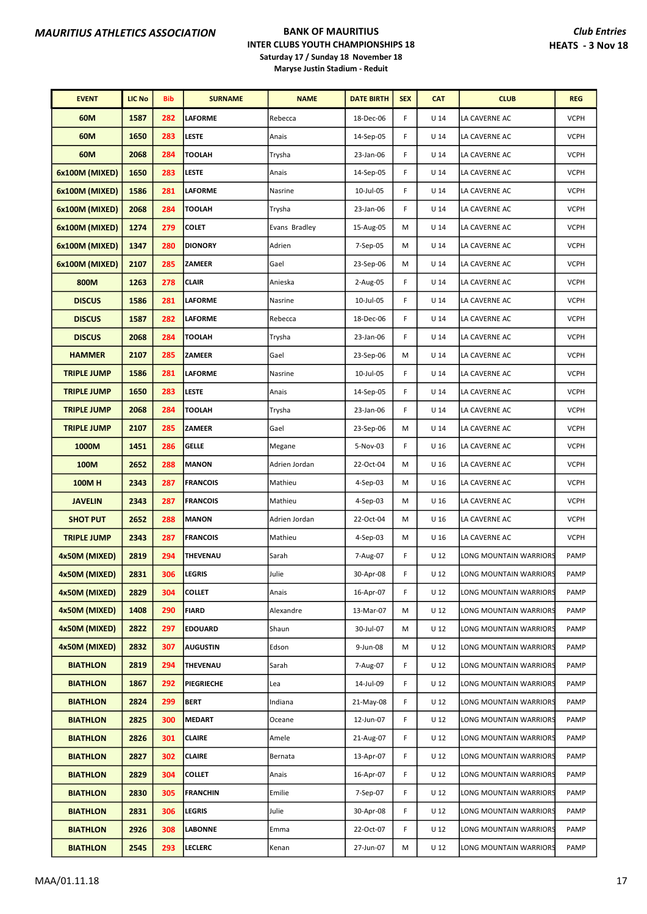| <b>EVENT</b>       | <b>LIC No</b> | Bib | <b>SURNAME</b>  | <b>NAME</b>   | <b>DATE BIRTH</b> | <b>SEX</b> | <b>CAT</b>      | <b>CLUB</b>            | <b>REG</b>  |
|--------------------|---------------|-----|-----------------|---------------|-------------------|------------|-----------------|------------------------|-------------|
| 60M                | 1587          | 282 | <b>LAFORME</b>  | Rebecca       | 18-Dec-06         | F          | U <sub>14</sub> | LA CAVERNE AC          | <b>VCPH</b> |
| 60M                | 1650          | 283 | <b>LESTE</b>    | Anais         | 14-Sep-05         | F          | U <sub>14</sub> | LA CAVERNE AC          | <b>VCPH</b> |
| 60M                | 2068          | 284 | <b>TOOLAH</b>   | Trysha        | 23-Jan-06         | F          | U <sub>14</sub> | LA CAVERNE AC          | <b>VCPH</b> |
| 6x100M (MIXED)     | 1650          | 283 | LESTE           | Anais         | 14-Sep-05         | F          | U <sub>14</sub> | LA CAVERNE AC          | <b>VCPH</b> |
| 6x100M (MIXED)     | 1586          | 281 | <b>LAFORME</b>  | Nasrine       | 10-Jul-05         | F          | $U$ 14          | LA CAVERNE AC          | <b>VCPH</b> |
| 6x100M (MIXED)     | 2068          | 284 | <b>TOOLAH</b>   | Trysha        | 23-Jan-06         | F          | U <sub>14</sub> | LA CAVERNE AC          | <b>VCPH</b> |
| 6x100M (MIXED)     | 1274          | 279 | <b>COLET</b>    | Evans Bradley | 15-Aug-05         | M          | U <sub>14</sub> | LA CAVERNE AC          | <b>VCPH</b> |
| 6x100M (MIXED)     | 1347          | 280 | <b>DIONORY</b>  | Adrien        | 7-Sep-05          | M          | U <sub>14</sub> | LA CAVERNE AC          | <b>VCPH</b> |
| 6x100M (MIXED)     | 2107          | 285 | <b>ZAMEER</b>   | Gael          | 23-Sep-06         | M          | U <sub>14</sub> | LA CAVERNE AC          | <b>VCPH</b> |
| 800M               | 1263          | 278 | <b>CLAIR</b>    | Anieska       | 2-Aug-05          | F          | $U$ 14          | LA CAVERNE AC          | <b>VCPH</b> |
| <b>DISCUS</b>      | 1586          | 281 | <b>LAFORME</b>  | Nasrine       | 10-Jul-05         | F          | U <sub>14</sub> | LA CAVERNE AC          | <b>VCPH</b> |
| <b>DISCUS</b>      | 1587          | 282 | LAFORME         | Rebecca       | 18-Dec-06         | F          | U <sub>14</sub> | LA CAVERNE AC          | <b>VCPH</b> |
| <b>DISCUS</b>      | 2068          | 284 | <b>TOOLAH</b>   | Trysha        | 23-Jan-06         | F          | U <sub>14</sub> | LA CAVERNE AC          | <b>VCPH</b> |
| <b>HAMMER</b>      | 2107          | 285 | <b>ZAMEER</b>   | Gael          | 23-Sep-06         | M          | U <sub>14</sub> | LA CAVERNE AC          | <b>VCPH</b> |
| <b>TRIPLE JUMP</b> | 1586          | 281 | <b>LAFORME</b>  | Nasrine       | 10-Jul-05         | F          | $U$ 14          | LA CAVERNE AC          | <b>VCPH</b> |
| <b>TRIPLE JUMP</b> | 1650          | 283 | LESTE           | Anais         | 14-Sep-05         | F          | U <sub>14</sub> | LA CAVERNE AC          | <b>VCPH</b> |
| <b>TRIPLE JUMP</b> | 2068          | 284 | <b>TOOLAH</b>   | Trysha        | 23-Jan-06         | F          | U <sub>14</sub> | LA CAVERNE AC          | <b>VCPH</b> |
| <b>TRIPLE JUMP</b> | 2107          | 285 | <b>ZAMEER</b>   | Gael          | 23-Sep-06         | M          | U <sub>14</sub> | LA CAVERNE AC          | <b>VCPH</b> |
| 1000M              | 1451          | 286 | <b>GELLE</b>    | Megane        | 5-Nov-03          | F          | U <sub>16</sub> | LA CAVERNE AC          | <b>VCPH</b> |
| 100M               | 2652          | 288 | <b>MANON</b>    | Adrien Jordan | 22-Oct-04         | M          | U <sub>16</sub> | LA CAVERNE AC          | <b>VCPH</b> |
| <b>100MH</b>       | 2343          | 287 | <b>FRANCOIS</b> | Mathieu       | 4-Sep-03          | M          | U <sub>16</sub> | LA CAVERNE AC          | <b>VCPH</b> |
| <b>JAVELIN</b>     | 2343          | 287 | <b>FRANCOIS</b> | Mathieu       | 4-Sep-03          | M          | U <sub>16</sub> | LA CAVERNE AC          | <b>VCPH</b> |
| <b>SHOT PUT</b>    | 2652          | 288 | <b>MANON</b>    | Adrien Jordan | 22-Oct-04         | M          | U <sub>16</sub> | LA CAVERNE AC          | <b>VCPH</b> |
| <b>TRIPLE JUMP</b> | 2343          | 287 | <b>FRANCOIS</b> | Mathieu       | 4-Sep-03          | М          | U 16            | LA CAVERNE AC          | <b>VCPH</b> |
| 4x50M (MIXED)      | 2819          | 294 | THEVENAU        | Sarah         | 7-Aug-07          | F          | U <sub>12</sub> | LONG MOUNTAIN WARRIORS | PAMP        |
| 4x50M (MIXED)      | 2831          | 306 | <b>LEGRIS</b>   | Julie         | 30-Apr-08         | F          | U 12            | LONG MOUNTAIN WARRIORS | PAMP        |
| 4x50M (MIXED)      | 2829          | 304 | <b>COLLET</b>   | Anais         | 16-Apr-07         | F          | U <sub>12</sub> | LONG MOUNTAIN WARRIORS | PAMP        |
| 4x50M (MIXED)      | 1408          | 290 | <b>FIARD</b>    | Alexandre     | 13-Mar-07         | M          | $U_12$          | LONG MOUNTAIN WARRIORS | PAMP        |
| 4x50M (MIXED)      | 2822          | 297 | <b>EDOUARD</b>  | Shaun         | 30-Jul-07         | М          | U 12            | LONG MOUNTAIN WARRIORS | PAMP        |
| 4x50M (MIXED)      | 2832          | 307 | <b>AUGUSTIN</b> | Edson         | 9-Jun-08          | М          | $U_12$          | LONG MOUNTAIN WARRIORS | PAMP        |
| <b>BIATHLON</b>    | 2819          | 294 | THEVENAU        | Sarah         | 7-Aug-07          | F          | U <sub>12</sub> | LONG MOUNTAIN WARRIORS | PAMP        |
| <b>BIATHLON</b>    | 1867          | 292 | PIEGRIECHE      | Lea           | 14-Jul-09         | F          | U 12            | LONG MOUNTAIN WARRIORS | PAMP        |
| <b>BIATHLON</b>    | 2824          | 299 | <b>BERT</b>     | Indiana       | 21-May-08         | F          | $U_12$          | LONG MOUNTAIN WARRIORS | PAMP        |
| <b>BIATHLON</b>    | 2825          | 300 | <b>MEDART</b>   | Oceane        | 12-Jun-07         | F          | U 12            | LONG MOUNTAIN WARRIORS | PAMP        |
| <b>BIATHLON</b>    | 2826          | 301 | <b>CLAIRE</b>   | Amele         | 21-Aug-07         | F          | U <sub>12</sub> | LONG MOUNTAIN WARRIORS | PAMP        |
| <b>BIATHLON</b>    | 2827          | 302 | <b>CLAIRE</b>   | Bernata       | 13-Apr-07         | F          | U <sub>12</sub> | LONG MOUNTAIN WARRIORS | PAMP        |
| <b>BIATHLON</b>    | 2829          | 304 | <b>COLLET</b>   | Anais         | 16-Apr-07         | F          | U <sub>12</sub> | LONG MOUNTAIN WARRIORS | PAMP        |
| <b>BIATHLON</b>    | 2830          | 305 | <b>FRANCHIN</b> | Emilie        | 7-Sep-07          | F          | $U_12$          | LONG MOUNTAIN WARRIORS | PAMP        |
| <b>BIATHLON</b>    | 2831          | 306 | LEGRIS          | Julie         | 30-Apr-08         | F          | U 12            | LONG MOUNTAIN WARRIORS | PAMP        |
| <b>BIATHLON</b>    | 2926          | 308 | LABONNE         | Emma          | 22-Oct-07         | F          | U <sub>12</sub> | LONG MOUNTAIN WARRIORS | PAMP        |
| <b>BIATHLON</b>    | 2545          | 293 | LECLERC         | Kenan         | 27-Jun-07         | M          | $U_12$          | LONG MOUNTAIN WARRIORS | PAMP        |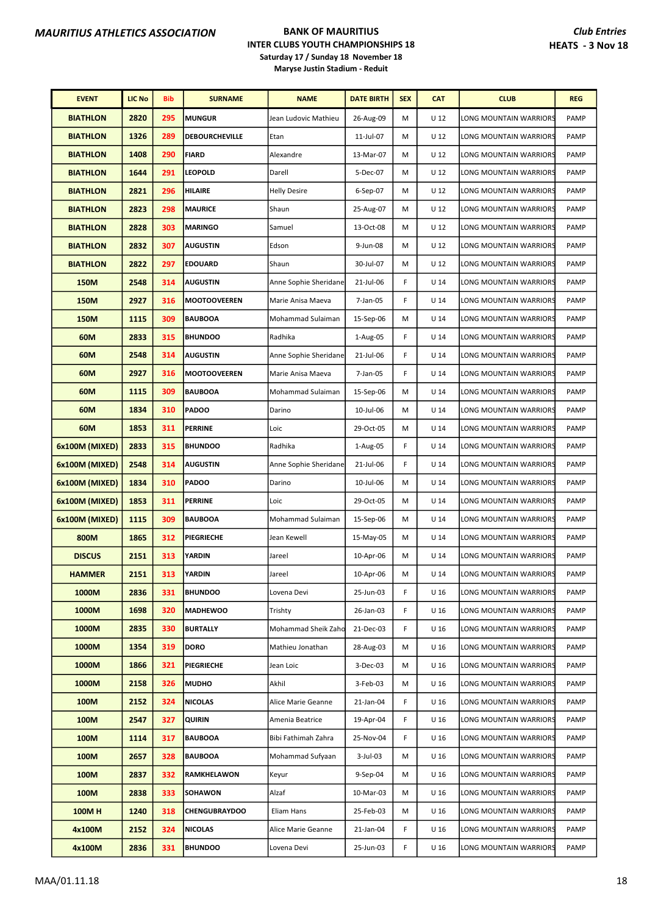| <b>EVENT</b>    | <b>LIC No</b> | <b>Bib</b> | <b>SURNAME</b>       | <b>NAME</b>           | <b>DATE BIRTH</b> | <b>SEX</b> | <b>CAT</b>      | <b>CLUB</b>            | <b>REG</b>  |
|-----------------|---------------|------------|----------------------|-----------------------|-------------------|------------|-----------------|------------------------|-------------|
| <b>BIATHLON</b> | 2820          | 295        | <b>MUNGUR</b>        | Jean Ludovic Mathieu  | 26-Aug-09         | M          | U <sub>12</sub> | LONG MOUNTAIN WARRIORS | PAMP        |
| <b>BIATHLON</b> | 1326          | 289        | DEBOURCHEVILLE       | Etan                  | 11-Jul-07         | M          | U <sub>12</sub> | LONG MOUNTAIN WARRIORS | PAMP        |
| <b>BIATHLON</b> | 1408          | 290        | <b>FIARD</b>         | Alexandre             | 13-Mar-07         | M          | U <sub>12</sub> | LONG MOUNTAIN WARRIORS | PAMP        |
| <b>BIATHLON</b> | 1644          | 291        | <b>LEOPOLD</b>       | Darell                | 5-Dec-07          | M          | U <sub>12</sub> | LONG MOUNTAIN WARRIORS | PAMP        |
| <b>BIATHLON</b> | 2821          | 296        | <b>HILAIRE</b>       | <b>Helly Desire</b>   | 6-Sep-07          | M          | U <sub>12</sub> | LONG MOUNTAIN WARRIORS | <b>PAMP</b> |
| <b>BIATHLON</b> | 2823          | 298        | <b>MAURICE</b>       | Shaun                 | 25-Aug-07         | M          | U <sub>12</sub> | LONG MOUNTAIN WARRIORS | PAMP        |
| <b>BIATHLON</b> | 2828          | 303        | <b>MARINGO</b>       | Samuel                | 13-Oct-08         | M          | U <sub>12</sub> | LONG MOUNTAIN WARRIORS | PAMP        |
| <b>BIATHLON</b> | 2832          | 307        | <b>AUGUSTIN</b>      | Edson                 | 9-Jun-08          | M          | U <sub>12</sub> | LONG MOUNTAIN WARRIORS | PAMP        |
| <b>BIATHLON</b> | 2822          | 297        | <b>EDOUARD</b>       | Shaun                 | 30-Jul-07         | M          | U <sub>12</sub> | LONG MOUNTAIN WARRIORS | PAMP        |
| 150M            | 2548          | 314        | <b>AUGUSTIN</b>      | Anne Sophie Sheridane | 21-Jul-06         | F          | U <sub>14</sub> | LONG MOUNTAIN WARRIORS | <b>PAMP</b> |
| <b>150M</b>     | 2927          | 316        | <b>MOOTOOVEEREN</b>  | Marie Anisa Maeva     | 7-Jan-05          | F          | U <sub>14</sub> | LONG MOUNTAIN WARRIORS | PAMP        |
| <b>150M</b>     | 1115          | 309        | <b>BAUBOOA</b>       | Mohammad Sulaiman     | 15-Sep-06         | M          | U <sub>14</sub> | LONG MOUNTAIN WARRIORS | PAMP        |
| 60M             | 2833          | 315        | <b>BHUNDOO</b>       | Radhika               | 1-Aug-05          | F          | U <sub>14</sub> | LONG MOUNTAIN WARRIORS | PAMP        |
| 60M             | 2548          | 314        | <b>AUGUSTIN</b>      | Anne Sophie Sheridane | 21-Jul-06         | F          | U <sub>14</sub> | LONG MOUNTAIN WARRIORS | PAMP        |
| 60M             | 2927          | 316        | <b>MOOTOOVEEREN</b>  | Marie Anisa Maeva     | 7-Jan-05          | F          | U <sub>14</sub> | LONG MOUNTAIN WARRIORS | <b>PAMP</b> |
| 60M             | 1115          | 309        | <b>BAUBOOA</b>       | Mohammad Sulaiman     | 15-Sep-06         | M          | U <sub>14</sub> | LONG MOUNTAIN WARRIORS | PAMP        |
| 60M             | 1834          | 310        | <b>PADOO</b>         | Darino                | 10-Jul-06         | M          | U <sub>14</sub> | LONG MOUNTAIN WARRIORS | PAMP        |
| 60M             | 1853          | 311        | <b>PERRINE</b>       | Loic                  | 29-Oct-05         | М          | U <sub>14</sub> | LONG MOUNTAIN WARRIORS | PAMP        |
| 6x100M (MIXED)  | 2833          | 315        | <b>BHUNDOO</b>       | Radhika               | 1-Aug-05          | F          | U <sub>14</sub> | LONG MOUNTAIN WARRIORS | <b>PAMP</b> |
| 6x100M (MIXED)  | 2548          | 314        | <b>AUGUSTIN</b>      | Anne Sophie Sheridane | 21-Jul-06         | F          | U <sub>14</sub> | LONG MOUNTAIN WARRIORS | PAMP        |
| 6x100M (MIXED)  | 1834          | 310        | <b>PADOO</b>         | Darino                | 10-Jul-06         | M          | $U$ 14          | LONG MOUNTAIN WARRIORS | PAMP        |
| 6x100M (MIXED)  | 1853          | 311        | <b>PERRINE</b>       | Loic                  | 29-Oct-05         | M          | U <sub>14</sub> | LONG MOUNTAIN WARRIORS | PAMP        |
| 6x100M (MIXED)  | 1115          | 309        | <b>BAUBOOA</b>       | Mohammad Sulaiman     | 15-Sep-06         | M          | U <sub>14</sub> | LONG MOUNTAIN WARRIORS | PAMP        |
| 800M            | 1865          | 312        | <b>PIEGRIECHE</b>    | Jean Kewell           | 15-May-05         | M          | U <sub>14</sub> | LONG MOUNTAIN WARRIORS | PAMP        |
| <b>DISCUS</b>   | 2151          | 313        | <b>YARDIN</b>        | Jareel                | 10-Apr-06         | M          | U <sub>14</sub> | LONG MOUNTAIN WARRIORS | PAMP        |
| <b>HAMMER</b>   | 2151          | 313        | YARDIN               | Jareel                | 10-Apr-06         | M          | U <sub>14</sub> | LONG MOUNTAIN WARRIORS | PAMP        |
| 1000M           | 2836          | 331        | <b>BHUNDOO</b>       | Lovena Devi           | 25-Jun-03         | F          | U 16            | LONG MOUNTAIN WARRIORS | PAMP        |
| 1000M           | 1698          | 320        | <b>MADHEWOO</b>      | Trishty               | 26-Jan-03         | F          | U 16            | LONG MOUNTAIN WARRIORS | PAMP        |
| 1000M           | 2835          | 330        | <b>BURTALLY</b>      | Mohammad Sheik Zaho   | 21-Dec-03         | F.         | U 16            | LONG MOUNTAIN WARRIORS | PAMP        |
| 1000M           | 1354          | 319        | <b>DORO</b>          | Mathieu Jonathan      | 28-Aug-03         | M          | U <sub>16</sub> | LONG MOUNTAIN WARRIORS | PAMP        |
| 1000M           | 1866          | 321        | <b>PIEGRIECHE</b>    | Jean Loic             | 3-Dec-03          | M          | U <sub>16</sub> | LONG MOUNTAIN WARRIORS | PAMP        |
| 1000M           | 2158          | 326        | <b>MUDHO</b>         | Akhil                 | 3-Feb-03          | м          | U <sub>16</sub> | LONG MOUNTAIN WARRIORS | PAMP        |
| 100M            | 2152          | 324        | <b>NICOLAS</b>       | Alice Marie Geanne    | 21-Jan-04         | F          | U 16            | LONG MOUNTAIN WARRIORS | PAMP        |
| 100M            | 2547          | 327        | <b>QUIRIN</b>        | Amenia Beatrice       | 19-Apr-04         | F.         | U 16            | LONG MOUNTAIN WARRIORS | PAMP        |
| 100M            | 1114          | 317        | <b>BAUBOOA</b>       | Bibi Fathimah Zahra   | 25-Nov-04         | F.         | U <sub>16</sub> | LONG MOUNTAIN WARRIORS | PAMP        |
| 100M            | 2657          | 328        | <b>BAUBOOA</b>       | Mohammad Sufyaan      | 3-Jul-03          | M          | U <sub>16</sub> | LONG MOUNTAIN WARRIORS | PAMP        |
| 100M            | 2837          | 332        | <b>RAMKHELAWON</b>   | Keyur                 | 9-Sep-04          | м          | U 16            | LONG MOUNTAIN WARRIORS | PAMP        |
| 100M            | 2838          | 333        | SOHAWON              | Alzaf                 | 10-Mar-03         | М          | U <sub>16</sub> | LONG MOUNTAIN WARRIORS | PAMP        |
| 100MH           | 1240          | 318        | <b>CHENGUBRAYDOO</b> | Eliam Hans            | 25-Feb-03         | м          | U 16            | LONG MOUNTAIN WARRIORS | PAMP        |
| 4x100M          | 2152          | 324        | <b>NICOLAS</b>       | Alice Marie Geanne    | 21-Jan-04         | F          | U <sub>16</sub> | LONG MOUNTAIN WARRIORS | PAMP        |
| 4x100M          | 2836          | 331        | <b>BHUNDOO</b>       | Lovena Devi           | 25-Jun-03         | F          | U <sub>16</sub> | LONG MOUNTAIN WARRIORS | PAMP        |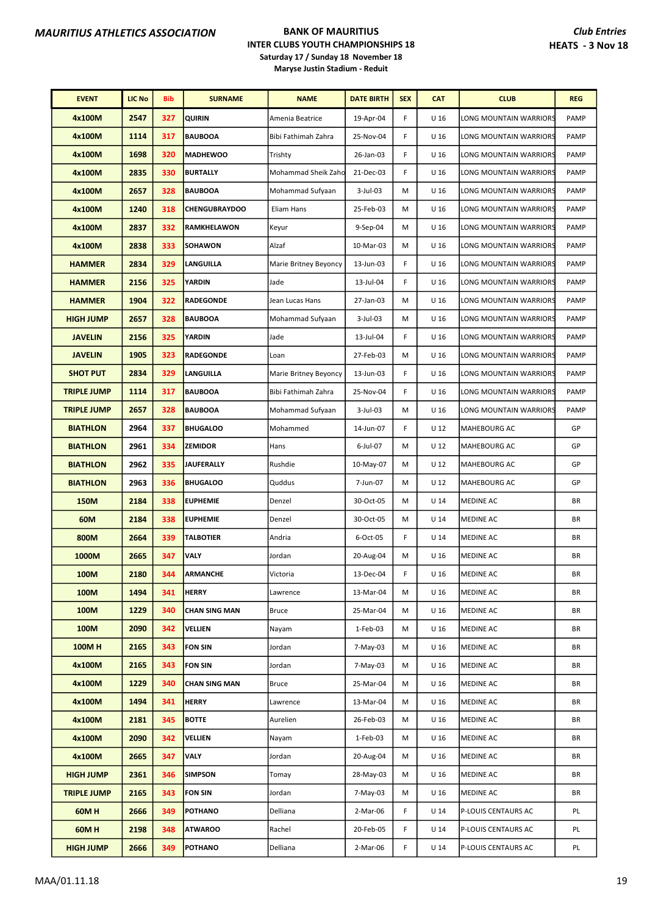| <b>EVENT</b>       | <b>LIC No</b> | <b>Bib</b> | <b>SURNAME</b>       | <b>NAME</b>           | <b>DATE BIRTH</b> | <b>SEX</b> | <b>CAT</b>      | <b>CLUB</b>            | <b>REG</b> |
|--------------------|---------------|------------|----------------------|-----------------------|-------------------|------------|-----------------|------------------------|------------|
| 4x100M             | 2547          | 327        | <b>QUIRIN</b>        | Amenia Beatrice       | 19-Apr-04         | F          | U <sub>16</sub> | LONG MOUNTAIN WARRIORS | PAMP       |
| 4x100M             | 1114          | 317        | <b>BAUBOOA</b>       | Bibi Fathimah Zahra   | 25-Nov-04         | F          | U 16            | LONG MOUNTAIN WARRIORS | PAMP       |
| 4x100M             | 1698          | 320        | <b>MADHEWOO</b>      | Trishty               | 26-Jan-03         | F          | U 16            | LONG MOUNTAIN WARRIORS | PAMP       |
| 4x100M             | 2835          | 330        | <b>BURTALLY</b>      | Mohammad Sheik Zaho   | 21-Dec-03         | F          | U <sub>16</sub> | LONG MOUNTAIN WARRIORS | PAMP       |
| 4x100M             | 2657          | 328        | <b>BAUBOOA</b>       | Mohammad Sufyaan      | $3$ -Jul-03       | М          | U 16            | LONG MOUNTAIN WARRIORS | PAMP       |
| 4x100M             | 1240          | 318        | <b>CHENGUBRAYDOO</b> | Eliam Hans            | 25-Feb-03         | M          | U <sub>16</sub> | LONG MOUNTAIN WARRIORS | PAMP       |
| 4x100M             | 2837          | 332        | RAMKHELAWON          | Keyur                 | 9-Sep-04          | M          | U 16            | LONG MOUNTAIN WARRIORS | PAMP       |
| 4x100M             | 2838          | 333        | <b>SOHAWON</b>       | Alzaf                 | 10-Mar-03         | M          | U 16            | LONG MOUNTAIN WARRIORS | PAMP       |
| <b>HAMMER</b>      | 2834          | 329        | LANGUILLA            | Marie Britney Beyoncy | 13-Jun-03         | F          | U <sub>16</sub> | LONG MOUNTAIN WARRIORS | PAMP       |
| <b>HAMMER</b>      | 2156          | 325        | <b>YARDIN</b>        | Jade                  | 13-Jul-04         | F          | U 16            | LONG MOUNTAIN WARRIORS | PAMP       |
| <b>HAMMER</b>      | 1904          | 322        | <b>RADEGONDE</b>     | Jean Lucas Hans       | 27-Jan-03         | M          | U <sub>16</sub> | LONG MOUNTAIN WARRIORS | PAMP       |
| <b>HIGH JUMP</b>   | 2657          | 328        | <b>BAUBOOA</b>       | Mohammad Sufyaan      | 3-Jul-03          | M          | U 16            | LONG MOUNTAIN WARRIORS | PAMP       |
| <b>JAVELIN</b>     | 2156          | 325        | <b>YARDIN</b>        | Jade                  | 13-Jul-04         | F          | U <sub>16</sub> | LONG MOUNTAIN WARRIORS | PAMP       |
| <b>JAVELIN</b>     | 1905          | 323        | <b>RADEGONDE</b>     | Loan                  | 27-Feb-03         | M          | U <sub>16</sub> | LONG MOUNTAIN WARRIORS | PAMP       |
| <b>SHOT PUT</b>    | 2834          | 329        | LANGUILLA            | Marie Britney Beyoncy | 13-Jun-03         | F          | U 16            | LONG MOUNTAIN WARRIORS | PAMP       |
| <b>TRIPLE JUMP</b> | 1114          | 317        | <b>BAUBOOA</b>       | Bibi Fathimah Zahra   | 25-Nov-04         | F          | U 16            | LONG MOUNTAIN WARRIORS | PAMP       |
| <b>TRIPLE JUMP</b> | 2657          | 328        | <b>BAUBOOA</b>       | Mohammad Sufyaan      | 3-Jul-03          | M          | U 16            | LONG MOUNTAIN WARRIORS | PAMP       |
| <b>BIATHLON</b>    | 2964          | 337        | <b>BHUGALOO</b>      | Mohammed              | 14-Jun-07         | F          | U 12            | MAHEBOURG AC           | GP         |
| <b>BIATHLON</b>    | 2961          | 334        | <b>ZEMIDOR</b>       | Hans                  | 6-Jul-07          | M          | U 12            | MAHEBOURG AC           | GP         |
| <b>BIATHLON</b>    | 2962          | 335        | <b>JAUFERALLY</b>    | Rushdie               | 10-May-07         | м          | U 12            | MAHEBOURG AC           | GP         |
| <b>BIATHLON</b>    | 2963          | 336        | <b>BHUGALOO</b>      | Quddus                | 7-Jun-07          | M          | U 12            | MAHEBOURG AC           | GP         |
| 150M               | 2184          | 338        | <b>EUPHEMIE</b>      | Denzel                | 30-Oct-05         | M          | U 14            | MEDINE AC              | BR         |
| 60M                | 2184          | 338        | <b>EUPHEMIE</b>      | Denzel                | 30-Oct-05         | М          | U <sub>14</sub> | MEDINE AC              | BR         |
| 800M               | 2664          | 339        | <b>TALBOTIER</b>     | Andria                | 6-Oct-05          | F          | U 14            | <b>MEDINE AC</b>       | BR         |
| 1000M              | 2665          | 347        | <b>VALY</b>          | Jordan                | 20-Aug-04         | м          | U 16            | MEDINE AC              | BR         |
| 100M               | 2180          | 344        | <b>ARMANCHE</b>      | Victoria              | 13-Dec-04         | F.         | U 16            | MEDINE AC              | ΒR         |
| 100M               | 1494          | 341        | <b>HERRY</b>         | Lawrence              | 13-Mar-04         | м          | U 16            | MEDINE AC              | BR         |
| 100M               | 1229          | 340        | <b>CHAN SING MAN</b> | Bruce                 | 25-Mar-04         | м          | U 16            | <b>MEDINE AC</b>       | BR         |
| 100M               | 2090          | 342        | VELLIEN              | Nayam                 | 1-Feb-03          | М          | U 16            | MEDINE AC              | BR         |
| <b>100MH</b>       | 2165          | 343        | <b>FON SIN</b>       | Jordan                | 7-May-03          | М          | U 16            | <b>MEDINE AC</b>       | BR         |
| 4x100M             | 2165          | 343        | <b>FON SIN</b>       | Jordan                | 7-May-03          | М          | U <sub>16</sub> | MEDINE AC              | BR         |
| 4x100M             | 1229          | 340        | <b>CHAN SING MAN</b> | Bruce                 | 25-Mar-04         | М          | U <sub>16</sub> | MEDINE AC              | BR         |
| 4x100M             | 1494          | 341        | <b>HERRY</b>         | Lawrence              | 13-Mar-04         | М          | U 16            | MEDINE AC              | BR         |
| 4x100M             | 2181          | 345        | <b>BOTTE</b>         | Aurelien              | 26-Feb-03         | М          | U <sub>16</sub> | MEDINE AC              | BR         |
| 4x100M             | 2090          | 342        | <b>VELLIEN</b>       | Nayam                 | 1-Feb-03          | М          | U <sub>16</sub> | <b>MEDINE AC</b>       | BR         |
| 4x100M             | 2665          | 347        | VALY                 | Jordan                | 20-Aug-04         | M          | U <sub>16</sub> | MEDINE AC              | BR         |
| <b>HIGH JUMP</b>   | 2361          | 346        | <b>SIMPSON</b>       | Tomay                 | 28-May-03         | М          | U <sub>16</sub> | MEDINE AC              | BR         |
| <b>TRIPLE JUMP</b> | 2165          | 343        | <b>FON SIN</b>       | Jordan                | 7-May-03          | М          | U 16            | MEDINE AC              | BR         |
| 60M H              | 2666          | 349        | POTHANO              | Delliana              | 2-Mar-06          | F          | U <sub>14</sub> | P-LOUIS CENTAURS AC    | PL         |
| 60M H              | 2198          | 348        | <b>ATWAROO</b>       | Rachel                | 20-Feb-05         | F          | U 14            | P-LOUIS CENTAURS AC    | PL         |
| <b>HIGH JUMP</b>   | 2666          | 349        | POTHANO              | Delliana              | 2-Mar-06          | F          | U <sub>14</sub> | P-LOUIS CENTAURS AC    | PL         |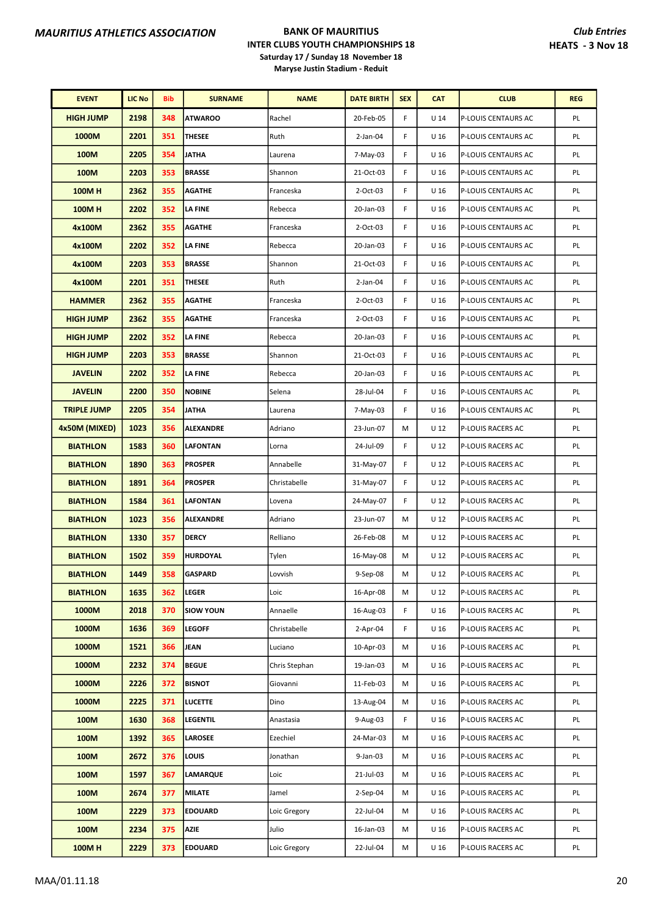| <b>EVENT</b>       | <b>LIC No</b> | Bib | <b>SURNAME</b>   | <b>NAME</b>   | <b>DATE BIRTH</b> | <b>SEX</b> | <b>CAT</b>      | <b>CLUB</b>         | <b>REG</b> |
|--------------------|---------------|-----|------------------|---------------|-------------------|------------|-----------------|---------------------|------------|
| <b>HIGH JUMP</b>   | 2198          | 348 | <b>ATWAROO</b>   | Rachel        | 20-Feb-05         | F          | U <sub>14</sub> | P-LOUIS CENTAURS AC | PL         |
| 1000M              | 2201          | 351 | THESEE           | Ruth          | $2$ -Jan-04       | F          | U <sub>16</sub> | P-LOUIS CENTAURS AC | PL         |
| 100M               | 2205          | 354 | JATHA            | Laurena       | 7-May-03          | F          | U <sub>16</sub> | P-LOUIS CENTAURS AC | PL         |
| 100M               | 2203          | 353 | <b>BRASSE</b>    | Shannon       | 21-Oct-03         | F          | U <sub>16</sub> | P-LOUIS CENTAURS AC | PL         |
| <b>100MH</b>       | 2362          | 355 | <b>AGATHE</b>    | Franceska     | 2-Oct-03          | F          | U <sub>16</sub> | P-LOUIS CENTAURS AC | PL         |
| <b>100MH</b>       | 2202          | 352 | <b>LA FINE</b>   | Rebecca       | 20-Jan-03         | F          | U <sub>16</sub> | P-LOUIS CENTAURS AC | PL         |
| 4x100M             | 2362          | 355 | <b>AGATHE</b>    | Franceska     | 2-Oct-03          | F          | U <sub>16</sub> | P-LOUIS CENTAURS AC | PL         |
| 4x100M             | 2202          | 352 | LA FINE          | Rebecca       | 20-Jan-03         | F          | U <sub>16</sub> | P-LOUIS CENTAURS AC | PL         |
| 4x100M             | 2203          | 353 | <b>BRASSE</b>    | Shannon       | 21-Oct-03         | F          | U <sub>16</sub> | P-LOUIS CENTAURS AC | PL         |
| 4x100M             | 2201          | 351 | <b>THESEE</b>    | Ruth          | $2$ -Jan-04       | F          | U <sub>16</sub> | P-LOUIS CENTAURS AC | PL         |
| <b>HAMMER</b>      | 2362          | 355 | <b>AGATHE</b>    | Franceska     | 2-Oct-03          | F          | U <sub>16</sub> | P-LOUIS CENTAURS AC | PL         |
| <b>HIGH JUMP</b>   | 2362          | 355 | <b>AGATHE</b>    | Franceska     | 2-Oct-03          | F          | U <sub>16</sub> | P-LOUIS CENTAURS AC | PL         |
| <b>HIGH JUMP</b>   | 2202          | 352 | <b>LA FINE</b>   | Rebecca       | 20-Jan-03         | F          | U <sub>16</sub> | P-LOUIS CENTAURS AC | PL         |
| <b>HIGH JUMP</b>   | 2203          | 353 | <b>BRASSE</b>    | Shannon       | 21-Oct-03         | F          | U <sub>16</sub> | P-LOUIS CENTAURS AC | PL         |
| <b>JAVELIN</b>     | 2202          | 352 | <b>LA FINE</b>   | Rebecca       | 20-Jan-03         | F          | U <sub>16</sub> | P-LOUIS CENTAURS AC | PL         |
| <b>JAVELIN</b>     | 2200          | 350 | <b>NOBINE</b>    | Selena        | 28-Jul-04         | F          | U <sub>16</sub> | P-LOUIS CENTAURS AC | PL         |
| <b>TRIPLE JUMP</b> | 2205          | 354 | <b>JATHA</b>     | Laurena       | 7-May-03          | F          | U <sub>16</sub> | P-LOUIS CENTAURS AC | PL         |
| 4x50M (MIXED)      | 1023          | 356 | <b>ALEXANDRE</b> | Adriano       | 23-Jun-07         | M          | U 12            | P-LOUIS RACERS AC   | PL         |
| <b>BIATHLON</b>    | 1583          | 360 | <b>LAFONTAN</b>  | Lorna         | 24-Jul-09         | F          | $U_12$          | P-LOUIS RACERS AC   | PL         |
| <b>BIATHLON</b>    | 1890          | 363 | <b>PROSPER</b>   | Annabelle     | 31-May-07         | F          | U 12            | P-LOUIS RACERS AC   | PL         |
| <b>BIATHLON</b>    | 1891          | 364 | <b>PROSPER</b>   | Christabelle  | 31-May-07         | F          | U 12            | P-LOUIS RACERS AC   | PL         |
| <b>BIATHLON</b>    | 1584          | 361 | <b>LAFONTAN</b>  | Lovena        | 24-May-07         | F          | U 12            | P-LOUIS RACERS AC   | PL         |
| <b>BIATHLON</b>    | 1023          | 356 | <b>ALEXANDRE</b> | Adriano       | 23-Jun-07         | M          | U 12            | P-LOUIS RACERS AC   | PL         |
| <b>BIATHLON</b>    | 1330          | 357 | <b>DERCY</b>     | Relliano      | 26-Feb-08         | М          | U 12            | P-LOUIS RACERS AC   | PL         |
| <b>BIATHLON</b>    | 1502          | 359 | HURDOYAL         | Tylen         | 16-May-08         | М          | U 12            | P-LOUIS RACERS AC   | PL         |
| <b>BIATHLON</b>    | 1449          | 358 | <b>GASPARD</b>   | Lovvish       | 9-Sep-08          | M          | U 12            | P-LOUIS RACERS AC   | PL         |
| <b>BIATHLON</b>    | 1635          | 362 | LEGER            | Loic          | 16-Apr-08         | М          | U 12            | P-LOUIS RACERS AC   | PL         |
| 1000M              | 2018          | 370 | <b>SIOW YOUN</b> | Annaelle      | 16-Aug-03         | F          | U <sub>16</sub> | P-LOUIS RACERS AC   | PL         |
| 1000M              | 1636          | 369 | <b>LEGOFF</b>    | Christabelle  | $2-Apr-04$        | F          | U <sub>16</sub> | P-LOUIS RACERS AC   | PL         |
| 1000M              | 1521          | 366 | JEAN             | Luciano       | 10-Apr-03         | М          | U 16            | P-LOUIS RACERS AC   | PL         |
| 1000M              | 2232          | 374 | <b>BEGUE</b>     | Chris Stephan | 19-Jan-03         | м          | U <sub>16</sub> | P-LOUIS RACERS AC   | PL         |
| 1000M              | 2226          | 372 | <b>BISNOT</b>    | Giovanni      | 11-Feb-03         | м          | U <sub>16</sub> | P-LOUIS RACERS AC   | PL         |
| 1000M              | 2225          | 371 | <b>LUCETTE</b>   | Dino          | 13-Aug-04         | М          | U <sub>16</sub> | P-LOUIS RACERS AC   | PL         |
| 100M               | 1630          | 368 | <b>LEGENTIL</b>  | Anastasia     | 9-Aug-03          | F          | U <sub>16</sub> | P-LOUIS RACERS AC   | PL         |
| 100M               | 1392          | 365 | <b>LAROSEE</b>   | Ezechiel      | 24-Mar-03         | М          | U <sub>16</sub> | P-LOUIS RACERS AC   | PL         |
| 100M               | 2672          | 376 | LOUIS            | Jonathan      | 9-Jan-03          | м          | U <sub>16</sub> | P-LOUIS RACERS AC   | PL         |
| 100M               | 1597          | 367 | LAMARQUE         | Loic          | 21-Jul-03         | М          | U 16            | P-LOUIS RACERS AC   | PL         |
| 100M               | 2674          | 377 | <b>MILATE</b>    | Jamel         | $2-Sep-04$        | М          | U <sub>16</sub> | P-LOUIS RACERS AC   | PL         |
| 100M               | 2229          | 373 | <b>EDOUARD</b>   | Loic Gregory  | 22-Jul-04         | м          | U <sub>16</sub> | P-LOUIS RACERS AC   | PL         |
| 100M               | 2234          | 375 | AZIE             | Julio         | 16-Jan-03         | М          | U 16            | P-LOUIS RACERS AC   | PL         |
| 100MH              | 2229          | 373 | <b>EDOUARD</b>   | Loic Gregory  | 22-Jul-04         | М          | U <sub>16</sub> | P-LOUIS RACERS AC   | PL         |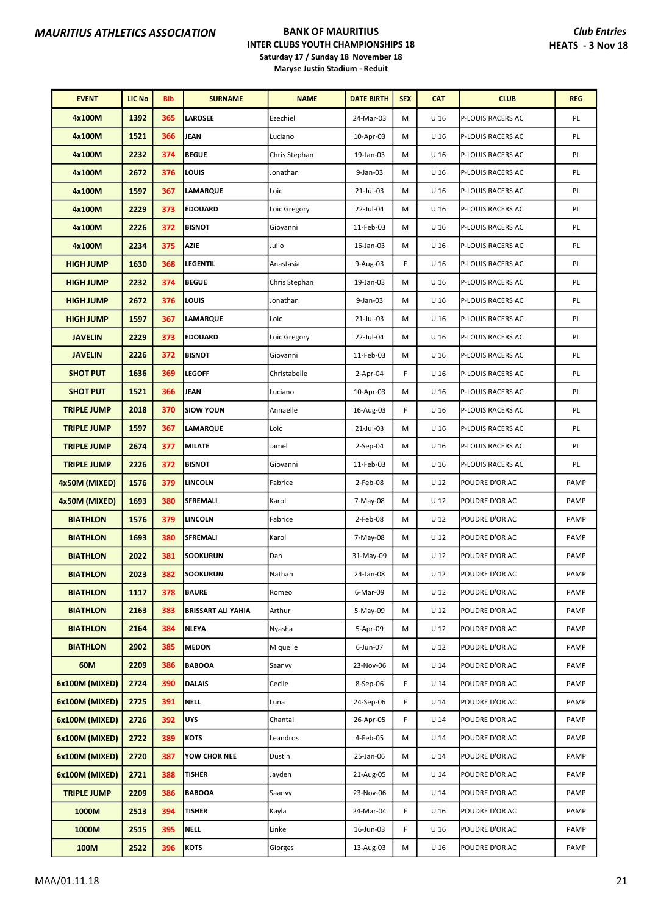| <b>EVENT</b>       | <b>LIC No</b> | Bib | <b>SURNAME</b>            | <b>NAME</b>   | <b>DATE BIRTH</b> | <b>SEX</b> | <b>CAT</b>      | <b>CLUB</b>       | <b>REG</b> |
|--------------------|---------------|-----|---------------------------|---------------|-------------------|------------|-----------------|-------------------|------------|
| 4x100M             | 1392          | 365 | <b>LAROSEE</b>            | Ezechiel      | 24-Mar-03         | M          | U <sub>16</sub> | P-LOUIS RACERS AC | PL         |
| 4x100M             | 1521          | 366 | <b>JEAN</b>               | Luciano       | 10-Apr-03         | M          | U <sub>16</sub> | P-LOUIS RACERS AC | PL         |
| 4x100M             | 2232          | 374 | <b>BEGUE</b>              | Chris Stephan | 19-Jan-03         | M          | U <sub>16</sub> | P-LOUIS RACERS AC | PL         |
| 4x100M             | 2672          | 376 | LOUIS                     | Jonathan      | 9-Jan-03          | M          | U 16            | P-LOUIS RACERS AC | PL         |
| 4x100M             | 1597          | 367 | <b>LAMARQUE</b>           | Loic          | 21-Jul-03         | M          | U <sub>16</sub> | P-LOUIS RACERS AC | PL         |
| 4x100M             | 2229          | 373 | <b>EDOUARD</b>            | Loic Gregory  | 22-Jul-04         | M          | U 16            | P-LOUIS RACERS AC | PL         |
| 4x100M             | 2226          | 372 | <b>BISNOT</b>             | Giovanni      | 11-Feb-03         | М          | U <sub>16</sub> | P-LOUIS RACERS AC | PL         |
| 4x100M             | 2234          | 375 | <b>AZIE</b>               | Julio         | 16-Jan-03         | M          | U 16            | P-LOUIS RACERS AC | PL         |
| <b>HIGH JUMP</b>   | 1630          | 368 | <b>LEGENTIL</b>           | Anastasia     | 9-Aug-03          | F          | U <sub>16</sub> | P-LOUIS RACERS AC | PL         |
| <b>HIGH JUMP</b>   | 2232          | 374 | <b>BEGUE</b>              | Chris Stephan | 19-Jan-03         | M          | U <sub>16</sub> | P-LOUIS RACERS AC | PL         |
| <b>HIGH JUMP</b>   | 2672          | 376 | LOUIS                     | Jonathan      | 9-Jan-03          | M          | U 16            | P-LOUIS RACERS AC | PL         |
| <b>HIGH JUMP</b>   | 1597          | 367 | <b>LAMARQUE</b>           | Loic          | 21-Jul-03         | М          | U <sub>16</sub> | P-LOUIS RACERS AC | PL         |
| <b>JAVELIN</b>     | 2229          | 373 | <b>EDOUARD</b>            | Loic Gregory  | 22-Jul-04         | М          | U 16            | P-LOUIS RACERS AC | PL         |
| <b>JAVELIN</b>     | 2226          | 372 | <b>BISNOT</b>             | Giovanni      | 11-Feb-03         | M          | U <sub>16</sub> | P-LOUIS RACERS AC | PL         |
| <b>SHOT PUT</b>    | 1636          | 369 | <b>LEGOFF</b>             | Christabelle  | $2$ -Apr-04       | F          | U <sub>16</sub> | P-LOUIS RACERS AC | PL         |
| <b>SHOT PUT</b>    | 1521          | 366 | <b>JEAN</b>               | Luciano       | 10-Apr-03         | M          | U 16            | P-LOUIS RACERS AC | PL         |
| <b>TRIPLE JUMP</b> | 2018          | 370 | <b>SIOW YOUN</b>          | Annaelle      | 16-Aug-03         | F          | U <sub>16</sub> | P-LOUIS RACERS AC | PL         |
| <b>TRIPLE JUMP</b> | 1597          | 367 | <b>LAMARQUE</b>           | Loic          | 21-Jul-03         | M          | U <sub>16</sub> | P-LOUIS RACERS AC | PL         |
| <b>TRIPLE JUMP</b> | 2674          | 377 | <b>MILATE</b>             | Jamel         | $2-Sep-04$        | M          | U 16            | P-LOUIS RACERS AC | PL         |
| <b>TRIPLE JUMP</b> | 2226          | 372 | <b>BISNOT</b>             | Giovanni      | 11-Feb-03         | M          | U <sub>16</sub> | P-LOUIS RACERS AC | PL         |
| 4x50M (MIXED)      | 1576          | 379 | <b>LINCOLN</b>            | Fabrice       | 2-Feb-08          | M          | U 12            | POUDRE D'OR AC    | PAMP       |
| 4x50M (MIXED)      | 1693          | 380 | SFREMALI                  | Karol         | 7-May-08          | M          | U <sub>12</sub> | POUDRE D'OR AC    | PAMP       |
| <b>BIATHLON</b>    | 1576          | 379 | <b>LINCOLN</b>            | Fabrice       | 2-Feb-08          | M          | U <sub>12</sub> | POUDRE D'OR AC    | PAMP       |
| <b>BIATHLON</b>    | 1693          | 380 | <b>SFREMALI</b>           | Karol         | 7-May-08          | м          | U 12            | POUDRE D'OR AC    | PAMP       |
| <b>BIATHLON</b>    | 2022          | 381 | <b>SOOKURUN</b>           | Dan           | 31-May-09         | M          | $U_12$          | POUDRE D'OR AC    | PAMP       |
| <b>BIATHLON</b>    | 2023          | 382 | <b>SOOKURUN</b>           | Nathan        | 24-Jan-08         | М          | U 12            | POUDRE D'OR AC    | PAMP       |
| <b>BIATHLON</b>    | 1117          | 378 | <b>BAURE</b>              | Romeo         | 6-Mar-09          | М          | U 12            | POUDRE D'OR AC    | PAMP       |
| <b>BIATHLON</b>    | 2163          | 383 | <b>BRISSART ALI YAHIA</b> | Arthur        | 5-May-09          | М          | U 12            | POUDRE D'OR AC    | PAMP       |
| <b>BIATHLON</b>    | 2164          | 384 | <b>NLEYA</b>              | Nyasha        | 5-Apr-09          | м          | U 12            | POUDRE D'OR AC    | PAMP       |
| <b>BIATHLON</b>    | 2902          | 385 | <b>MEDON</b>              | Miquelle      | 6-Jun-07          | M          | U 12            | POUDRE D'OR AC    | PAMP       |
| 60M                | 2209          | 386 | <b>BABOOA</b>             | Saanvy        | 23-Nov-06         | М          | U 14            | POUDRE D'OR AC    | PAMP       |
| 6x100M (MIXED)     | 2724          | 390 | <b>DALAIS</b>             | Cecile        | 8-Sep-06          | F          | U 14            | POUDRE D'OR AC    | PAMP       |
| 6x100M (MIXED)     | 2725          | 391 | <b>NELL</b>               | Luna          | 24-Sep-06         | F          | U <sub>14</sub> | POUDRE D'OR AC    | PAMP       |
| 6x100M (MIXED)     | 2726          | 392 | UYS                       | Chantal       | 26-Apr-05         | F          | U <sub>14</sub> | POUDRE D'OR AC    | PAMP       |
| 6x100M (MIXED)     | 2722          | 389 | <b>KOTS</b>               | Leandros      | 4-Feb-05          | М          | U 14            | POUDRE D'OR AC    | PAMP       |
| 6x100M (MIXED)     | 2720          | 387 | YOW CHOK NEE              | Dustin        | 25-Jan-06         | М          | U 14            | POUDRE D'OR AC    | PAMP       |
| 6x100M (MIXED)     | 2721          | 388 | <b>TISHER</b>             | Jayden        | 21-Aug-05         | М          | U 14            | POUDRE D'OR AC    | PAMP       |
| <b>TRIPLE JUMP</b> | 2209          | 386 | <b>BABOOA</b>             | Saanvy        | 23-Nov-06         | М          | U <sub>14</sub> | POUDRE D'OR AC    | PAMP       |
| 1000M              | 2513          | 394 | <b>TISHER</b>             | Kayla         | 24-Mar-04         | F          | U 16            | POUDRE D'OR AC    | PAMP       |
| 1000M              | 2515          | 395 | <b>NELL</b>               | Linke         | 16-Jun-03         | F          | U 16            | POUDRE D'OR AC    | PAMP       |
| 100M               | 2522          | 396 | KOTS                      | Giorges       | 13-Aug-03         | М          | U 16            | POUDRE D'OR AC    | PAMP       |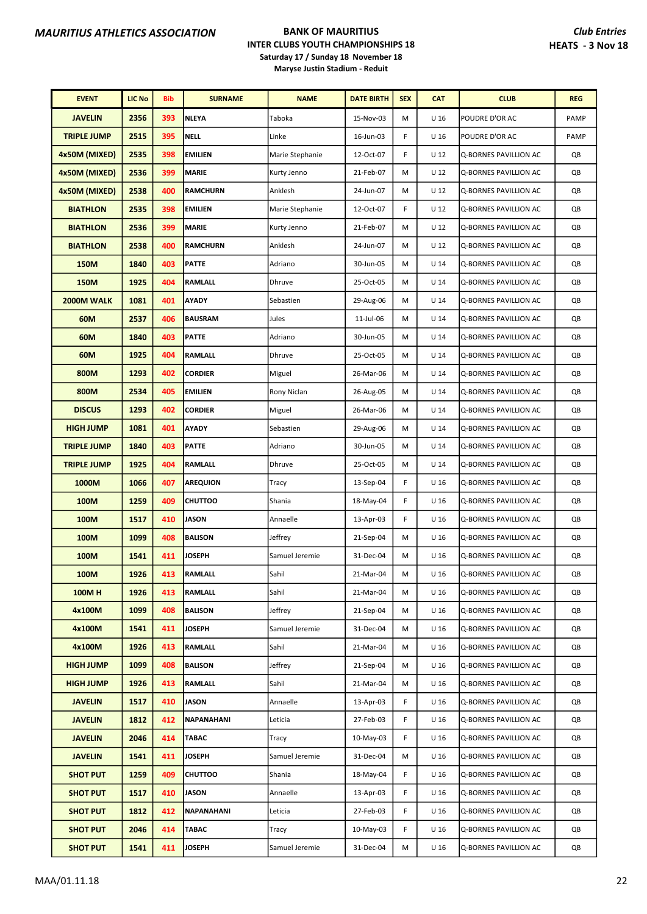| <b>EVENT</b>       | <b>LIC No</b> | <b>Bib</b> | <b>SURNAME</b>  | <b>NAME</b>     | <b>DATE BIRTH</b> | <b>SEX</b> | <b>CAT</b>      | <b>CLUB</b>           | <b>REG</b> |
|--------------------|---------------|------------|-----------------|-----------------|-------------------|------------|-----------------|-----------------------|------------|
| <b>JAVELIN</b>     | 2356          | 393        | <b>NLEYA</b>    | Taboka          | 15-Nov-03         | M          | U <sub>16</sub> | POUDRE D'OR AC        | PAMP       |
| <b>TRIPLE JUMP</b> | 2515          | 395        | <b>NELL</b>     | Linke           | 16-Jun-03         | F          | U <sub>16</sub> | POUDRE D'OR AC        | PAMP       |
| 4x50M (MIXED)      | 2535          | 398        | <b>EMILIEN</b>  | Marie Stephanie | 12-Oct-07         | F          | U <sub>12</sub> | Q-BORNES PAVILLION AC | QB         |
| 4x50M (MIXED)      | 2536          | 399        | <b>MARIE</b>    | Kurty Jenno     | 21-Feb-07         | M          | U <sub>12</sub> | Q-BORNES PAVILLION AC | QB         |
| 4x50M (MIXED)      | 2538          | 400        | <b>RAMCHURN</b> | Anklesh         | 24-Jun-07         | M          | U <sub>12</sub> | Q-BORNES PAVILLION AC | QB         |
| <b>BIATHLON</b>    | 2535          | 398        | <b>EMILIEN</b>  | Marie Stephanie | 12-Oct-07         | F          | $U$ 12          | Q-BORNES PAVILLION AC | QB         |
| <b>BIATHLON</b>    | 2536          | 399        | <b>MARIE</b>    | Kurty Jenno     | 21-Feb-07         | M          | U <sub>12</sub> | Q-BORNES PAVILLION AC | QB         |
| <b>BIATHLON</b>    | 2538          | 400        | <b>RAMCHURN</b> | Anklesh         | 24-Jun-07         | M          | U <sub>12</sub> | Q-BORNES PAVILLION AC | QB         |
| <b>150M</b>        | 1840          | 403        | <b>PATTE</b>    | Adriano         | 30-Jun-05         | M          | U <sub>14</sub> | Q-BORNES PAVILLION AC | QB         |
| 150M               | 1925          | 404        | <b>RAMLALL</b>  | Dhruve          | 25-Oct-05         | M          | U <sub>14</sub> | Q-BORNES PAVILLION AC | QB         |
| 2000M WALK         | 1081          | 401        | <b>AYADY</b>    | Sebastien       | 29-Aug-06         | М          | U <sub>14</sub> | Q-BORNES PAVILLION AC | QB         |
| 60M                | 2537          | 406        | <b>BAUSRAM</b>  | Jules           | 11-Jul-06         | M          | U <sub>14</sub> | Q-BORNES PAVILLION AC | QB         |
| 60M                | 1840          | 403        | <b>PATTE</b>    | Adriano         | 30-Jun-05         | M          | U <sub>14</sub> | Q-BORNES PAVILLION AC | QB         |
| 60M                | 1925          | 404        | <b>RAMLALL</b>  | Dhruve          | 25-Oct-05         | M          | U <sub>14</sub> | Q-BORNES PAVILLION AC | QB         |
| 800M               | 1293          | 402        | <b>CORDIER</b>  | Miguel          | 26-Mar-06         | M          | U <sub>14</sub> | Q-BORNES PAVILLION AC | QB         |
| 800M               | 2534          | 405        | <b>EMILIEN</b>  | Rony Niclan     | 26-Aug-05         | М          | $U$ 14          | Q-BORNES PAVILLION AC | QB         |
| <b>DISCUS</b>      | 1293          | 402        | <b>CORDIER</b>  | Miguel          | 26-Mar-06         | M          | U <sub>14</sub> | Q-BORNES PAVILLION AC | QB         |
| <b>HIGH JUMP</b>   | 1081          | 401        | AYADY           | Sebastien       | 29-Aug-06         | M          | U <sub>14</sub> | Q-BORNES PAVILLION AC | QB         |
| <b>TRIPLE JUMP</b> | 1840          | 403        | <b>PATTE</b>    | Adriano         | 30-Jun-05         | M          | U <sub>14</sub> | Q-BORNES PAVILLION AC | QB         |
| <b>TRIPLE JUMP</b> | 1925          | 404        | <b>RAMLALL</b>  | Dhruve          | 25-Oct-05         | M          | U <sub>14</sub> | Q-BORNES PAVILLION AC | QB         |
| 1000M              | 1066          | 407        | <b>AREQUION</b> | Tracy           | 13-Sep-04         | F          | U <sub>16</sub> | Q-BORNES PAVILLION AC | QB         |
| 100M               | 1259          | 409        | <b>CHUTTOO</b>  | Shania          | 18-May-04         | F          | U <sub>16</sub> | Q-BORNES PAVILLION AC | QB         |
| 100M               | 1517          | 410        | <b>JASON</b>    | Annaelle        | 13-Apr-03         | F          | U <sub>16</sub> | Q-BORNES PAVILLION AC | QB         |
| 100M               | 1099          | 408        | <b>BALISON</b>  | Jeffrey         | 21-Sep-04         | M          | U <sub>16</sub> | Q-BORNES PAVILLION AC | QB         |
| 100M               | 1541          | 411        | <b>JOSEPH</b>   | Samuel Jeremie  | 31-Dec-04         | М          | U 16            | Q-BORNES PAVILLION AC | QB         |
| 100M               | 1926          | 413        | RAMLALL         | Sahil           | 21-Mar-04         | М          | U 16            | Q-BORNES PAVILLION AC | QB         |
| <b>100MH</b>       | 1926          | 413        | RAMLALL         | Sahil           | 21-Mar-04         | М          | U 16            | Q-BORNES PAVILLION AC | QB         |
| 4x100M             | 1099          | 408        | <b>BALISON</b>  | Jeffrey         | 21-Sep-04         | М          | U <sub>16</sub> | Q-BORNES PAVILLION AC | QB         |
| 4x100M             | 1541          | 411        | <b>JOSEPH</b>   | Samuel Jeremie  | 31-Dec-04         | М          | U 16            | Q-BORNES PAVILLION AC | QB         |
| 4x100M             | 1926          | 413        | RAMLALL         | Sahil           | 21-Mar-04         | Μ          | U <sub>16</sub> | Q-BORNES PAVILLION AC | QB         |
| <b>HIGH JUMP</b>   | 1099          | 408        | <b>BALISON</b>  | Jeffrey         | 21-Sep-04         | М          | U <sub>16</sub> | Q-BORNES PAVILLION AC | QB         |
| <b>HIGH JUMP</b>   | 1926          | 413        | RAMLALL         | Sahil           | 21-Mar-04         | М          | U <sub>16</sub> | Q-BORNES PAVILLION AC | QB         |
| <b>JAVELIN</b>     | 1517          | 410        | JASON           | Annaelle        | 13-Apr-03         | F          | U <sub>16</sub> | Q-BORNES PAVILLION AC | QB         |
| <b>JAVELIN</b>     | 1812          | 412        | NAPANAHANI      | Leticia         | 27-Feb-03         | F          | U 16            | Q-BORNES PAVILLION AC | QB         |
| <b>JAVELIN</b>     | 2046          | 414        | <b>TABAC</b>    | Tracy           | 10-May-03         | F          | U <sub>16</sub> | Q-BORNES PAVILLION AC | QB         |
| <b>JAVELIN</b>     | 1541          | 411        | <b>JOSEPH</b>   | Samuel Jeremie  | 31-Dec-04         | М          | U <sub>16</sub> | Q-BORNES PAVILLION AC | QB         |
| <b>SHOT PUT</b>    | 1259          | 409        | <b>CHUTTOO</b>  | Shania          | 18-May-04         | F          | U <sub>16</sub> | Q-BORNES PAVILLION AC | QB         |
| <b>SHOT PUT</b>    | 1517          | 410        | JASON           | Annaelle        | 13-Apr-03         | F          | U <sub>16</sub> | Q-BORNES PAVILLION AC | QB         |
| <b>SHOT PUT</b>    | 1812          | 412        | NAPANAHANI      | Leticia         | 27-Feb-03         | F          | U <sub>16</sub> | Q-BORNES PAVILLION AC | QB         |
| <b>SHOT PUT</b>    | 2046          | 414        | <b>TABAC</b>    | Tracy           | 10-May-03         | F          | U <sub>16</sub> | Q-BORNES PAVILLION AC | QB         |
| <b>SHOT PUT</b>    | 1541          | 411        | <b>JOSEPH</b>   | Samuel Jeremie  | 31-Dec-04         | M          | U <sub>16</sub> | Q-BORNES PAVILLION AC | QB         |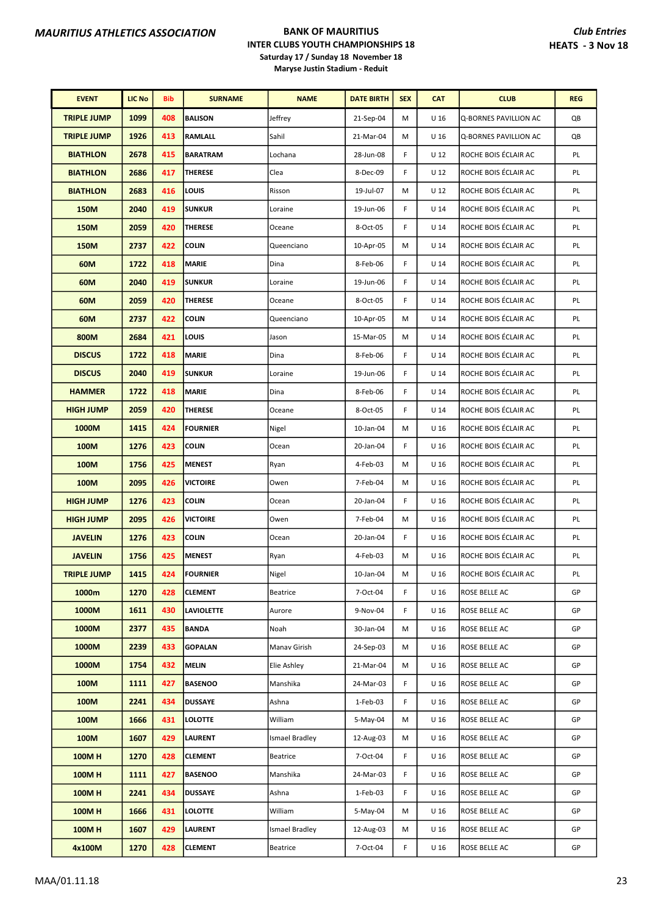| <b>EVENT</b>       | <b>LIC No</b> | <b>Bib</b> | <b>SURNAME</b>  | <b>NAME</b>     | <b>DATE BIRTH</b> | <b>SEX</b> | <b>CAT</b>      | <b>CLUB</b>           | <b>REG</b> |
|--------------------|---------------|------------|-----------------|-----------------|-------------------|------------|-----------------|-----------------------|------------|
| <b>TRIPLE JUMP</b> | 1099          | 408        | <b>BALISON</b>  | Jeffrey         | 21-Sep-04         | M          | U <sub>16</sub> | Q-BORNES PAVILLION AC | QB         |
| <b>TRIPLE JUMP</b> | 1926          | 413        | <b>RAMLALL</b>  | Sahil           | 21-Mar-04         | М          | U 16            | Q-BORNES PAVILLION AC | QB         |
| <b>BIATHLON</b>    | 2678          | 415        | <b>BARATRAM</b> | Lochana         | 28-Jun-08         | F          | $U$ 12          | ROCHE BOIS ÉCLAIR AC  | PL         |
| <b>BIATHLON</b>    | 2686          | 417        | <b>THERESE</b>  | Clea            | 8-Dec-09          | F          | U 12            | ROCHE BOIS ÉCLAIR AC  | PL         |
| <b>BIATHLON</b>    | 2683          | 416        | LOUIS           | Risson          | 19-Jul-07         | M          | U 12            | ROCHE BOIS ÉCLAIR AC  | PL         |
| <b>150M</b>        | 2040          | 419        | <b>SUNKUR</b>   | Loraine         | 19-Jun-06         | F          | $U$ 14          | ROCHE BOIS ÉCLAIR AC  | PL         |
| <b>150M</b>        | 2059          | 420        | <b>THERESE</b>  | Oceane          | 8-Oct-05          | F          | U 14            | ROCHE BOIS ÉCLAIR AC  | PL         |
| <b>150M</b>        | 2737          | 422        | <b>COLIN</b>    | Queenciano      | 10-Apr-05         | M          | U <sub>14</sub> | ROCHE BOIS ÉCLAIR AC  | PL         |
| 60M                | 1722          | 418        | <b>MARIE</b>    | Dina            | 8-Feb-06          | F          | $U$ 14          | ROCHE BOIS ÉCLAIR AC  | PL         |
| 60M                | 2040          | 419        | <b>SUNKUR</b>   | Loraine         | 19-Jun-06         | F          | $U$ 14          | ROCHE BOIS ÉCLAIR AC  | PL         |
| 60M                | 2059          | 420        | <b>THERESE</b>  | Oceane          | 8-Oct-05          | F          | U 14            | ROCHE BOIS ÉCLAIR AC  | PL         |
| 60M                | 2737          | 422        | <b>COLIN</b>    | Queenciano      | 10-Apr-05         | М          | U <sub>14</sub> | ROCHE BOIS ÉCLAIR AC  | PL         |
| 800M               | 2684          | 421        | LOUIS           | Jason           | 15-Mar-05         | М          | U 14            | ROCHE BOIS ÉCLAIR AC  | PL         |
| <b>DISCUS</b>      | 1722          | 418        | <b>MARIE</b>    | Dina            | 8-Feb-06          | F          | $U$ 14          | ROCHE BOIS ÉCLAIR AC  | PL         |
| <b>DISCUS</b>      | 2040          | 419        | <b>SUNKUR</b>   | Loraine         | 19-Jun-06         | F          | $U$ 14          | ROCHE BOIS ÉCLAIR AC  | PL         |
| <b>HAMMER</b>      | 1722          | 418        | <b>MARIE</b>    | Dina            | 8-Feb-06          | F          | U 14            | ROCHE BOIS ÉCLAIR AC  | PL         |
| <b>HIGH JUMP</b>   | 2059          | 420        | THERESE         | Oceane          | 8-Oct-05          | F          | $U$ 14          | ROCHE BOIS ÉCLAIR AC  | PL         |
| 1000M              | 1415          | 424        | <b>FOURNIER</b> | Nigel           | 10-Jan-04         | M          | U <sub>16</sub> | ROCHE BOIS ÉCLAIR AC  | PL         |
| 100M               | 1276          | 423        | <b>COLIN</b>    | Ocean           | 20-Jan-04         | F          | U <sub>16</sub> | ROCHE BOIS ÉCLAIR AC  | PL         |
| 100M               | 1756          | 425        | <b>MENEST</b>   | Ryan            | 4-Feb-03          | M          | U <sub>16</sub> | ROCHE BOIS ÉCLAIR AC  | PL         |
| 100M               | 2095          | 426        | <b>VICTOIRE</b> | Owen            | 7-Feb-04          | M          | U <sub>16</sub> | ROCHE BOIS ÉCLAIR AC  | PL         |
| <b>HIGH JUMP</b>   | 1276          | 423        | <b>COLIN</b>    | Ocean           | 20-Jan-04         | F          | U <sub>16</sub> | ROCHE BOIS ÉCLAIR AC  | PL         |
| <b>HIGH JUMP</b>   | 2095          | 426        | <b>VICTOIRE</b> | Owen            | 7-Feb-04          | M          | U <sub>16</sub> | ROCHE BOIS ÉCLAIR AC  | PL         |
| <b>JAVELIN</b>     | 1276          | 423        | <b>COLIN</b>    | Ocean           | 20-Jan-04         | F          | U <sub>16</sub> | ROCHE BOIS ÉCLAIR AC  | PL         |
| <b>JAVELIN</b>     | 1756          | 425        | <b>MENEST</b>   | Ryan            | 4-Feb-03          | М          | U <sub>16</sub> | ROCHE BOIS ÉCLAIR AC  | PL         |
| <b>TRIPLE JUMP</b> | 1415          | 424        | <b>FOURNIER</b> | Nigel           | 10-Jan-04         | М          | U 16            | ROCHE BOIS ÉCLAIR AC  | PL         |
| 1000m              | 1270          | 428        | CLEMENT         | <b>Beatrice</b> | 7-Oct-04          | F          | U 16            | ROSE BELLE AC         | GP         |
| 1000M              | 1611          | 430        | LAVIOLETTE      | Aurore          | 9-Nov-04          | F          | U <sub>16</sub> | ROSE BELLE AC         | GP         |
| 1000M              | 2377          | 435        | <b>BANDA</b>    | Noah            | 30-Jan-04         | м          | U <sub>16</sub> | ROSE BELLE AC         | GP         |
| 1000M              | 2239          | 433        | <b>GOPALAN</b>  | Manav Girish    | 24-Sep-03         | М          | U 16            | ROSE BELLE AC         | GP         |
| 1000M              | 1754          | 432        | MELIN           | Elie Ashley     | 21-Mar-04         | М          | U <sub>16</sub> | ROSE BELLE AC         | GP         |
| 100M               | 1111          | 427        | <b>BASENOO</b>  | Manshika        | 24-Mar-03         | F          | U 16            | ROSE BELLE AC         | GP         |
| 100M               | 2241          | 434        | <b>DUSSAYE</b>  | Ashna           | 1-Feb-03          | F          | U <sub>16</sub> | ROSE BELLE AC         | GP         |
| 100M               | 1666          | 431        | <b>LOLOTTE</b>  | William         | 5-May-04          | м          | U <sub>16</sub> | ROSE BELLE AC         | GP         |
| 100M               | 1607          | 429        | <b>LAURENT</b>  | Ismael Bradley  | 12-Aug-03         | М          | U <sub>16</sub> | ROSE BELLE AC         | GP         |
| <b>100MH</b>       | 1270          | 428        | <b>CLEMENT</b>  | Beatrice        | 7-Oct-04          | F          | U <sub>16</sub> | ROSE BELLE AC         | GP         |
| <b>100MH</b>       | 1111          | 427        | <b>BASENOO</b>  | Manshika        | 24-Mar-03         | F          | U 16            | ROSE BELLE AC         | GP         |
| <b>100MH</b>       | 2241          | 434        | <b>DUSSAYE</b>  | Ashna           | 1-Feb-03          | F          | U <sub>16</sub> | ROSE BELLE AC         | GP         |
| <b>100MH</b>       | 1666          | 431        | LOLOTTE         | William         | 5-May-04          | М          | U <sub>16</sub> | ROSE BELLE AC         | GP         |
| <b>100MH</b>       | 1607          | 429        | LAURENT         | Ismael Bradley  | 12-Aug-03         | М          | U <sub>16</sub> | ROSE BELLE AC         | GP         |
| 4x100M             | 1270          | 428        | <b>CLEMENT</b>  | Beatrice        | 7-Oct-04          | F          | U <sub>16</sub> | ROSE BELLE AC         | GP         |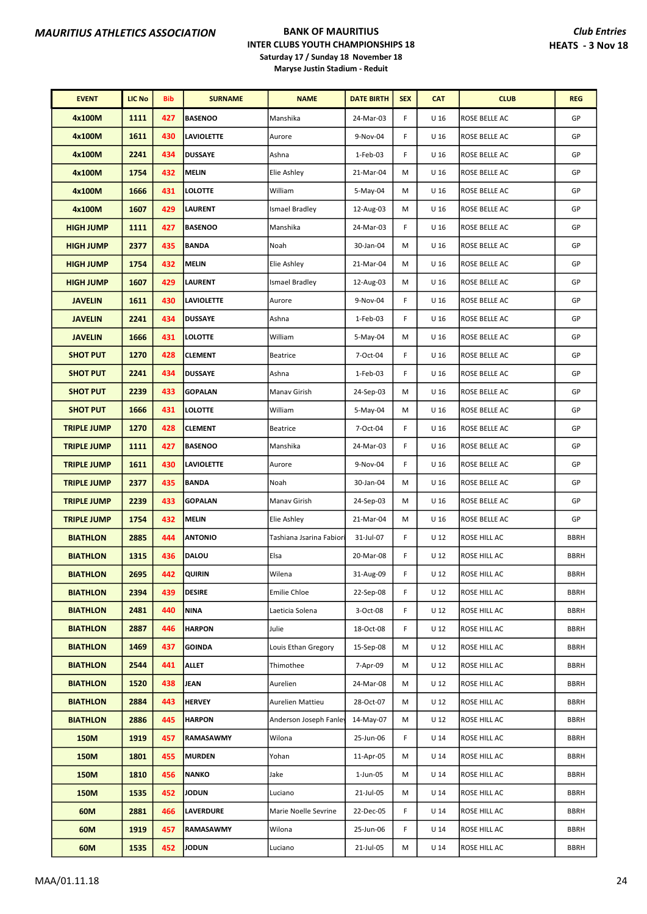| <b>EVENT</b>       | <b>LIC No</b> | Bib | <b>SURNAME</b>    | <b>NAME</b>              | <b>DATE BIRTH</b> | <b>SEX</b> | <b>CAT</b>      | <b>CLUB</b>          | <b>REG</b>  |
|--------------------|---------------|-----|-------------------|--------------------------|-------------------|------------|-----------------|----------------------|-------------|
| 4x100M             | 1111          | 427 | <b>BASENOO</b>    | Manshika                 | 24-Mar-03         | F          | U <sub>16</sub> | ROSE BELLE AC        | GP          |
| 4x100M             | 1611          | 430 | <b>LAVIOLETTE</b> | Aurore                   | 9-Nov-04          | F          | U <sub>16</sub> | ROSE BELLE AC        | GP          |
| 4x100M             | 2241          | 434 | <b>DUSSAYE</b>    | Ashna                    | 1-Feb-03          | F          | U <sub>16</sub> | ROSE BELLE AC        | GP          |
| 4x100M             | 1754          | 432 | <b>MELIN</b>      | Elie Ashley              | 21-Mar-04         | M          | U <sub>16</sub> | ROSE BELLE AC        | GP          |
| 4x100M             | 1666          | 431 | <b>LOLOTTE</b>    | William                  | 5-May-04          | M          | U <sub>16</sub> | ROSE BELLE AC        | GP          |
| 4x100M             | 1607          | 429 | <b>LAURENT</b>    | Ismael Bradley           | 12-Aug-03         | M          | U <sub>16</sub> | ROSE BELLE AC        | GP          |
| <b>HIGH JUMP</b>   | 1111          | 427 | <b>BASENOO</b>    | Manshika                 | 24-Mar-03         | F          | U <sub>16</sub> | ROSE BELLE AC        | GP          |
| <b>HIGH JUMP</b>   | 2377          | 435 | <b>BANDA</b>      | Noah                     | 30-Jan-04         | M          | U <sub>16</sub> | ROSE BELLE AC        | GP          |
| <b>HIGH JUMP</b>   | 1754          | 432 | <b>MELIN</b>      | Elie Ashley              | 21-Mar-04         | M          | U <sub>16</sub> | ROSE BELLE AC        | GP          |
| <b>HIGH JUMP</b>   | 1607          | 429 | <b>LAURENT</b>    | <b>Ismael Bradley</b>    | 12-Aug-03         | M          | U <sub>16</sub> | ROSE BELLE AC        | GP          |
| <b>JAVELIN</b>     | 1611          | 430 | <b>LAVIOLETTE</b> | Aurore                   | 9-Nov-04          | F          | U <sub>16</sub> | ROSE BELLE AC        | GP          |
| <b>JAVELIN</b>     | 2241          | 434 | <b>DUSSAYE</b>    | Ashna                    | 1-Feb-03          | F          | U <sub>16</sub> | ROSE BELLE AC        | GP          |
| <b>JAVELIN</b>     | 1666          | 431 | <b>LOLOTTE</b>    | William                  | 5-May-04          | M          | U <sub>16</sub> | ROSE BELLE AC        | GP          |
| <b>SHOT PUT</b>    | 1270          | 428 | <b>CLEMENT</b>    | <b>Beatrice</b>          | 7-Oct-04          | F          | U <sub>16</sub> | ROSE BELLE AC        | GP          |
| <b>SHOT PUT</b>    | 2241          | 434 | <b>DUSSAYE</b>    | Ashna                    | 1-Feb-03          | F          | U <sub>16</sub> | ROSE BELLE AC        | GP          |
| <b>SHOT PUT</b>    | 2239          | 433 | <b>GOPALAN</b>    | Manav Girish             | 24-Sep-03         | M          | U <sub>16</sub> | ROSE BELLE AC        | GP          |
| <b>SHOT PUT</b>    | 1666          | 431 | <b>LOLOTTE</b>    | William                  | 5-May-04          | M          | U <sub>16</sub> | ROSE BELLE AC        | GP          |
| <b>TRIPLE JUMP</b> | 1270          | 428 | <b>CLEMENT</b>    | <b>Beatrice</b>          | 7-Oct-04          | F          | U <sub>16</sub> | ROSE BELLE AC        | GP          |
| <b>TRIPLE JUMP</b> | 1111          | 427 | <b>BASENOO</b>    | Manshika                 | 24-Mar-03         | F          | U <sub>16</sub> | <b>ROSE BELLE AC</b> | GP          |
| <b>TRIPLE JUMP</b> | 1611          | 430 | <b>LAVIOLETTE</b> | Aurore                   | 9-Nov-04          | F          | U <sub>16</sub> | ROSE BELLE AC        | GP          |
| <b>TRIPLE JUMP</b> | 2377          | 435 | <b>BANDA</b>      | Noah                     | 30-Jan-04         | M          | U <sub>16</sub> | ROSE BELLE AC        | GP          |
| <b>TRIPLE JUMP</b> | 2239          | 433 | <b>GOPALAN</b>    | Manav Girish             | 24-Sep-03         | M          | U <sub>16</sub> | ROSE BELLE AC        | GP          |
| <b>TRIPLE JUMP</b> | 1754          | 432 | <b>MELIN</b>      | Elie Ashley              | 21-Mar-04         | M          | U <sub>16</sub> | ROSE BELLE AC        | GP          |
| <b>BIATHLON</b>    | 2885          | 444 | <b>ANTONIO</b>    | Tashiana Jsarina Fabiori | 31-Jul-07         | F          | U <sub>12</sub> | <b>ROSE HILL AC</b>  | <b>BBRH</b> |
| <b>BIATHLON</b>    | 1315          | 436 | DALOU             | Elsa                     | 20-Mar-08         | F          | U <sub>12</sub> | ROSE HILL AC         | <b>BBRH</b> |
| <b>BIATHLON</b>    | 2695          | 442 | <b>QUIRIN</b>     | Wilena                   | 31-Aug-09         | F          | U <sub>12</sub> | <b>ROSE HILL AC</b>  | <b>BBRH</b> |
| <b>BIATHLON</b>    | 2394          | 439 | <b>DESIRE</b>     | Emilie Chloe             | 22-Sep-08         | F          | U 12            | ROSE HILL AC         | <b>BBRH</b> |
| <b>BIATHLON</b>    | 2481          | 440 | <b>NINA</b>       | Laeticia Solena          | 3-Oct-08          | F          | U <sub>12</sub> | ROSE HILL AC         | <b>BBRH</b> |
| <b>BIATHLON</b>    | 2887          | 446 | <b>HARPON</b>     | Julie                    | 18-Oct-08         | F          | U 12            | ROSE HILL AC         | <b>BBRH</b> |
| <b>BIATHLON</b>    | 1469          | 437 | <b>GOINDA</b>     | Louis Ethan Gregory      | 15-Sep-08         | M          | U <sub>12</sub> | ROSE HILL AC         | <b>BBRH</b> |
| <b>BIATHLON</b>    | 2544          | 441 | ALLET             | Thimothee                | 7-Apr-09          | M          | U 12            | ROSE HILL AC         | <b>BBRH</b> |
| <b>BIATHLON</b>    | 1520          | 438 | JEAN              | Aurelien                 | 24-Mar-08         | M          | U 12            | ROSE HILL AC         | <b>BBRH</b> |
| <b>BIATHLON</b>    | 2884          | 443 | <b>HERVEY</b>     | Aurelien Mattieu         | 28-Oct-07         | M          | U 12            | ROSE HILL AC         | <b>BBRH</b> |
| <b>BIATHLON</b>    | 2886          | 445 | <b>HARPON</b>     | Anderson Joseph Fanley   | 14-May-07         | M          | U 12            | ROSE HILL AC         | <b>BBRH</b> |
| 150M               | 1919          | 457 | RAMASAWMY         | Wilona                   | 25-Jun-06         | F          | U <sub>14</sub> | ROSE HILL AC         | <b>BBRH</b> |
| 150M               | 1801          | 455 | <b>MURDEN</b>     | Yohan                    | 11-Apr-05         | M          | U <sub>14</sub> | ROSE HILL AC         | <b>BBRH</b> |
| 150M               | 1810          | 456 | <b>NANKO</b>      | Jake                     | 1-Jun-05          | M          | U <sub>14</sub> | ROSE HILL AC         | <b>BBRH</b> |
| 150M               | 1535          | 452 | <b>JODUN</b>      | Luciano                  | 21-Jul-05         | М          | U <sub>14</sub> | ROSE HILL AC         | <b>BBRH</b> |
| 60M                | 2881          | 466 | <b>LAVERDURE</b>  | Marie Noelle Sevrine     | 22-Dec-05         | F          | U 14            | ROSE HILL AC         | <b>BBRH</b> |
| 60M                | 1919          | 457 | RAMASAWMY         | Wilona                   | 25-Jun-06         | F          | U <sub>14</sub> | ROSE HILL AC         | <b>BBRH</b> |
| 60M                | 1535          | 452 | <b>JODUN</b>      | Luciano                  | 21-Jul-05         | М          | U 14            | ROSE HILL AC         | <b>BBRH</b> |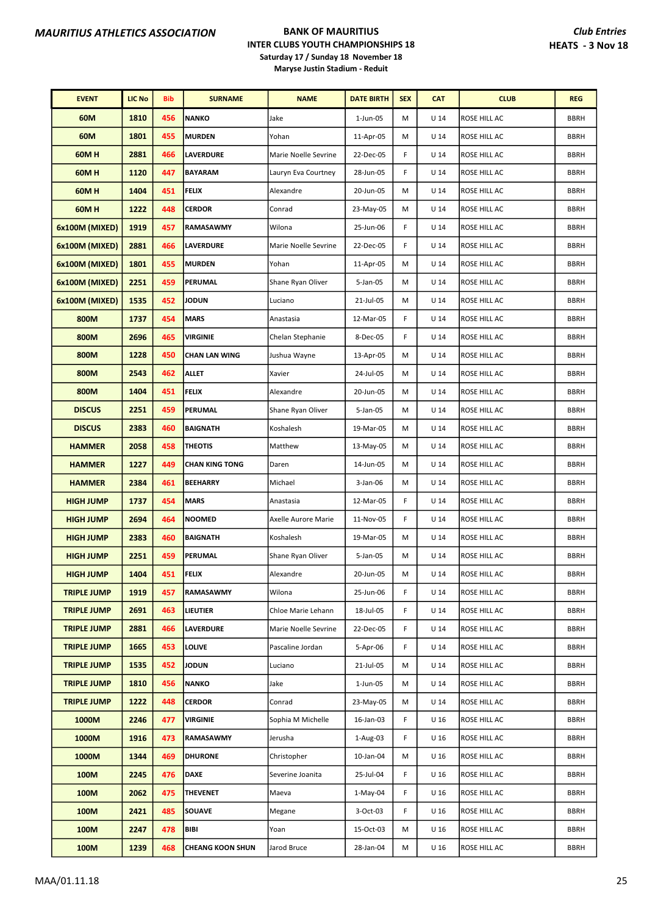| <b>EVENT</b>       | <b>LIC No</b> | <b>Bib</b> | <b>SURNAME</b>          | <b>NAME</b>          | <b>DATE BIRTH</b> | <b>SEX</b> | <b>CAT</b>      | <b>CLUB</b>         | <b>REG</b>  |
|--------------------|---------------|------------|-------------------------|----------------------|-------------------|------------|-----------------|---------------------|-------------|
| 60M                | 1810          | 456        | <b>NANKO</b>            | Jake                 | 1-Jun-05          | M          | U 14            | ROSE HILL AC        | <b>BBRH</b> |
| 60M                | 1801          | 455        | <b>MURDEN</b>           | Yohan                | 11-Apr-05         | M          | U <sub>14</sub> | ROSE HILL AC        | <b>BBRH</b> |
| <b>60MH</b>        | 2881          | 466        | <b>LAVERDURE</b>        | Marie Noelle Sevrine | 22-Dec-05         | F          | U <sub>14</sub> | <b>ROSE HILL AC</b> | <b>BBRH</b> |
| <b>60MH</b>        | 1120          | 447        | <b>BAYARAM</b>          | Lauryn Eva Courtney  | 28-Jun-05         | F          | U <sub>14</sub> | ROSE HILL AC        | <b>BBRH</b> |
| 60MH               | 1404          | 451        | <b>FELIX</b>            | Alexandre            | 20-Jun-05         | M          | U 14            | ROSE HILL AC        | <b>BBRH</b> |
| 60M H              | 1222          | 448        | <b>CERDOR</b>           | Conrad               | 23-May-05         | M          | U 14            | ROSE HILL AC        | <b>BBRH</b> |
| 6x100M (MIXED)     | 1919          | 457        | <b>RAMASAWMY</b>        | Wilona               | 25-Jun-06         | F          | U <sub>14</sub> | ROSE HILL AC        | <b>BBRH</b> |
| 6x100M (MIXED)     | 2881          | 466        | <b>LAVERDURE</b>        | Marie Noelle Sevrine | 22-Dec-05         | F          | U <sub>14</sub> | <b>ROSE HILL AC</b> | <b>BBRH</b> |
| 6x100M (MIXED)     | 1801          | 455        | <b>MURDEN</b>           | Yohan                | 11-Apr-05         | M          | U <sub>14</sub> | ROSE HILL AC        | <b>BBRH</b> |
| 6x100M (MIXED)     | 2251          | 459        | PERUMAL                 | Shane Ryan Oliver    | 5-Jan-05          | M          | U 14            | ROSE HILL AC        | <b>BBRH</b> |
| 6x100M (MIXED)     | 1535          | 452        | JODUN                   | Luciano              | 21-Jul-05         | M          | U <sub>14</sub> | ROSE HILL AC        | <b>BBRH</b> |
| 800M               | 1737          | 454        | <b>MARS</b>             | Anastasia            | 12-Mar-05         | F          | U <sub>14</sub> | ROSE HILL AC        | <b>BBRH</b> |
| 800M               | 2696          | 465        | VIRGINIE                | Chelan Stephanie     | 8-Dec-05          | F          | U 14            | ROSE HILL AC        | <b>BBRH</b> |
| 800M               | 1228          | 450        | <b>CHAN LAN WING</b>    | Jushua Wayne         | 13-Apr-05         | M          | U <sub>14</sub> | ROSE HILL AC        | <b>BBRH</b> |
| 800M               | 2543          | 462        | <b>ALLET</b>            | Xavier               | 24-Jul-05         | M          | U 14            | ROSE HILL AC        | <b>BBRH</b> |
| 800M               | 1404          | 451        | <b>FELIX</b>            | Alexandre            | 20-Jun-05         | M          | U <sub>14</sub> | ROSE HILL AC        | <b>BBRH</b> |
| <b>DISCUS</b>      | 2251          | 459        | PERUMAL                 | Shane Ryan Oliver    | 5-Jan-05          | M          | U <sub>14</sub> | ROSE HILL AC        | <b>BBRH</b> |
| <b>DISCUS</b>      | 2383          | 460        | <b>BAIGNATH</b>         | Koshalesh            | 19-Mar-05         | M          | U 14            | <b>ROSE HILL AC</b> | <b>BBRH</b> |
| <b>HAMMER</b>      | 2058          | 458        | <b>THEOTIS</b>          | Matthew              | 13-May-05         | M          | U <sub>14</sub> | ROSE HILL AC        | <b>BBRH</b> |
| <b>HAMMER</b>      | 1227          | 449        | <b>CHAN KING TONG</b>   | Daren                | 14-Jun-05         | М          | U 14            | ROSE HILL AC        | <b>BBRH</b> |
| <b>HAMMER</b>      | 2384          | 461        | <b>BEEHARRY</b>         | Michael              | 3-Jan-06          | M          | U <sub>14</sub> | ROSE HILL AC        | <b>BBRH</b> |
| <b>HIGH JUMP</b>   | 1737          | 454        | <b>MARS</b>             | Anastasia            | 12-Mar-05         | F          | U <sub>14</sub> | ROSE HILL AC        | <b>BBRH</b> |
| <b>HIGH JUMP</b>   | 2694          | 464        | <b>NOOMED</b>           | Axelle Aurore Marie  | 11-Nov-05         | F          | U 14            | <b>ROSE HILL AC</b> | <b>BBRH</b> |
| <b>HIGH JUMP</b>   | 2383          | 460        | <b>BAIGNATH</b>         | Koshalesh            | 19-Mar-05         | М          | U 14            | <b>ROSE HILL AC</b> | <b>BBRH</b> |
| <b>HIGH JUMP</b>   | 2251          | 459        | PERUMAL                 | Shane Ryan Oliver    | 5-Jan-05          | M          | U 14            | ROSE HILL AC        | <b>BBRH</b> |
| <b>HIGH JUMP</b>   | 1404          | 451        | <b>FELIX</b>            | Alexandre            | 20-Jun-05         | M          | U <sub>14</sub> | ROSE HILL AC        | <b>BBRH</b> |
| <b>TRIPLE JUMP</b> | 1919          | 457        | <b>RAMASAWMY</b>        | Wilona               | 25-Jun-06         | F          | U 14            | <b>ROSE HILL AC</b> | <b>BBRH</b> |
| <b>TRIPLE JUMP</b> | 2691          | 463        | LIEUTIER                | Chloe Marie Lehann   | 18-Jul-05         | F          | U 14            | ROSE HILL AC        | <b>BBRH</b> |
| <b>TRIPLE JUMP</b> | 2881          | 466        | <b>LAVERDURE</b>        | Marie Noelle Sevrine | 22-Dec-05         | F          | U 14            | <b>ROSE HILL AC</b> | <b>BBRH</b> |
| <b>TRIPLE JUMP</b> | 1665          | 453        | LOLIVE                  | Pascaline Jordan     | 5-Apr-06          | F          | U 14            | ROSE HILL AC        | <b>BBRH</b> |
| <b>TRIPLE JUMP</b> | 1535          | 452        | JODUN                   | Luciano              | 21-Jul-05         | М          | U 14            | ROSE HILL AC        | <b>BBRH</b> |
| <b>TRIPLE JUMP</b> | 1810          | 456        | <b>NANKO</b>            | Jake                 | $1$ -Jun-05       | M          | U <sub>14</sub> | ROSE HILL AC        | <b>BBRH</b> |
| <b>TRIPLE JUMP</b> | 1222          | 448        | <b>CERDOR</b>           | Conrad               | 23-May-05         | M          | U 14            | ROSE HILL AC        | <b>BBRH</b> |
| 1000M              | 2246          | 477        | VIRGINIE                | Sophia M Michelle    | 16-Jan-03         | F          | U <sub>16</sub> | ROSE HILL AC        | <b>BBRH</b> |
| 1000M              | 1916          | 473        | <b>RAMASAWMY</b>        | Jerusha              | 1-Aug-03          | F          | U 16            | ROSE HILL AC        | <b>BBRH</b> |
| 1000M              | 1344          | 469        | <b>DHURONE</b>          | Christopher          | 10-Jan-04         | М          | U <sub>16</sub> | ROSE HILL AC        | <b>BBRH</b> |
| 100M               | 2245          | 476        | <b>DAXE</b>             | Severine Joanita     | 25-Jul-04         | F          | U 16            | ROSE HILL AC        | <b>BBRH</b> |
| 100M               | 2062          | 475        | <b>THEVENET</b>         | Maeva                | 1-May-04          | F          | U 16            | ROSE HILL AC        | <b>BBRH</b> |
| 100M               | 2421          | 485        | <b>SOUAVE</b>           | Megane               | 3-Oct-03          | F          | U 16            | ROSE HILL AC        | <b>BBRH</b> |
| 100M               | 2247          | 478        | <b>BIBI</b>             | Yoan                 | 15-Oct-03         | М          | U 16            | ROSE HILL AC        | <b>BBRH</b> |
| 100M               | 1239          | 468        | <b>CHEANG KOON SHUN</b> | Jarod Bruce          | 28-Jan-04         | М          | U <sub>16</sub> | ROSE HILL AC        | <b>BBRH</b> |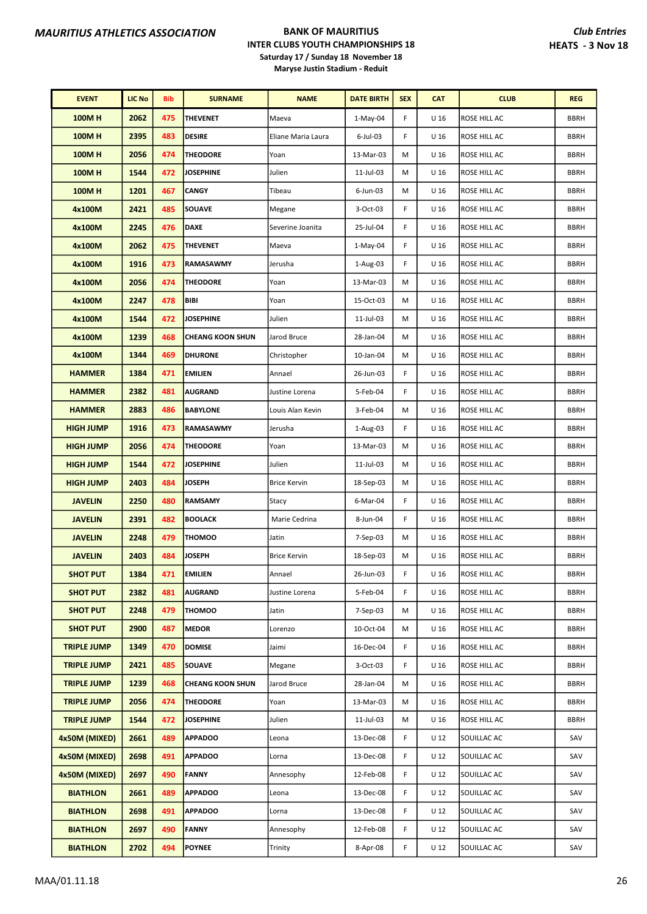| <b>EVENT</b>       | <b>LIC No</b> | Bib | <b>SURNAME</b>          | <b>NAME</b>         | <b>DATE BIRTH</b> | <b>SEX</b> | <b>CAT</b>      | <b>CLUB</b>         | <b>REG</b>  |
|--------------------|---------------|-----|-------------------------|---------------------|-------------------|------------|-----------------|---------------------|-------------|
| <b>100MH</b>       | 2062          | 475 | THEVENET                | Maeva               | $1-May-04$        | F          | U 16            | ROSE HILL AC        | <b>BBRH</b> |
| <b>100MH</b>       | 2395          | 483 | <b>DESIRE</b>           | Eliane Maria Laura  | 6-Jul-03          | F          | U <sub>16</sub> | ROSE HILL AC        | <b>BBRH</b> |
| <b>100MH</b>       | 2056          | 474 | <b>THEODORE</b>         | Yoan                | 13-Mar-03         | М          | U <sub>16</sub> | ROSE HILL AC        | <b>BBRH</b> |
| <b>100MH</b>       | 1544          | 472 | <b>JOSEPHINE</b>        | Julien              | 11-Jul-03         | М          | U <sub>16</sub> | ROSE HILL AC        | <b>BBRH</b> |
| <b>100MH</b>       | 1201          | 467 | <b>CANGY</b>            | Tibeau              | 6-Jun-03          | м          | U <sub>16</sub> | ROSE HILL AC        | <b>BBRH</b> |
| 4x100M             | 2421          | 485 | <b>SOUAVE</b>           | Megane              | 3-Oct-03          | F          | U <sub>16</sub> | ROSE HILL AC        | <b>BBRH</b> |
| 4x100M             | 2245          | 476 | <b>DAXE</b>             | Severine Joanita    | 25-Jul-04         | F          | U <sub>16</sub> | ROSE HILL AC        | <b>BBRH</b> |
| 4x100M             | 2062          | 475 | <b>THEVENET</b>         | Maeva               | $1-May-04$        | F          | U <sub>16</sub> | ROSE HILL AC        | <b>BBRH</b> |
| 4x100M             | 1916          | 473 | <b>RAMASAWMY</b>        | Jerusha             | 1-Aug-03          | F          | U <sub>16</sub> | ROSE HILL AC        | <b>BBRH</b> |
| 4x100M             | 2056          | 474 | <b>THEODORE</b>         | Yoan                | 13-Mar-03         | M          | U <sub>16</sub> | ROSE HILL AC        | <b>BBRH</b> |
| 4x100M             | 2247          | 478 | <b>BIBI</b>             | Yoan                | 15-Oct-03         | М          | U <sub>16</sub> | ROSE HILL AC        | <b>BBRH</b> |
| 4x100M             | 1544          | 472 | <b>JOSEPHINE</b>        | Julien              | 11-Jul-03         | M          | U <sub>16</sub> | ROSE HILL AC        | <b>BBRH</b> |
| 4x100M             | 1239          | 468 | <b>CHEANG KOON SHUN</b> | Jarod Bruce         | 28-Jan-04         | М          | U <sub>16</sub> | ROSE HILL AC        | <b>BBRH</b> |
| 4x100M             | 1344          | 469 | <b>DHURONE</b>          | Christopher         | 10-Jan-04         | М          | U <sub>16</sub> | ROSE HILL AC        | <b>BBRH</b> |
| <b>HAMMER</b>      | 1384          | 471 | <b>EMILIEN</b>          | Annael              | 26-Jun-03         | F          | U <sub>16</sub> | ROSE HILL AC        | <b>BBRH</b> |
| <b>HAMMER</b>      | 2382          | 481 | <b>AUGRAND</b>          | Justine Lorena      | 5-Feb-04          | F          | U <sub>16</sub> | ROSE HILL AC        | <b>BBRH</b> |
| <b>HAMMER</b>      | 2883          | 486 | <b>BABYLONE</b>         | Louis Alan Kevin    | 3-Feb-04          | М          | U <sub>16</sub> | ROSE HILL AC        | <b>BBRH</b> |
| <b>HIGH JUMP</b>   | 1916          | 473 | <b>RAMASAWMY</b>        | Jerusha             | 1-Aug-03          | F          | U <sub>16</sub> | ROSE HILL AC        | <b>BBRH</b> |
| <b>HIGH JUMP</b>   | 2056          | 474 | <b>THEODORE</b>         | Yoan                | 13-Mar-03         | М          | U <sub>16</sub> | ROSE HILL AC        | <b>BBRH</b> |
| <b>HIGH JUMP</b>   | 1544          | 472 | <b>JOSEPHINE</b>        | Julien              | 11-Jul-03         | м          | U <sub>16</sub> | ROSE HILL AC        | <b>BBRH</b> |
| <b>HIGH JUMP</b>   | 2403          | 484 | <b>JOSEPH</b>           | <b>Brice Kervin</b> | 18-Sep-03         | М          | U <sub>16</sub> | ROSE HILL AC        | <b>BBRH</b> |
| <b>JAVELIN</b>     | 2250          | 480 | <b>RAMSAMY</b>          | Stacy               | 6-Mar-04          | F          | U <sub>16</sub> | ROSE HILL AC        | <b>BBRH</b> |
| <b>JAVELIN</b>     | 2391          | 482 | <b>BOOLACK</b>          | Marie Cedrina       | 8-Jun-04          | F          | U <sub>16</sub> | ROSE HILL AC        | <b>BBRH</b> |
| <b>JAVELIN</b>     | 2248          | 479 | <b>THOMOO</b>           | Jatin               | 7-Sep-03          | м          | U <sub>16</sub> | ROSE HILL AC        | <b>BBRH</b> |
| <b>JAVELIN</b>     | 2403          | 484 | <b>JOSEPH</b>           | <b>Brice Kervin</b> | 18-Sep-03         | М          | U <sub>16</sub> | ROSE HILL AC        | <b>BBRH</b> |
| <b>SHOT PUT</b>    | 1384          | 471 | EMILIEN                 | Annael              | 26-Jun-03         | F          | U <sub>16</sub> | ROSE HILL AC        | <b>BBRH</b> |
| <b>SHOT PUT</b>    | 2382          | 481 | <b>AUGRAND</b>          | Justine Lorena      | 5-Feb-04          | F          | U 16            | <b>ROSE HILL AC</b> | <b>BBRH</b> |
| <b>SHOT PUT</b>    | 2248          | 479 | THOMOO                  | Jatin               | 7-Sep-03          | М          | U <sub>16</sub> | ROSE HILL AC        | <b>BBRH</b> |
| <b>SHOT PUT</b>    | 2900          | 487 | <b>MEDOR</b>            | Lorenzo             | 10-Oct-04         | м          | U 16            | ROSE HILL AC        | <b>BBRH</b> |
| <b>TRIPLE JUMP</b> | 1349          | 470 | <b>DOMISE</b>           | Jaimi               | 16-Dec-04         | F          | U <sub>16</sub> | ROSE HILL AC        | <b>BBRH</b> |
| <b>TRIPLE JUMP</b> | 2421          | 485 | <b>SOUAVE</b>           | Megane              | 3-Oct-03          | F          | U <sub>16</sub> | ROSE HILL AC        | <b>BBRH</b> |
| <b>TRIPLE JUMP</b> | 1239          | 468 | <b>CHEANG KOON SHUN</b> | Jarod Bruce         | 28-Jan-04         | М          | U 16            | ROSE HILL AC        | <b>BBRH</b> |
| <b>TRIPLE JUMP</b> | 2056          | 474 | <b>THEODORE</b>         | Yoan                | 13-Mar-03         | М          | U <sub>16</sub> | ROSE HILL AC        | <b>BBRH</b> |
| <b>TRIPLE JUMP</b> | 1544          | 472 | <b>JOSEPHINE</b>        | Julien              | 11-Jul-03         | М          | U 16            | ROSE HILL AC        | <b>BBRH</b> |
| 4x50M (MIXED)      | 2661          | 489 | <b>APPADOO</b>          | Leona               | 13-Dec-08         | F          | U <sub>12</sub> | SOUILLAC AC         | SAV         |
| 4x50M (MIXED)      | 2698          | 491 | <b>APPADOO</b>          | Lorna               | 13-Dec-08         | F          | U <sub>12</sub> | SOUILLAC AC         | SAV         |
| 4x50M (MIXED)      | 2697          | 490 | <b>FANNY</b>            | Annesophy           | 12-Feb-08         | F          | U <sub>12</sub> | SOUILLAC AC         | SAV         |
| <b>BIATHLON</b>    | 2661          | 489 | <b>APPADOO</b>          | Leona               | 13-Dec-08         | F          | U <sub>12</sub> | SOUILLAC AC         | SAV         |
| <b>BIATHLON</b>    | 2698          | 491 | <b>APPADOO</b>          | Lorna               | 13-Dec-08         | F          | U 12            | SOUILLAC AC         | SAV         |
| <b>BIATHLON</b>    | 2697          | 490 | <b>FANNY</b>            | Annesophy           | 12-Feb-08         | F          | U <sub>12</sub> | SOUILLAC AC         | SAV         |
| <b>BIATHLON</b>    | 2702          | 494 | <b>POYNEE</b>           | Trinity             | 8-Apr-08          | F          | U <sub>12</sub> | SOUILLAC AC         | SAV         |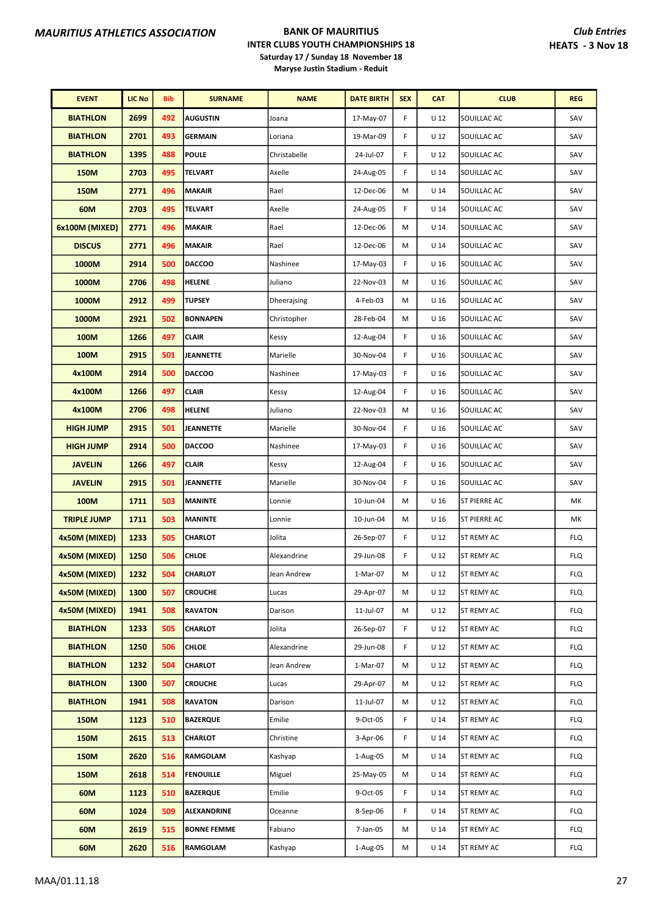| <b>EVENT</b>       | <b>LIC No</b> | <b>Bib</b> | <b>SURNAME</b>     | <b>NAME</b>  | <b>DATE BIRTH</b> | <b>SEX</b> | <b>CAT</b>      | <b>CLUB</b>         | <b>REG</b> |
|--------------------|---------------|------------|--------------------|--------------|-------------------|------------|-----------------|---------------------|------------|
| <b>BIATHLON</b>    | 2699          | 492        | <b>AUGUSTIN</b>    | Joana        | 17-May-07         | F          | U <sub>12</sub> | SOUILLAC AC         | SAV        |
| <b>BIATHLON</b>    | 2701          | 493        | <b>GERMAIN</b>     | Loriana      | 19-Mar-09         | F          | U <sub>12</sub> | SOUILLAC AC         | SAV        |
| <b>BIATHLON</b>    | 1395          | 488        | <b>POULE</b>       | Christabelle | 24-Jul-07         | F          | U <sub>12</sub> | SOUILLAC AC         | SAV        |
| <b>150M</b>        | 2703          | 495        | <b>TELVART</b>     | Axelle       | 24-Aug-05         | F          | U <sub>14</sub> | SOUILLAC AC         | SAV        |
| <b>150M</b>        | 2771          | 496        | <b>MAKAIR</b>      | Rael         | 12-Dec-06         | M          | U <sub>14</sub> | SOUILLAC AC         | SAV        |
| 60M                | 2703          | 495        | <b>TELVART</b>     | Axelle       | 24-Aug-05         | F          | $U$ 14          | SOUILLAC AC         | SAV        |
| 6x100M (MIXED)     | 2771          | 496        | <b>MAKAIR</b>      | Rael         | 12-Dec-06         | M          | U <sub>14</sub> | SOUILLAC AC         | SAV        |
| <b>DISCUS</b>      | 2771          | 496        | <b>MAKAIR</b>      | Rael         | 12-Dec-06         | M          | U <sub>14</sub> | SOUILLAC AC         | SAV        |
| 1000M              | 2914          | 500        | <b>DACCOO</b>      | Nashinee     | 17-May-03         | F          | U <sub>16</sub> | SOUILLAC AC         | SAV        |
| 1000M              | 2706          | 498        | <b>HELENE</b>      | Juliano      | 22-Nov-03         | M          | U <sub>16</sub> | SOUILLAC AC         | SAV        |
| 1000M              | 2912          | 499        | <b>TUPSEY</b>      | Dheerajsing  | 4-Feb-03          | M          | U <sub>16</sub> | SOUILLAC AC         | SAV        |
| 1000M              | 2921          | 502        | <b>BONNAPEN</b>    | Christopher  | 28-Feb-04         | М          | U <sub>16</sub> | SOUILLAC AC         | SAV        |
| 100M               | 1266          | 497        | <b>CLAIR</b>       | Kessy        | 12-Aug-04         | F          | U 16            | SOUILLAC AC         | SAV        |
| 100M               | 2915          | 501        | <b>JEANNETTE</b>   | Marielle     | 30-Nov-04         | F          | U <sub>16</sub> | SOUILLAC AC         | SAV        |
| 4x100M             | 2914          | 500        | <b>DACCOO</b>      | Nashinee     | 17-May-03         | F          | U <sub>16</sub> | SOUILLAC AC         | SAV        |
| 4x100M             | 1266          | 497        | <b>CLAIR</b>       | Kessy        | 12-Aug-04         | F          | U <sub>16</sub> | SOUILLAC AC         | SAV        |
| 4x100M             | 2706          | 498        | <b>HELENE</b>      | Juliano      | 22-Nov-03         | М          | U <sub>16</sub> | SOUILLAC AC         | SAV        |
| <b>HIGH JUMP</b>   | 2915          | 501        | <b>JEANNETTE</b>   | Marielle     | 30-Nov-04         | F          | U 16            | SOUILLAC AC         | SAV        |
| <b>HIGH JUMP</b>   | 2914          | 500        | <b>DACCOO</b>      | Nashinee     | 17-May-03         | F          | U <sub>16</sub> | SOUILLAC AC         | SAV        |
| <b>JAVELIN</b>     | 1266          | 497        | <b>CLAIR</b>       | Kessy        | 12-Aug-04         | F          | U <sub>16</sub> | SOUILLAC AC         | SAV        |
| <b>JAVELIN</b>     | 2915          | 501        | <b>JEANNETTE</b>   | Marielle     | 30-Nov-04         | F          | U <sub>16</sub> | SOUILLAC AC         | SAV        |
| 100M               | 1711          | 503        | <b>MANINTE</b>     | Lonnie       | 10-Jun-04         | м          | U <sub>16</sub> | <b>ST PIERRE AC</b> | МK         |
| <b>TRIPLE JUMP</b> | 1711          | 503        | <b>MANINTE</b>     | Lonnie       | 10-Jun-04         | M          | U 16            | <b>ST PIERRE AC</b> | МK         |
| 4x50M (MIXED)      | 1233          | 505        | <b>CHARLOT</b>     | Jolita       | 26-Sep-07         | F          | U <sub>12</sub> | <b>ST REMY AC</b>   | <b>FLQ</b> |
| 4x50M (MIXED)      | 1250          | 506        | <b>CHLOE</b>       | Alexandrine  | 29-Jun-08         | F          | U 12            | <b>ST REMY AC</b>   | <b>FLQ</b> |
| 4x50M (MIXED)      | 1232          | 504        | <b>CHARLOT</b>     | Jean Andrew  | 1-Mar-07          | M          | U <sub>12</sub> | <b>ST REMY AC</b>   | <b>FLQ</b> |
| 4x50M (MIXED)      | 1300          | 507        | <b>CROUCHE</b>     | Lucas        | 29-Apr-07         | м          | U 12            | ST REMY AC          | <b>FLQ</b> |
| 4x50M (MIXED)      | 1941          | 508        | <b>RAVATON</b>     | Darison      | 11-Jul-07         | М          | U 12            | ST REMY AC          | <b>FLQ</b> |
| <b>BIATHLON</b>    | 1233          | 505        | <b>CHARLOT</b>     | Jolita       | 26-Sep-07         | F          | U 12            | ST REMY AC          | <b>FLQ</b> |
| <b>BIATHLON</b>    | 1250          | 506        | CHLOE              | Alexandrine  | 29-Jun-08         | F          | U <sub>12</sub> | <b>ST REMY AC</b>   | <b>FLQ</b> |
| <b>BIATHLON</b>    | 1232          | 504        | CHARLOT            | Jean Andrew  | 1-Mar-07          | М          | U <sub>12</sub> | ST REMY AC          | <b>FLQ</b> |
| <b>BIATHLON</b>    | 1300          | 507        | <b>CROUCHE</b>     | Lucas        | 29-Apr-07         | м          | U 12            | ST REMY AC          | <b>FLQ</b> |
| <b>BIATHLON</b>    | 1941          | 508        | <b>RAVATON</b>     | Darison      | 11-Jul-07         | М          | U 12            | ST REMY AC          | <b>FLQ</b> |
| 150M               | 1123          | 510        | <b>BAZERQUE</b>    | Emilie       | 9-Oct-05          | F          | U <sub>14</sub> | ST REMY AC          | <b>FLQ</b> |
| 150M               | 2615          | 513        | <b>CHARLOT</b>     | Christine    | 3-Apr-06          | F          | U <sub>14</sub> | <b>ST REMY AC</b>   | <b>FLQ</b> |
| <b>150M</b>        | 2620          | 516        | RAMGOLAM           | Kashyap      | 1-Aug-05          | М          | U <sub>14</sub> | ST REMY AC          | <b>FLQ</b> |
| 150M               | 2618          | 514        | <b>FENOUILLE</b>   | Miguel       | 25-May-05         | М          | U 14            | ST REMY AC          | <b>FLQ</b> |
| 60M                | 1123          | 510        | <b>BAZERQUE</b>    | Emilie       | 9-Oct-05          | F          | U <sub>14</sub> | ST REMY AC          | <b>FLQ</b> |
| 60M                | 1024          | 509        | ALEXANDRINE        | Oceanne      | 8-Sep-06          | F          | U <sub>14</sub> | ST REMY AC          | <b>FLQ</b> |
| 60M                | 2619          | 515        | <b>BONNE FEMME</b> | Fabiano      | 7-Jan-05          | М          | U <sub>14</sub> | <b>ST REMY AC</b>   | <b>FLQ</b> |
| 60M                | 2620          | 516        | RAMGOLAM           | Kashyap      | 1-Aug-05          | М          | U 14            | <b>ST REMY AC</b>   | <b>FLQ</b> |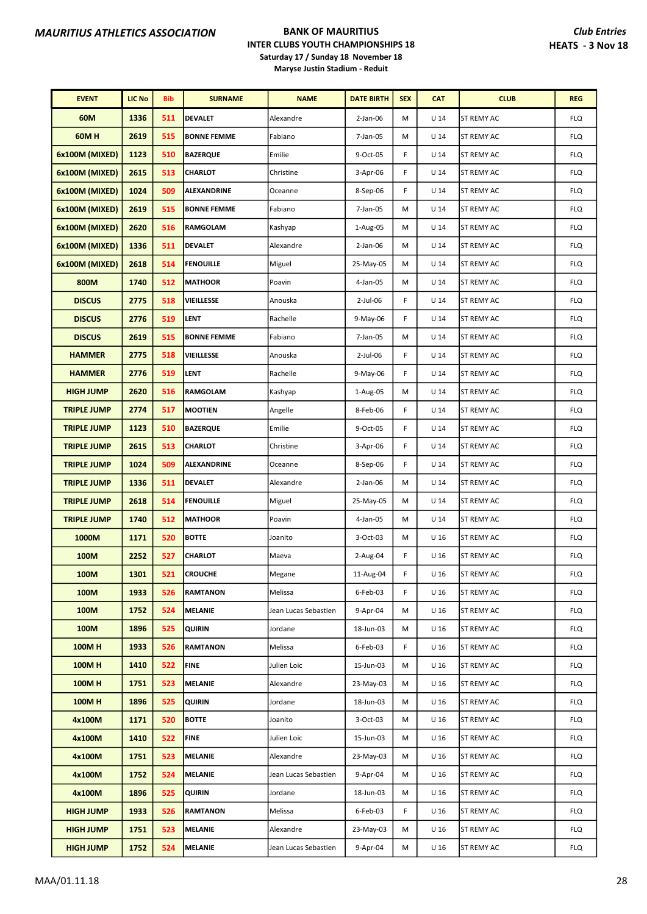| <b>EVENT</b>       | <b>LIC No</b> | <b>Bib</b> | <b>SURNAME</b>     | <b>NAME</b>          | <b>DATE BIRTH</b> | <b>SEX</b> | <b>CAT</b>      | <b>CLUB</b>       | <b>REG</b> |
|--------------------|---------------|------------|--------------------|----------------------|-------------------|------------|-----------------|-------------------|------------|
| 60M                | 1336          | 511        | <b>DEVALET</b>     | Alexandre            | $2$ -Jan-06       | M          | U <sub>14</sub> | ST REMY AC        | <b>FLQ</b> |
| <b>60MH</b>        | 2619          | 515        | <b>BONNE FEMME</b> | Fabiano              | 7-Jan-05          | M          | U <sub>14</sub> | <b>ST REMY AC</b> | <b>FLQ</b> |
| 6x100M (MIXED)     | 1123          | 510        | <b>BAZERQUE</b>    | Emilie               | 9-Oct-05          | F          | U <sub>14</sub> | <b>ST REMY AC</b> | <b>FLQ</b> |
| 6x100M (MIXED)     | 2615          | 513        | <b>CHARLOT</b>     | Christine            | $3-Apr-06$        | F          | U <sub>14</sub> | ST REMY AC        | <b>FLQ</b> |
| 6x100M (MIXED)     | 1024          | 509        | ALEXANDRINE        | Oceanne              | 8-Sep-06          | F          | U <sub>14</sub> | ST REMY AC        | <b>FLQ</b> |
| 6x100M (MIXED)     | 2619          | 515        | <b>BONNE FEMME</b> | Fabiano              | $7$ -Jan-05       | M          | U <sub>14</sub> | ST REMY AC        | <b>FLQ</b> |
| 6x100M (MIXED)     | 2620          | 516        | RAMGOLAM           | Kashyap              | 1-Aug-05          | M          | U <sub>14</sub> | ST REMY AC        | <b>FLQ</b> |
| 6x100M (MIXED)     | 1336          | 511        | <b>DEVALET</b>     | Alexandre            | $2$ -Jan-06       | М          | U <sub>14</sub> | <b>ST REMY AC</b> | <b>FLQ</b> |
| 6x100M (MIXED)     | 2618          | 514        | <b>FENOUILLE</b>   | Miguel               | 25-May-05         | M          | $U$ 14          | ST REMY AC        | <b>FLQ</b> |
| 800M               | 1740          | 512        | <b>MATHOOR</b>     | Poavin               | 4-Jan-05          | M          | $U$ 14          | ST REMY AC        | <b>FLQ</b> |
| <b>DISCUS</b>      | 2775          | 518        | <b>VIEILLESSE</b>  | Anouska              | 2-Jul-06          | F          | U <sub>14</sub> | <b>ST REMY AC</b> | <b>FLQ</b> |
| <b>DISCUS</b>      | 2776          | 519        | <b>LENT</b>        | Rachelle             | 9-May-06          | F          | U <sub>14</sub> | <b>ST REMY AC</b> | <b>FLQ</b> |
| <b>DISCUS</b>      | 2619          | 515        | <b>BONNE FEMME</b> | Fabiano              | 7-Jan-05          | M          | U <sub>14</sub> | ST REMY AC        | <b>FLQ</b> |
| <b>HAMMER</b>      | 2775          | 518        | <b>VIEILLESSE</b>  | Anouska              | 2-Jul-06          | F          | $U$ 14          | ST REMY AC        | <b>FLQ</b> |
| <b>HAMMER</b>      | 2776          | 519        | <b>LENT</b>        | Rachelle             | 9-May-06          | F          | U <sub>14</sub> | ST REMY AC        | <b>FLQ</b> |
| <b>HIGH JUMP</b>   | 2620          | 516        | <b>RAMGOLAM</b>    | Kashyap              | 1-Aug-05          | M          | U <sub>14</sub> | <b>ST REMY AC</b> | <b>FLQ</b> |
| <b>TRIPLE JUMP</b> | 2774          | 517        | <b>MOOTIEN</b>     | Angelle              | 8-Feb-06          | F          | U <sub>14</sub> | <b>ST REMY AC</b> | <b>FLQ</b> |
| <b>TRIPLE JUMP</b> | 1123          | 510        | <b>BAZERQUE</b>    | Emilie               | 9-Oct-05          | F          | U <sub>14</sub> | ST REMY AC        | <b>FLQ</b> |
| <b>TRIPLE JUMP</b> | 2615          | 513        | <b>CHARLOT</b>     | Christine            | 3-Apr-06          | F          | $U$ 14          | ST REMY AC        | <b>FLQ</b> |
| <b>TRIPLE JUMP</b> | 1024          | 509        | ALEXANDRINE        | Oceanne              | 8-Sep-06          | F          | $U$ 14          | ST REMY AC        | <b>FLQ</b> |
| <b>TRIPLE JUMP</b> | 1336          | 511        | <b>DEVALET</b>     | Alexandre            | $2$ -Jan-06       | M          | U <sub>14</sub> | <b>ST REMY AC</b> | <b>FLQ</b> |
| <b>TRIPLE JUMP</b> | 2618          | 514        | <b>FENOUILLE</b>   | Miguel               | 25-May-05         | M          | U <sub>14</sub> | <b>ST REMY AC</b> | <b>FLQ</b> |
| <b>TRIPLE JUMP</b> | 1740          | 512        | <b>MATHOOR</b>     | Poavin               | 4-Jan-05          | M          | U <sub>14</sub> | ST REMY AC        | <b>FLQ</b> |
| 1000M              | 1171          | 520        | <b>BOTTE</b>       | Joanito              | 3-Oct-03          | M          | U <sub>16</sub> | ST REMY AC        | <b>FLQ</b> |
| 100M               | 2252          | 527        | <b>CHARLOT</b>     | Maeva                | 2-Aug-04          | F          | U <sub>16</sub> | ST REMY AC        | <b>FLQ</b> |
| 100M               | 1301          | 521        | <b>CROUCHE</b>     | Megane               | 11-Aug-04         | F          | U <sub>16</sub> | ST REMY AC        | <b>FLQ</b> |
| 100M               | 1933          | 526        | <b>RAMTANON</b>    | Melissa              | 6-Feb-03          | F          | U 16            | <b>ST REMY AC</b> | <b>FLQ</b> |
| 100M               | 1752          | 524        | MELANIE            | Jean Lucas Sebastien | 9-Apr-04          | М          | U <sub>16</sub> | ST REMY AC        | <b>FLQ</b> |
| 100M               | 1896          | 525        | <b>QUIRIN</b>      | Jordane              | 18-Jun-03         | M          | U <sub>16</sub> | ST REMY AC        | <b>FLQ</b> |
| <b>100MH</b>       | 1933          | 526        | <b>RAMTANON</b>    | Melissa              | 6-Feb-03          | F          | U <sub>16</sub> | ST REMY AC        | <b>FLQ</b> |
| <b>100MH</b>       | 1410          | 522        | <b>FINE</b>        | Julien Loic          | 15-Jun-03         | М          | U <sub>16</sub> | ST REMY AC        | <b>FLQ</b> |
| <b>100MH</b>       | 1751          | 523        | MELANIE            | Alexandre            | 23-May-03         | М          | U <sub>16</sub> | <b>ST REMY AC</b> | <b>FLQ</b> |
| <b>100MH</b>       | 1896          | 525        | QUIRIN             | Jordane              | 18-Jun-03         | М          | U <sub>16</sub> | ST REMY AC        | <b>FLQ</b> |
| 4x100M             | 1171          | 520        | <b>BOTTE</b>       | Joanito              | 3-Oct-03          | М          | U <sub>16</sub> | ST REMY AC        | <b>FLQ</b> |
| 4x100M             | 1410          | 522        | <b>FINE</b>        | Julien Loic          | 15-Jun-03         | M          | U <sub>16</sub> | ST REMY AC        | <b>FLQ</b> |
| 4x100M             | 1751          | 523        | MELANIE            | Alexandre            | 23-May-03         | М          | U <sub>16</sub> | ST REMY AC        | <b>FLQ</b> |
| 4x100M             | 1752          | 524        | <b>MELANIE</b>     | Jean Lucas Sebastien | 9-Apr-04          | М          | U <sub>16</sub> | ST REMY AC        | <b>FLQ</b> |
| 4x100M             | 1896          | 525        | QUIRIN             | Jordane              | 18-Jun-03         | М          | U <sub>16</sub> | <b>ST REMY AC</b> | <b>FLQ</b> |
| <b>HIGH JUMP</b>   | 1933          | 526        | <b>RAMTANON</b>    | Melissa              | 6-Feb-03          | F.         | U <sub>16</sub> | ST REMY AC        | <b>FLQ</b> |
| <b>HIGH JUMP</b>   | 1751          | 523        | <b>MELANIE</b>     | Alexandre            | 23-May-03         | M          | U <sub>16</sub> | ST REMY AC        | <b>FLQ</b> |
| <b>HIGH JUMP</b>   | 1752          | 524        | <b>MELANIE</b>     | Jean Lucas Sebastien | 9-Apr-04          | M          | U <sub>16</sub> | ST REMY AC        | <b>FLQ</b> |